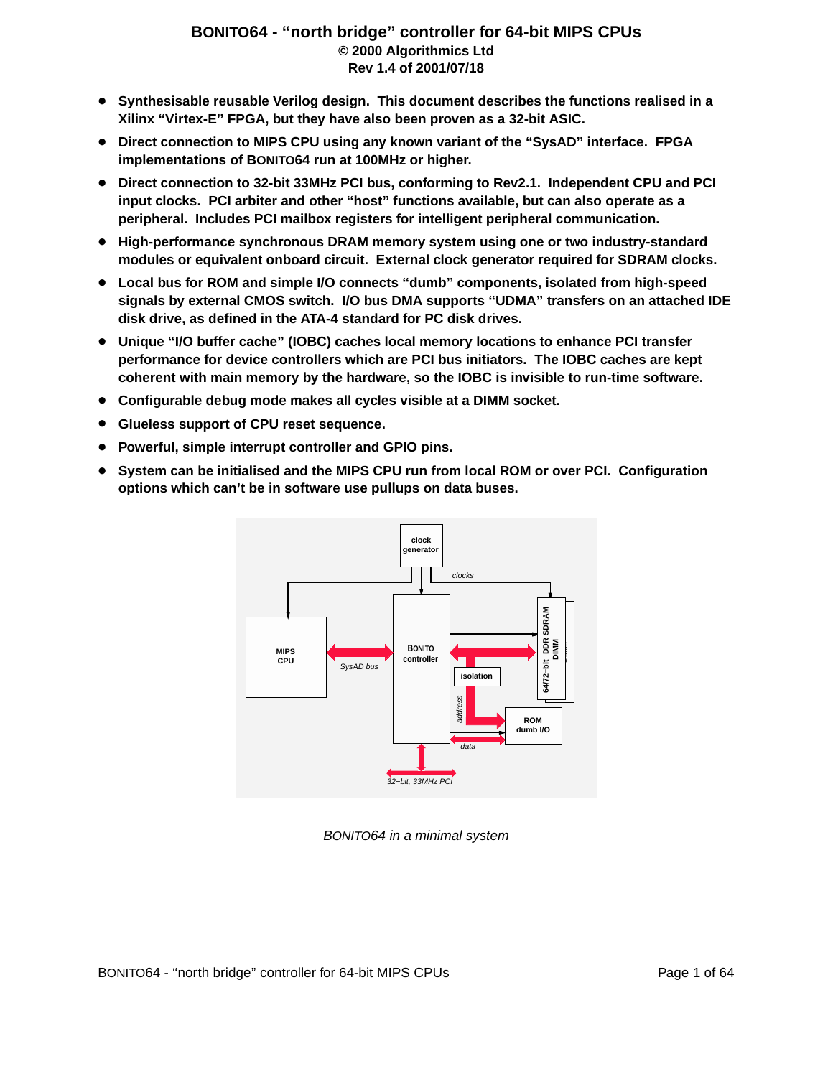#### **BONITO64 - ''nor th bridg e'' controller for 64-bit MIPS CPUs © 2000 Algorithmics Ltd Rev 1.4 of 2001/07/18**

- **Synthesisable reusable Verilog design. This document describes the functions realised in a Xilinx ''Vir tex-E'' FPGA, but they have also been proven as a 32-bit ASIC.**
- **Direct connection to MIPS CPU using any known variant of the ''SysAD'' interface . FPGA implementations of BONITO64 run at 100MHz or higher.**
- **Direct connection to 32-bit 33MHz PCI bus, conforming to Rev2.1. Independent CPU and PCI input clocks. PCI arbiter and other ''host'' functions available , but can also operate as a peripheral. Includes PCI mailbox registers for intelligent peripheral communication.**
- High-performance synchronous DRAM memory system using one or two industry-standard **modules or equivalent onboard circuit. External clock generator required for SDRAM clocks.**
- **Local bus for ROM and simple I/O connects ''dumb'' components, isolated from high-speed signals by external CMOS switch. I/O bus DMA supports ''UDMA'' transfers on an attached IDE disk drive, as defined in the ATA-4 standard for PC disk drives.**
- **Unique ''I/O buffer cache'' (IOBC) caches local memory locations to enhance PCI transfer performance for device controllers which are PCI bus initiators. The IOBC caches are kept coherent with main memory by the hardware , so the IOBC is invisible to run-time software.**
- **Configurable debug mode makes all cycles visible at a DIMM socket.**
- **Glueless support of CPU reset sequence.**
- **Powerful, simple interrupt controller and GPIO pins.**
- **System can be initialised and the MIPS CPU run from local ROM or over PCI. Configuration options which can't be in software use pullups on data buses.**



BONITO64 in a minimal system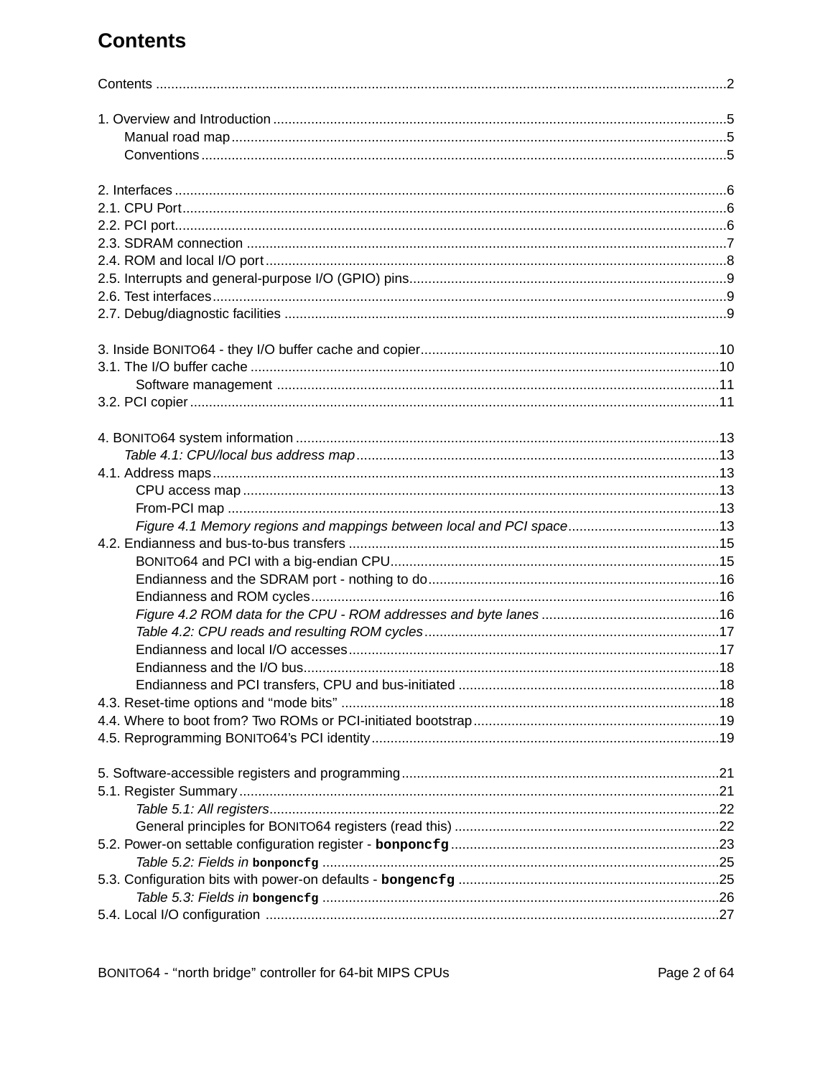# **Contents**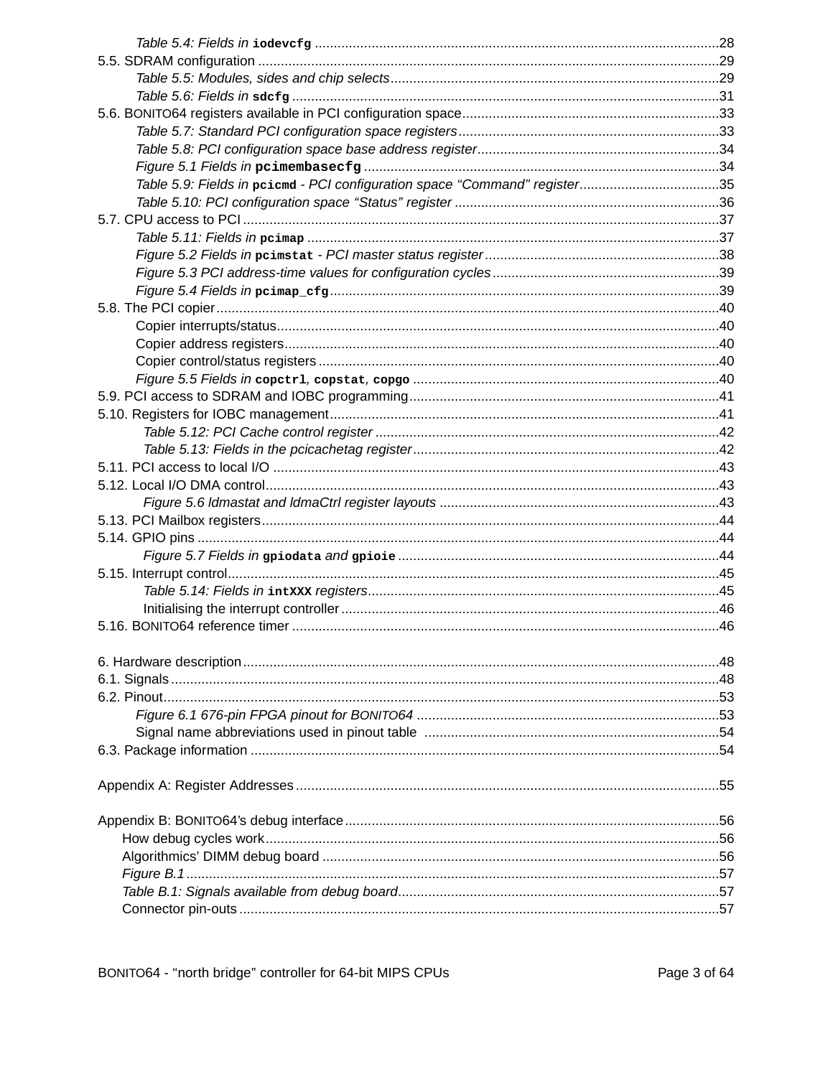| Table 5.9: Fields in pcicmd - PCI configuration space "Command" register35 |  |
|----------------------------------------------------------------------------|--|
|                                                                            |  |
|                                                                            |  |
|                                                                            |  |
|                                                                            |  |
|                                                                            |  |
|                                                                            |  |
|                                                                            |  |
|                                                                            |  |
|                                                                            |  |
|                                                                            |  |
|                                                                            |  |
|                                                                            |  |
|                                                                            |  |
|                                                                            |  |
|                                                                            |  |
|                                                                            |  |
|                                                                            |  |
|                                                                            |  |
|                                                                            |  |
|                                                                            |  |
|                                                                            |  |
|                                                                            |  |
|                                                                            |  |
|                                                                            |  |
|                                                                            |  |
|                                                                            |  |
|                                                                            |  |
|                                                                            |  |
|                                                                            |  |
|                                                                            |  |
|                                                                            |  |
|                                                                            |  |
|                                                                            |  |
|                                                                            |  |
|                                                                            |  |
|                                                                            |  |
|                                                                            |  |
|                                                                            |  |
|                                                                            |  |
|                                                                            |  |
|                                                                            |  |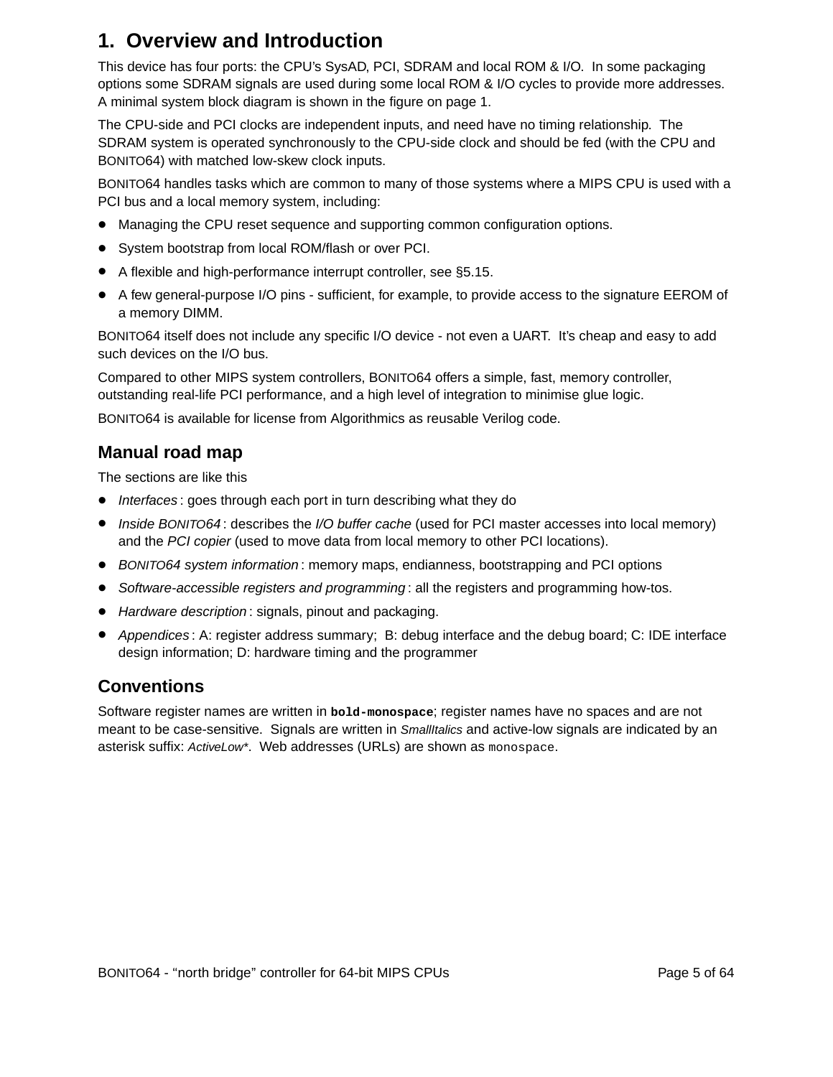# **1. Overview and Introduction**

This device has four ports: the CPU's SysAD, PCI, SDRAM and local ROM & I/O. In some packaging options some SDRAM signals are used during some local ROM & I/O cycles to provide more addresses. A minimal system block diagram is shown in the figure on page 1.

The CPU-side and PCI clocks are independent inputs, and need have no timing relationship. The SDRAM system is operated synchronously to the CPU-side clock and should be fed (with the CPU and BONITO64) with matched low-skew clock inputs.

BONITO64 handles tasks which are common to many of those systems where a MIPS CPU is used with a PCI bus and a local memory system, including:

- Managing the CPU reset sequence and supporting common configuration options.
- System bootstrap from local ROM/flash or over PCI.
- $\bullet$  A flexible and high-performance interrupt controller, see §5.15.
- A few general-purpose I/O pins sufficient, for example, to provide access to the signature EEROM of a memory DIMM.

BONITO64 itself does not include any specific I/O device - not even a UART. It's cheap and easy to add such devices on the I/O bus.

Compared to other MIPS system controllers, BONITO64 offers a simple, fast, memory controller, outstanding real-life PCI performance, and a high level of integration to minimise glue logic.

BONITO64 is available for license from Algorithmics as reusable Verilog code.

### **Manual road map**

The sections are like this

- Interfaces: goes through each port in turn describing what they do
- Inside BONITO64: describes the I/O buffer cache (used for PCI master accesses into local memory) and the PCI copier (used to move data from local memory to other PCI locations).
- BONITO64 system information: memory maps, endianness, bootstrapping and PCI options
- Software-accessible registers and programming: all the registers and programming how-tos.
- Hardware description: signals, pinout and packaging.
- Appendices : A: register address summary; B: debug interface and the debug board; C: IDE interface design information; D: hardware timing and the programmer

#### **Conventions**

Software register names are written in **bold-monospace**; register names have no spaces and are not meant to be case-sensitive. Signals are written in SmallItalics and active-low signals are indicated by an asterisk suffix: ActiveLow\*. Web addresses (URLs) are shown as monospace.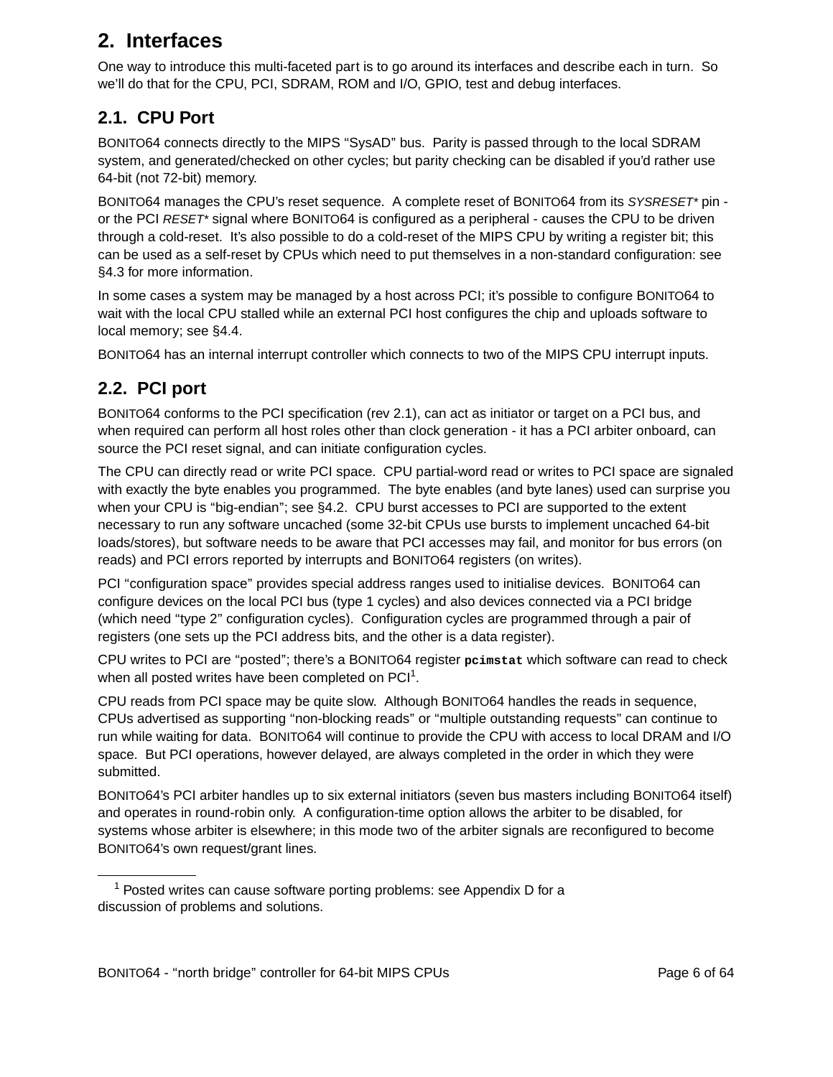## **2. Interfaces**

One way to introduce this multi-faceted part is to go around its interfaces and describe each in turn. So we'll do that for the CPU, PCI, SDRAM, ROM and I/O, GPIO, test and debug interfaces.

## **2.1. CPU Port**

BONITO64 connects directly to the MIPS "SysAD" bus. Parity is passed through to the local SDRAM system, and generated/checked on other cycles; but parity checking can be disabled if you'd rather use 64-bit (not 72-bit) memory.

BONITO64 manages the CPU's reset sequence. A complete reset of BONITO64 from its SYSRESET\* pin or the PCI RESET\* signal where BONITO64 is configured as a peripheral - causes the CPU to be driven through a cold-reset. It's also possible to do a cold-reset of the MIPS CPU by writing a register bit; this can be used as a self-reset by CPUs which need to put themselves in a non-standard configuration: see §4.3 for more information.

In some cases a system may be managed by a host across PCI; it's possible to configure BONITO64 to wait with the local CPU stalled while an external PCI host configures the chip and uploads software to local memory; see §4.4.

BONITO64 has an internal interrupt controller which connects to two of the MIPS CPU interrupt inputs.

## **2.2. PCI port**

BONITO64 conforms to the PCI specification (rev 2.1), can act as initiator or target on a PCI bus, and when required can perform all host roles other than clock generation - it has a PCI arbiter onboard, can source the PCI reset signal, and can initiate configuration cycles.

The CPU can directly read or write PCI space. CPU partial-word read or writes to PCI space are signaled with exactly the byte enables you programmed. The byte enables (and byte lanes) used can surprise you when your CPU is "big-endian"; see §4.2. CPU burst accesses to PCI are supported to the extent necessary to run any software uncached (some 32-bit CPUs use bursts to implement uncached 64-bit loads/stores), but software needs to be aware that PCI accesses may fail, and monitor for bus errors (on reads) and PCI errors reported by interrupts and BONITO64 registers (on writes).

PCI "configuration space" provides special address ranges used to initialise devices. BONITO64 can configure devices on the local PCI bus (type 1 cycles) and also devices connected via a PCI bridge (which need ''type 2'' configuration cycles). Configuration cycles are programmed through a pair of registers (one sets up the PCI address bits, and the other is a data register).

CPU writes to PCI are "posted"; there's a BONITO64 register peimstat which software can read to check when all posted writes have been completed on  $PCl<sup>1</sup>$ .

CPU reads from PCI space may be quite slow. Although BONITO64 handles the reads in sequence, CPUs adver tised as supporting ''non-blocking reads'' or ''multiple outstanding requests'' can continue to run while waiting for data. BONITO64 will continue to provide the CPU with access to local DRAM and I/O space. But PCI operations, however delayed, are always completed in the order in which they were submitted.

BONITO64's PCI arbiter handles up to six external initiators (seven bus masters including BONITO64 itself) and operates in round-robin only. A configuration-time option allows the arbiter to be disabled, for systems whose arbiter is elsewhere; in this mode two of the arbiter signals are reconfigured to become BONITO64's own request/grant lines.

 $1$  Posted writes can cause software porting problems: see Appendix D for a discussion of problems and solutions.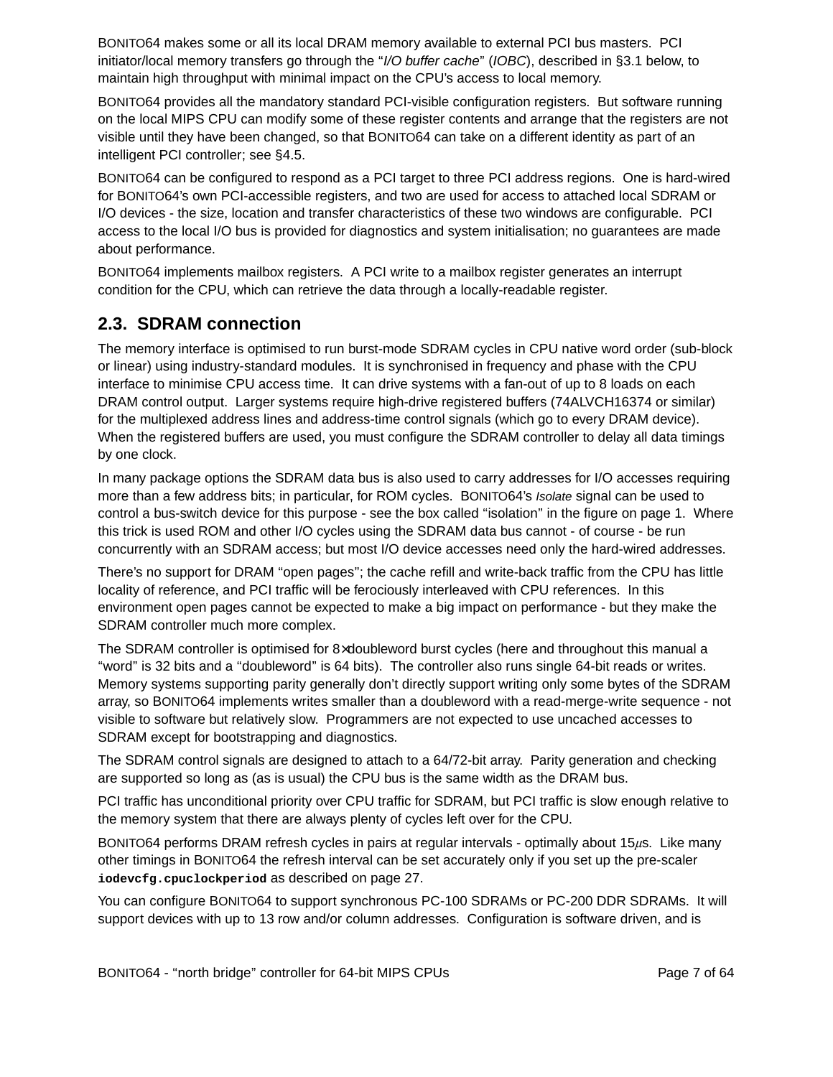BONITO64 makes some or all its local DRAM memory available to external PCI bus masters. PCI initiator/local memory transfers go through the "I/O buffer cache" (IOBC), described in §3.1 below, to maintain high throughput with minimal impact on the CPU's access to local memory.

BONITO64 provides all the mandatory standard PCI-visible configuration registers. But software running on the local MIPS CPU can modify some of these register contents and arrange that the registers are not visible until they have been changed, so that BONITO64 can take on a different identity as part of an intelligent PCI controller; see §4.5.

BONITO64 can be configured to respond as a PCI target to three PCI address regions. One is hard-wired for BONITO64's own PCI-accessible registers, and two are used for access to attached local SDRAM or I/O devices - the size, location and transfer characteristics of these two windows are configurable. PCI access to the local I/O bus is provided for diagnostics and system initialisation; no guarantees are made about performance.

BONITO64 implements mailbox registers. A PCI write to a mailbox register generates an interrupt condition for the CPU, which can retrieve the data through a locally-readable register.

#### **2.3. SDRAM connection**

The memory interface is optimised to run burst-mode SDRAM cycles in CPU native word order (sub-block or linear) using industry-standard modules. It is synchronised in frequency and phase with the CPU interface to minimise CPU access time. It can drive systems with a fan-out of up to 8 loads on each DRAM control output. Larger systems require high-drive registered buffers (74ALVCH16374 or similar) for the multiplexed address lines and address-time control signals (which go to every DRAM device). When the registered buffers are used, you must configure the SDRAM controller to delay all data timings by one clock.

In many package options the SDRAM data bus is also used to carry addresses for I/O accesses requiring more than a few address bits; in particular, for ROM cycles. BONITO64's Isolate signal can be used to control a bus-switch device for this purpose - see the box called ''isolation'' in the figure on page 1. Where this trick is used ROM and other I/O cycles using the SDRAM data bus cannot - of course - be run concurrently with an SDRAM access; but most I/O device accesses need only the hard-wired addresses.

There's no support for DRAM "open pages"; the cache refill and write-back traffic from the CPU has little locality of reference, and PCI traffic will be ferociously interleaved with CPU references. In this environment open pages cannot be expected to make a big impact on performance - but they make the SDRAM controller much more complex.

The SDRAM controller is optimised for 8×doubleword burst cycles (here and throughout this manual a ''word'' is 32 bits and a ''doubleword'' is 64 bits). The controller also runs single 64-bit reads or writes. Memory systems supporting parity generally don't directly support writing only some bytes of the SDRAM array, so BONITO64 implements writes smaller than a doubleword with a read-merge-write sequence - not visible to software but relatively slow. Programmers are not expected to use uncached accesses to SDRAM except for bootstrapping and diagnostics.

The SDRAM control signals are designed to attach to a 64/72-bit array. Parity generation and checking are supported so long as (as is usual) the CPU bus is the same width as the DRAM bus.

PCI traffic has unconditional priority over CPU traffic for SDRAM, but PCI traffic is slow enough relative to the memory system that there are always plenty of cycles left over for the CPU.

BONITO64 performs DRAM refresh cycles in pairs at regular intervals - optimally about  $15\mu s$ . Like many other timings in BONITO64 the refresh interval can be set accurately only if you set up the pre-scaler **iodevcfg.cpuclockperiod** as described on page 27.

You can configure BONITO64 to support synchronous PC-100 SDRAMs or PC-200 DDR SDRAMs. It will support devices with up to 13 row and/or column addresses. Configuration is software driven, and is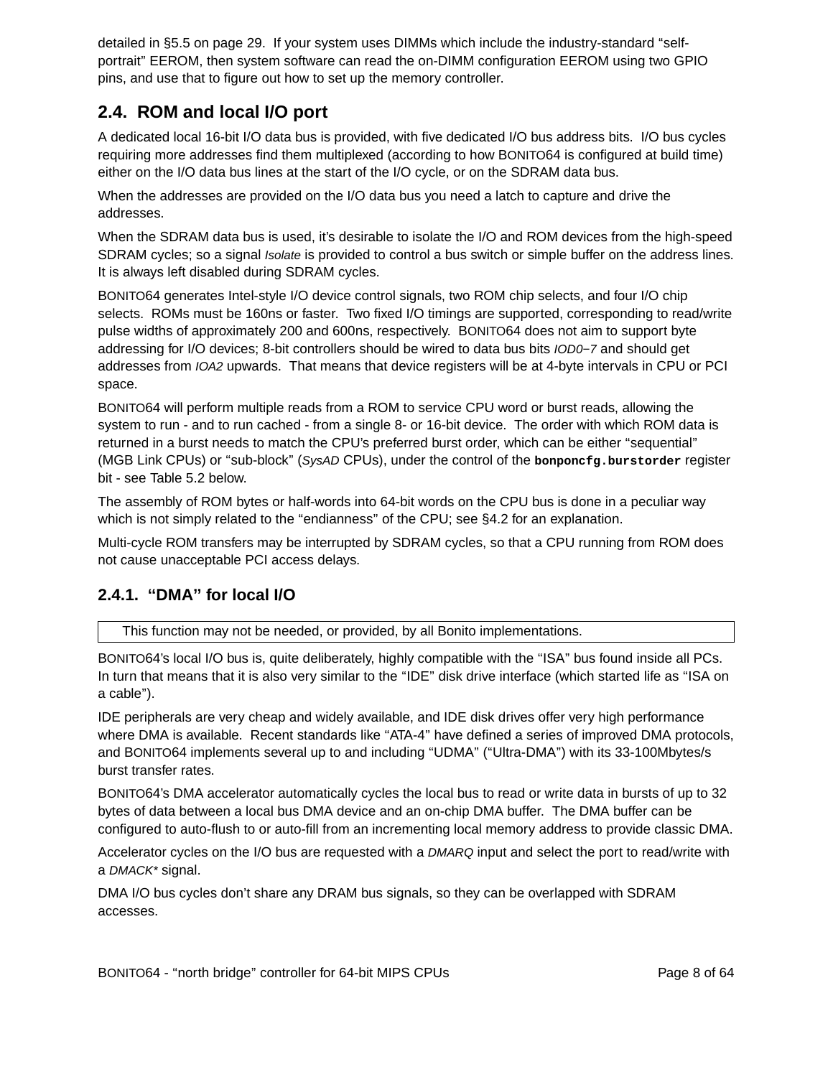detailed in §5.5 on page 29. If your system uses DIMMs which include the industry-standard ''selfportrait" EEROM, then system software can read the on-DIMM configuration EEROM using two GPIO pins, and use that to figure out how to set up the memory controller.

### **2.4. ROM and local I/O port**

A dedicated local 16-bit I/O data bus is provided, with five dedicated I/O bus address bits. I/O bus cycles requiring more addresses find them multiplexed (according to how BONITO64 is configured at build time) either on the I/O data bus lines at the start of the I/O cycle, or on the SDRAM data bus.

When the addresses are provided on the I/O data bus you need a latch to capture and drive the addresses.

When the SDRAM data bus is used, it's desirable to isolate the I/O and ROM devices from the high-speed SDRAM cycles; so a signal *Isolate* is provided to control a bus switch or simple buffer on the address lines. It is always left disabled during SDRAM cycles.

BONITO64 generates Intel-style I/O device control signals, two ROM chip selects, and four I/O chip selects. ROMs must be 160ns or faster. Two fixed I/O timings are supported, corresponding to read/write pulse widths of approximately 200 and 600ns, respectively. BONITO64 does not aim to support byte addressing for I/O devices; 8-bit controllers should be wired to data bus bits IOD0−7 and should get addresses from IOA2 upwards. That means that device registers will be at 4-byte intervals in CPU or PCI space.

BONITO64 will perform multiple reads from a ROM to service CPU word or burst reads, allowing the system to run - and to run cached - from a single 8- or 16-bit device. The order with which ROM data is returned in a burst needs to match the CPU's preferred burst order, which can be either "sequential" (MGB Link CPUs) or ''sub-block'' (SysAD CPUs), under the control of the **bonponcfg.burstorder** register bit - see Table 5.2 below.

The assembly of ROM bytes or half-words into 64-bit words on the CPU bus is done in a peculiar way which is not simply related to the "endianness" of the CPU; see §4.2 for an explanation.

Multi-cycle ROM transfers may be interrupted by SDRAM cycles, so that a CPU running from ROM does not cause unacceptable PCI access delays.

#### **2.4.1. ''DMA'' for local I/O**

This function may not be needed, or provided, by all Bonito implementations.

BONITO64's local I/O bus is, quite deliberately, highly compatible with the ''ISA'' bus found inside all PCs. In turn that means that it is also very similar to the "IDE" disk drive interface (which started life as "ISA on a cable'').

IDE peripherals are very cheap and widely available, and IDE disk drives offer very high performance where DMA is available. Recent standards like "ATA-4" have defined a series of improved DMA protocols, and BONITO64 implements several up to and including ''UDMA'' (''Ultra-DMA'') with its 33-100Mbytes/s burst transfer rates.

BONITO64's DMA accelerator automatically cycles the local bus to read or write data in bursts of up to 32 bytes of data between a local bus DMA device and an on-chip DMA buffer. The DMA buffer can be configured to auto-flush to or auto-fill from an incrementing local memory address to provide classic DMA.

Accelerator cycles on the I/O bus are requested with a DMARQ input and select the port to read/write with a DMACK\* signal.

DMA I/O bus cycles don't share any DRAM bus signals, so they can be overlapped with SDRAM accesses.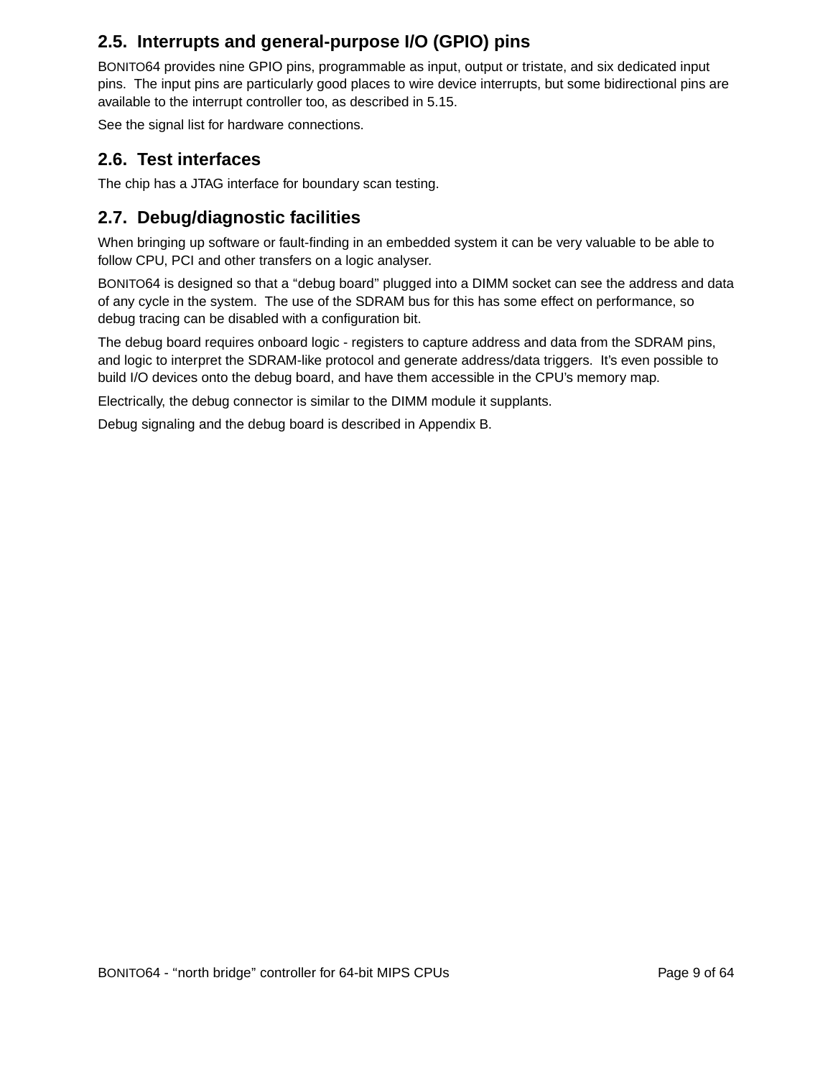### **2.5. Interrupts and general-purpose I/O (GPIO) pins**

BONITO64 provides nine GPIO pins, programmable as input, output or tristate, and six dedicated input pins. The input pins are particularly good places to wire device interrupts, but some bidirectional pins are available to the interrupt controller too, as described in 5.15.

See the signal list for hardware connections.

#### **2.6. Test interfaces**

The chip has a JTAG interface for boundary scan testing.

### **2.7. Debug/diagnostic facilities**

When bringing up software or fault-finding in an embedded system it can be very valuable to be able to follow CPU, PCI and other transfers on a logic analyser.

BONITO64 is designed so that a ''debug board'' plugged into a DIMM socket can see the address and data of any cycle in the system. The use of the SDRAM bus for this has some effect on performance, so debug tracing can be disabled with a configuration bit.

The debug board requires onboard logic - registers to capture address and data from the SDRAM pins, and logic to interpret the SDRAM-like protocol and generate address/data triggers. It's even possible to build I/O devices onto the debug board, and have them accessible in the CPU's memory map.

Electrically, the debug connector is similar to the DIMM module it supplants.

Debug signaling and the debug board is described in Appendix B.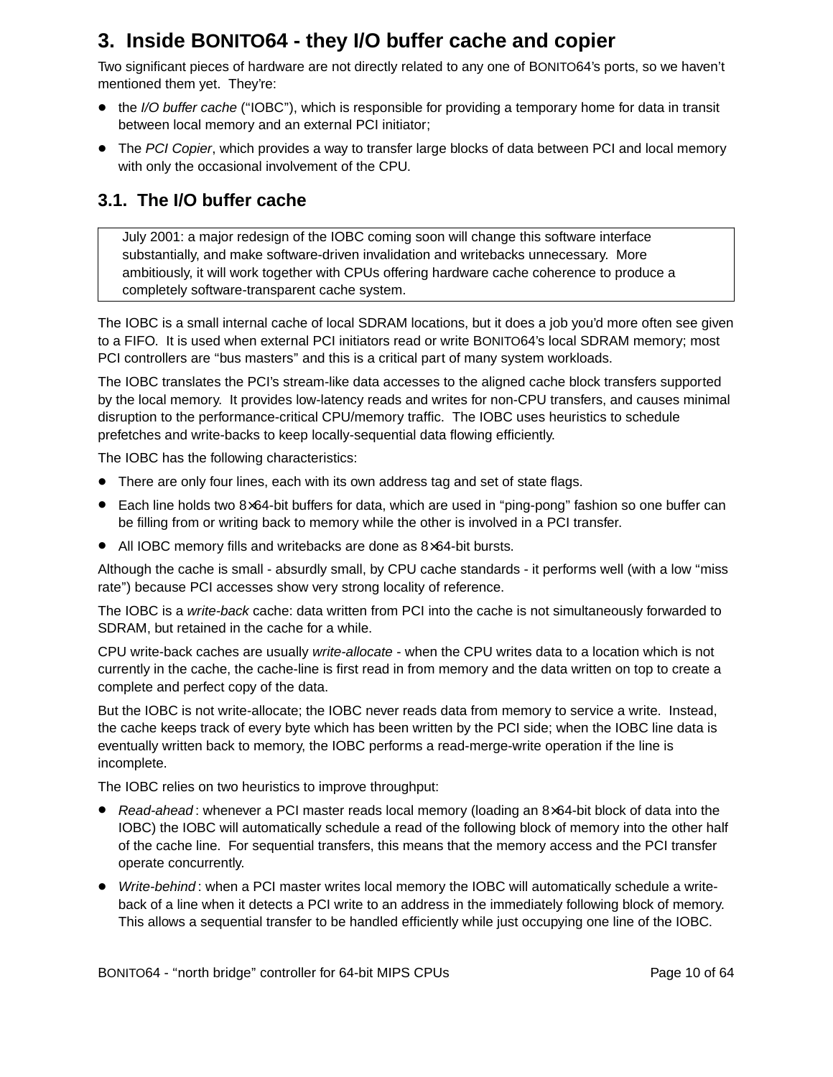## **3. Inside BONITO64 - they I/O buffer cache and copier**

Two significant pieces of hardware are not directly related to any one of BONITO64's ports, so we haven't mentioned them yet. They're:

- the I/O buffer cache ("IOBC"), which is responsible for providing a temporary home for data in transit between local memory and an external PCI initiator;
- The PCI Copier, which provides a way to transfer large blocks of data between PCI and local memory with only the occasional involvement of the CPU.

### **3.1. The I/O buffer cache**

July 2001: a major redesign of the IOBC coming soon will change this software interface substantially, and make software-driven invalidation and writebacks unnecessary. More ambitiously, it will work together with CPUs offering hardware cache coherence to produce a completely software-transparent cache system.

The IOBC is a small internal cache of local SDRAM locations, but it does a job you'd more often see given to a FIFO. It is used when external PCI initiators read or write BONITO64's local SDRAM memory; most PCI controllers are "bus masters" and this is a critical part of many system workloads.

The IOBC translates the PCI's stream-like data accesses to the aligned cache block transfers supported by the local memory. It provides low-latency reads and writes for non-CPU transfers, and causes minimal disruption to the performance-critical CPU/memory traffic. The IOBC uses heuristics to schedule prefetches and write-backs to keep locally-sequential data flowing efficiently.

The IOBC has the following characteristics:

- There are only four lines, each with its own address tag and set of state flags.
- Each line holds two 8×64-bit buffers for data, which are used in "ping-pong" fashion so one buffer can be filling from or writing back to memory while the other is involved in a PCI transfer.
- All IOBC memory fills and writebacks are done as 8×64-bit bursts.

Although the cache is small - absurdly small, by CPU cache standards - it performs well (with a low "miss" rate") because PCI accesses show very strong locality of reference.

The IOBC is a write-back cache: data written from PCI into the cache is not simultaneously forwarded to SDRAM, but retained in the cache for a while.

CPU write-back caches are usually write-allocate - when the CPU writes data to a location which is not currently in the cache, the cache-line is first read in from memory and the data written on top to create a complete and perfect copy of the data.

But the IOBC is not write-allocate; the IOBC never reads data from memory to service a write. Instead, the cache keeps track of every byte which has been written by the PCI side; when the IOBC line data is eventually written back to memory, the IOBC performs a read-merge-write operation if the line is incomplete.

The IOBC relies on two heuristics to improve throughput:

- Read-ahead: whenever a PCI master reads local memory (loading an  $8\times 64$ -bit block of data into the IOBC) the IOBC will automatically schedule a read of the following block of memory into the other half of the cache line. For sequential transfers, this means that the memory access and the PCI transfer operate concurrently.
- Write-behind: when a PCI master writes local memory the IOBC will automatically schedule a writeback of a line when it detects a PCI write to an address in the immediately following block of memory. This allows a sequential transfer to be handled efficiently while just occupying one line of the IOBC.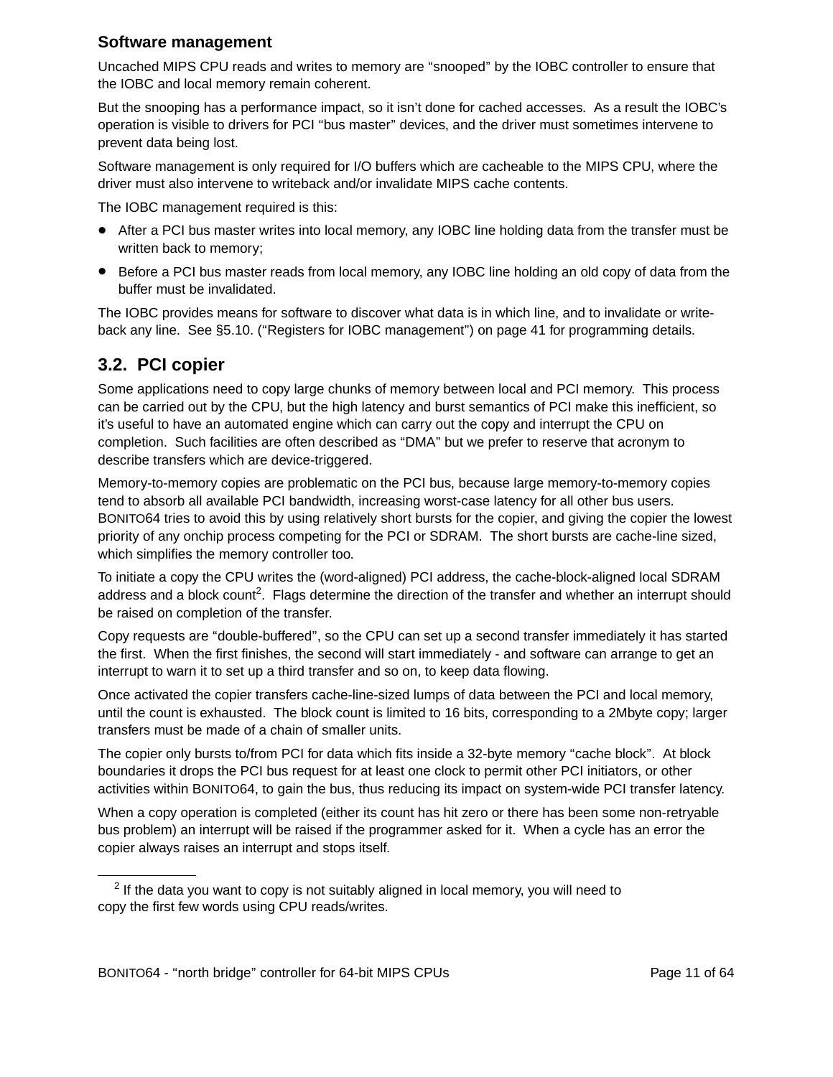#### **Software management**

Uncached MIPS CPU reads and writes to memory are ''snooped'' by the IOBC controller to ensure that the IOBC and local memory remain coherent.

But the snooping has a performance impact, so it isn't done for cached accesses. As a result the IOBC's operation is visible to drivers for PCI ''bus master'' devices, and the driver must sometimes intervene to prevent data being lost.

Software management is only required for I/O buffers which are cacheable to the MIPS CPU, where the driver must also intervene to writeback and/or invalidate MIPS cache contents.

The IOBC management required is this:

- After a PCI bus master writes into local memory, any IOBC line holding data from the transfer must be written back to memory;
- Before a PCI bus master reads from local memory, any IOBC line holding an old copy of data from the buffer must be invalidated.

The IOBC provides means for software to discover what data is in which line, and to invalidate or writeback any line. See §5.10. (''Registers for IOBC management'') on page 41 for programming details.

### **3.2. PCI copier**

Some applications need to copy large chunks of memory between local and PCI memory. This process can be carried out by the CPU, but the high latency and burst semantics of PCI make this inefficient, so it's useful to have an automated engine which can carry out the copy and interrupt the CPU on completion. Such facilities are often described as ''DMA'' but we prefer to reserve that acronym to describe transfers which are device-triggered.

Memory-to-memory copies are problematic on the PCI bus, because large memory-to-memory copies tend to absorb all available PCI bandwidth, increasing worst-case latency for all other bus users. BONITO64 tries to avoid this by using relatively short bursts for the copier, and giving the copier the lowest priority of any onchip process competing for the PCI or SDRAM. The short bursts are cache-line sized, which simplifies the memory controller too.

To initiate a copy the CPU writes the (word-aligned) PCI address, the cache-block-aligned local SDRAM address and a block count<sup>2</sup>. Flags determine the direction of the transfer and whether an interrupt should be raised on completion of the transfer.

Copy requests are ''double-buffered'', so the CPU can set up a second transfer immediately it has started the first. When the first finishes, the second will start immediately - and software can arrange to get an interrupt to warn it to set up a third transfer and so on, to keep data flowing.

Once activated the copier transfers cache-line-sized lumps of data between the PCI and local memory, until the count is exhausted. The block count is limited to 16 bits, corresponding to a 2Mbyte copy; larger transfers must be made of a chain of smaller units.

The copier only bursts to/from PCI for data which fits inside a 32-byte memory "cache block". At block boundaries it drops the PCI bus request for at least one clock to permit other PCI initiators, or other activities within BONITO64, to gain the bus, thus reducing its impact on system-wide PCI transfer latency.

When a copy operation is completed (either its count has hit zero or there has been some non-retryable bus problem) an interrupt will be raised if the programmer asked for it. When a cycle has an error the copier always raises an interrupt and stops itself.

 $2$  If the data you want to copy is not suitably aligned in local memory, you will need to copy the first few words using CPU reads/writes.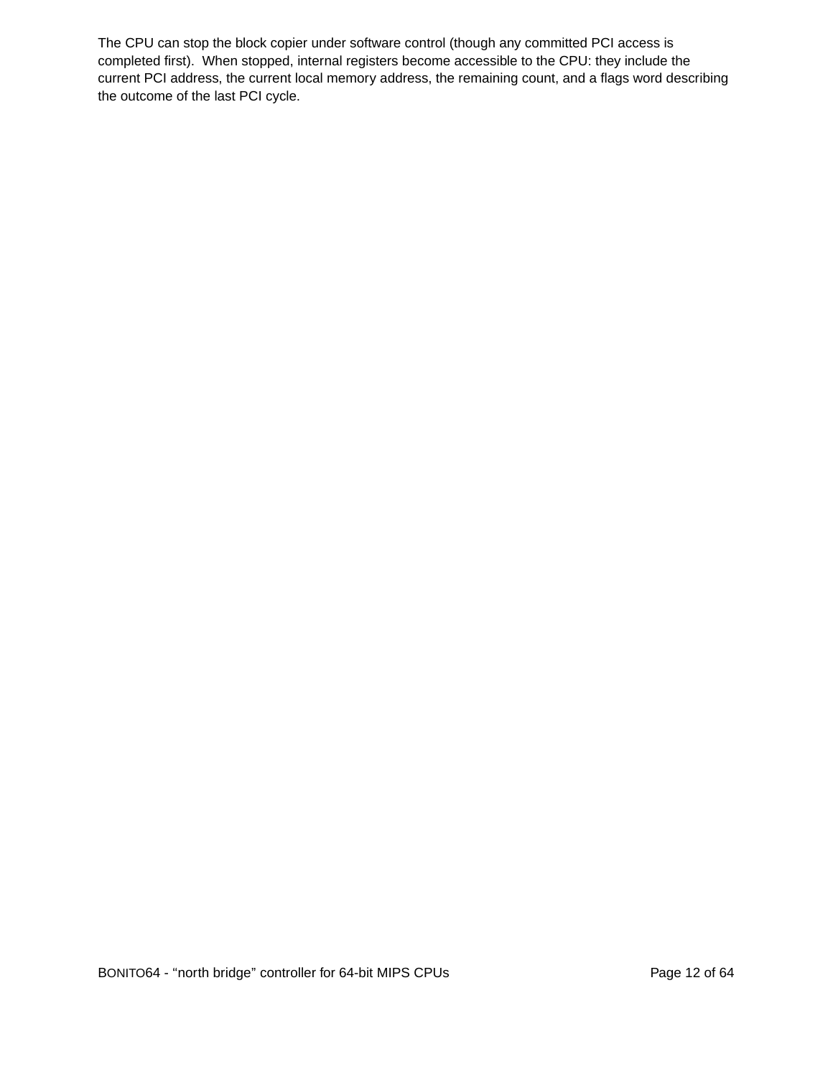The CPU can stop the block copier under software control (though any committed PCI access is completed first). When stopped, internal registers become accessible to the CPU: they include the current PCI address, the current local memory address, the remaining count, and a flags word describing the outcome of the last PCI cycle.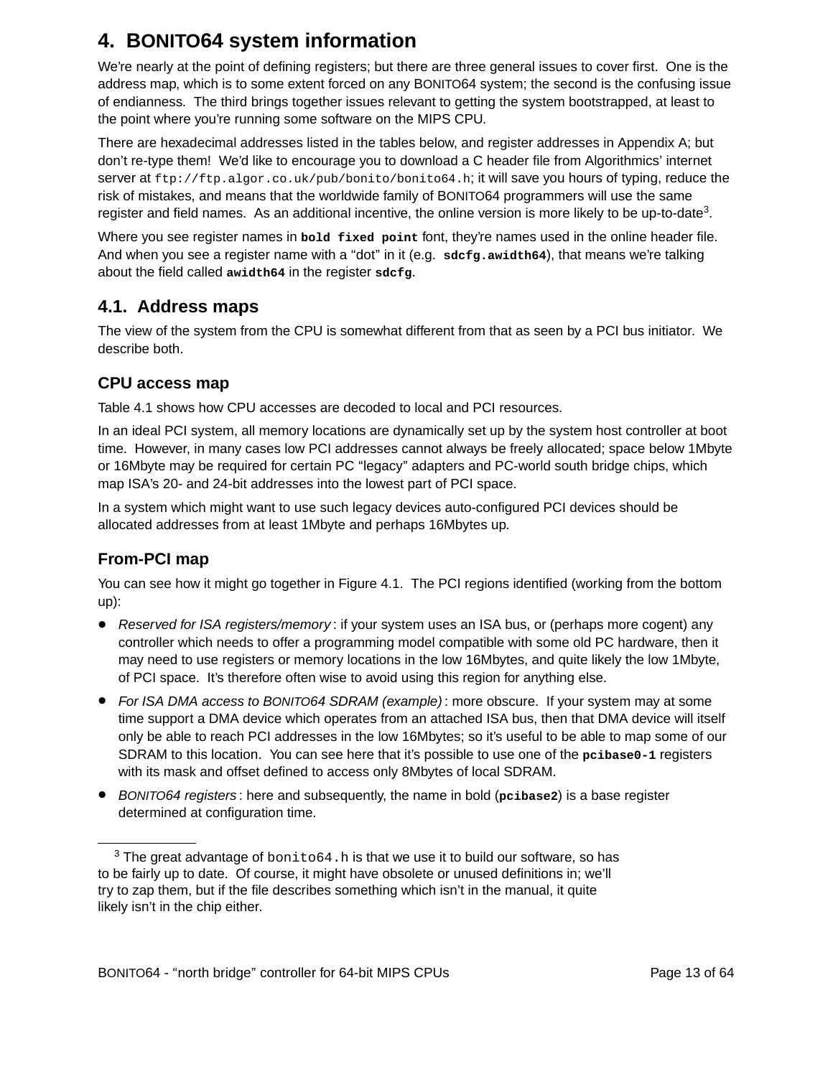# **4. BONITO64 system information**

We're nearly at the point of defining registers; but there are three general issues to cover first. One is the address map, which is to some extent forced on any BONITO64 system; the second is the confusing issue of endianness. The third brings together issues relevant to getting the system bootstrapped, at least to the point where you're running some software on the MIPS CPU.

There are hexadecimal addresses listed in the tables below, and register addresses in Appendix A; but don't re-type them! We'd like to encourage you to download a C header file from Algorithmics' internet server at ftp://ftp.algor.co.uk/pub/bonito/bonito64.h; it will save you hours of typing, reduce the risk of mistakes, and means that the worldwide family of BONITO64 programmers will use the same register and field names. As an additional incentive, the online version is more likely to be up-to-date<sup>3</sup>.

Where you see register names in **bold fixed point** font, they're names used in the online header file. And when you see a register name with a ''dot'' in it (e.g. **sdcfg.awidth64**), that means we're talking about the field called **awidth64** in the register **sdcfg**.

### **4.1. Address maps**

The view of the system from the CPU is somewhat different from that as seen by a PCI bus initiator. We describe both.

#### **CPU access map**

Table 4.1 shows how CPU accesses are decoded to local and PCI resources.

In an ideal PCI system, all memory locations are dynamically set up by the system host controller at boot time. However, in many cases low PCI addresses cannot always be freely allocated; space below 1Mbyte or 16Mbyte may be required for certain PC "legacy" adapters and PC-world south bridge chips, which map ISA's 20- and 24-bit addresses into the lowest part of PCI space.

In a system which might want to use such legacy devices auto-configured PCI devices should be allocated addresses from at least 1Mbyte and perhaps 16Mbytes up.

### **From-PCI map**

You can see how it might go together in Figure 4.1. The PCI regions identified (working from the bottom up):

- Reserved for ISA registers/memory: if your system uses an ISA bus, or (perhaps more cogent) any controller which needs to offer a programming model compatible with some old PC hardware, then it may need to use registers or memory locations in the low 16Mbytes, and quite likely the low 1Mbyte, of PCI space. It's therefore often wise to avoid using this region for anything else.
- For ISA DMA access to BONITO64 SDRAM (example): more obscure. If your system may at some time support a DMA device which operates from an attached ISA bus, then that DMA device will itself only be able to reach PCI addresses in the low 16Mbytes; so it's useful to be able to map some of our SDRAM to this location. You can see here that it's possible to use one of the **pcibase0-1** registers with its mask and offset defined to access only 8Mbytes of local SDRAM.
- <sup>B</sup>ONITO64 registers : here and subsequently, the name in bold (**pcibase2**) isabase register determined at configuration time.

 $3$  The great advantage of  $\text{bonito64}$ . h is that we use it to build our software, so has to be fairly up to date. Of course, it might have obsolete or unused definitions in; we'll try to zap them, but if the file describes something which isn't in the manual, it quite likely isn't in the chip either.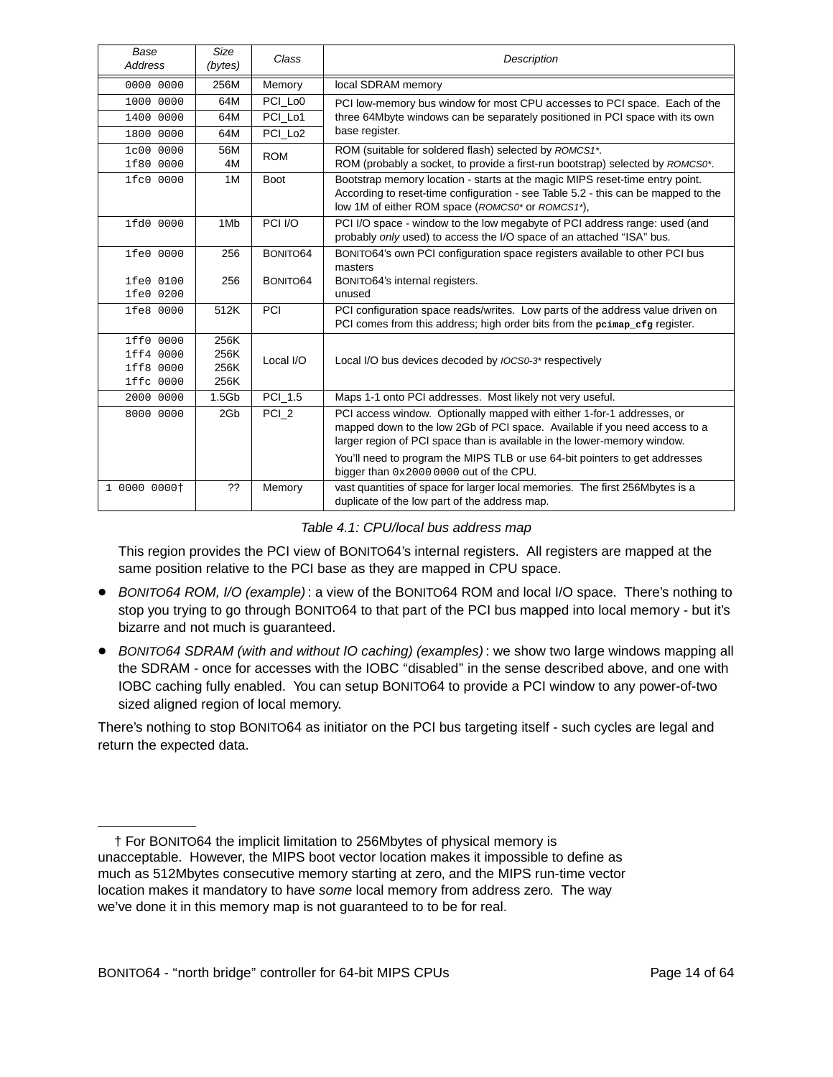| Base<br><b>Address</b> | Size<br>(bytes)   | Class               | <b>Description</b>                                                                                                                                                                                                               |  |
|------------------------|-------------------|---------------------|----------------------------------------------------------------------------------------------------------------------------------------------------------------------------------------------------------------------------------|--|
| 0000 0000              | 256M              | Memory              | local SDRAM memory                                                                                                                                                                                                               |  |
| 1000 0000              | 64M               | PCI Lo <sub>0</sub> | PCI low-memory bus window for most CPU accesses to PCI space. Each of the                                                                                                                                                        |  |
| 1400 0000              | 64M               | PCI_Lo1             | three 64Mbyte windows can be separately positioned in PCI space with its own                                                                                                                                                     |  |
| 1800 0000              | 64M               | PCI Lo <sub>2</sub> | base register.                                                                                                                                                                                                                   |  |
| 1c00 0000              | 56M               | <b>ROM</b>          | ROM (suitable for soldered flash) selected by ROMCS1*.                                                                                                                                                                           |  |
| 1f80 0000              | 4M                |                     | ROM (probably a socket, to provide a first-run bootstrap) selected by ROMCS0*.                                                                                                                                                   |  |
| 1fc0 0000              | 1M                | <b>Boot</b>         | Bootstrap memory location - starts at the magic MIPS reset-time entry point.<br>According to reset-time configuration - see Table 5.2 - this can be mapped to the<br>low 1M of either ROM space (ROMCS0* or ROMCS1*),            |  |
| 1fd0 0000              | 1M <sub>b</sub>   | PCI I/O             | PCI I/O space - window to the low megabyte of PCI address range: used (and<br>probably only used) to access the I/O space of an attached "ISA" bus.                                                                              |  |
| 1fe0 0000              | 256               | BONITO64            | BONITO64's own PCI configuration space registers available to other PCI bus                                                                                                                                                      |  |
|                        |                   |                     | masters                                                                                                                                                                                                                          |  |
| 1fe0 0100<br>1fe0 0200 | 256               | BONITO64            | BONITO64's internal registers.<br>unused                                                                                                                                                                                         |  |
| 1fe8 0000              | 512K              | PCI                 | PCI configuration space reads/writes. Low parts of the address value driven on                                                                                                                                                   |  |
|                        |                   |                     | PCI comes from this address; high order bits from the peimap efg register.                                                                                                                                                       |  |
| 1ff0 0000              | 256K              |                     |                                                                                                                                                                                                                                  |  |
| 1ff4 0000              | 256K              | Local I/O           | Local I/O bus devices decoded by <i>IOCS0-3*</i> respectively                                                                                                                                                                    |  |
| 1ff8 0000              | 256K              |                     |                                                                                                                                                                                                                                  |  |
| 1ffc 0000              | 256K              |                     |                                                                                                                                                                                                                                  |  |
| 2000 0000              | 1.5 <sub>Gb</sub> | PCI 1.5             | Maps 1-1 onto PCI addresses. Most likely not very useful.                                                                                                                                                                        |  |
| 8000 0000              | 2Gb               | PCI_2               | PCI access window. Optionally mapped with either 1-for-1 addresses, or<br>mapped down to the low 2Gb of PCI space. Available if you need access to a<br>larger region of PCI space than is available in the lower-memory window. |  |
|                        |                   |                     | You'll need to program the MIPS TLB or use 64-bit pointers to get addresses<br>bigger than 0x2000 0000 out of the CPU.                                                                                                           |  |
| 1 0000 0000+           | ??                | Memory              | vast quantities of space for larger local memories. The first 256Mbytes is a<br>duplicate of the low part of the address map.                                                                                                    |  |

Table 4.1: CPU/local bus address map

This region provides the PCI view of BONITO64's internal registers. All registers are mapped at the same position relative to the PCI base as they are mapped in CPU space.

- BONITO64 ROM, I/O (example): a view of the BONITO64 ROM and local I/O space. There's nothing to stop you trying to go through BONITO64 to that part of the PCI bus mapped into local memory-but it's bizarre and not much is guaranteed.
- <sup>B</sup>ONITO64 SDRAM (with and without IO caching) (examples) : we show two large windows mapping all the SDRAM - once for accesses with the IOBC "disabled" in the sense described above, and one with IOBC caching fully enabled. You can setup BONITO64 to provide a PCI window to any power-of-two sized aligned region of local memory.

There's nothing to stop BONITO64 as initiator on the PCI bus targeting itself - such cycles are legal and return the expected data.

<sup>†</sup> For BONITO64 the implicit limitation to 256Mbytes of physical memory is unacceptable. However, the MIPS boot vector location makes it impossible to define as much as 512Mbytes consecutive memory starting at zero, and the MIPS run-time vector location makes it mandatory to have some local memory from address zero. The way we've done it in this memory map is not guaranteed to to be for real.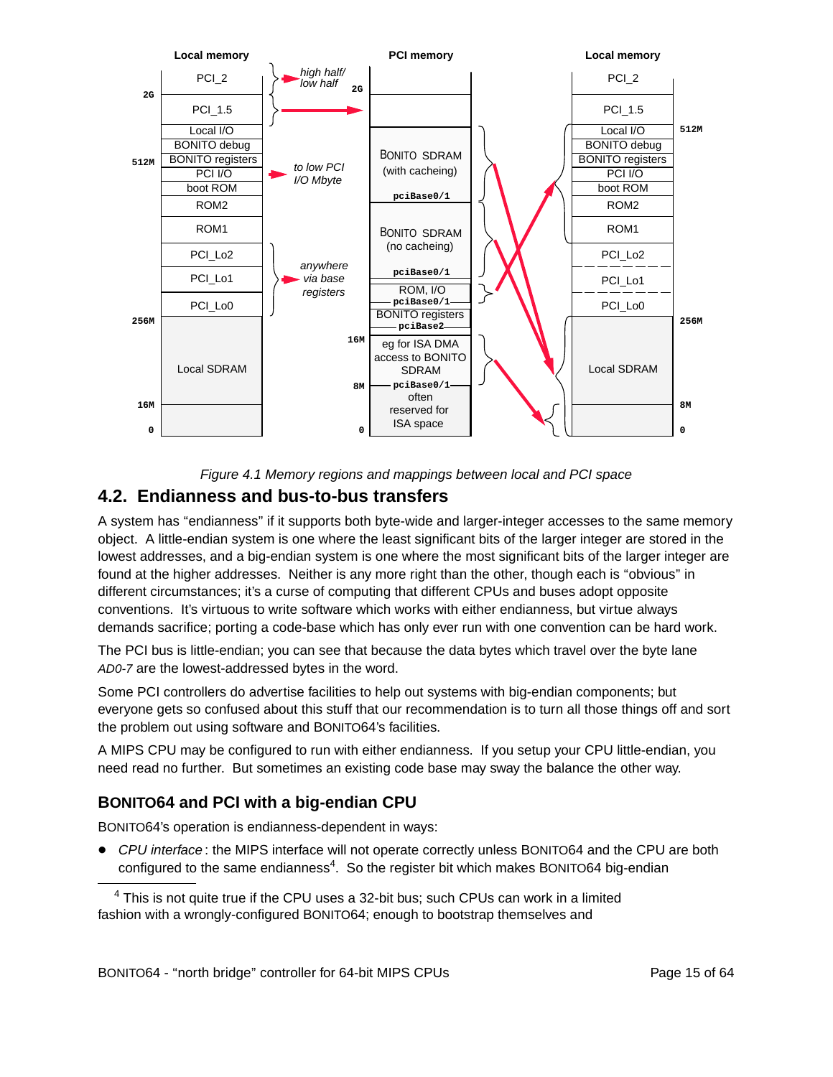

Figure 4.1 Memory regions and mappings between local and PCI space

### **4.2. Endianness and bus-to-bus transfers**

A system has "endianness" if it supports both byte-wide and larger-integer accesses to the same memory object. A little-endian system is one where the least significant bits of the larger integer are stored in the lowest addresses, and a big-endian system is one where the most significant bits of the larger integer are found at the higher addresses. Neither is any more right than the other, though each is ''obvious'' in different circumstances; it's a curse of computing that different CPUs and buses adopt opposite conventions. It's virtuous to write software which works with either endianness, but virtue always demands sacrifice; porting a code-base which has only ever run with one convention can be hard work.

The PCI bus is little-endian; you can see that because the data bytes which travel over the byte lane AD0-7 are the lowest-addressed bytes in the word.

Some PCI controllers do advertise facilities to help out systems with big-endian components; but everyone gets so confused about this stuff that our recommendation is to turn all those things off and sort the problem out using software and BONITO64's facilities.

A MIPS CPU may be configured to run with either endianness. If you setup your CPU little-endian, you need read no further. But sometimes an existing code base may sway the balance the other way.

### **BONITO64 and PCI with a big-endian CPU**

BONITO64's operation is endianness-dependent in ways:

• CPU interface: the MIPS interface will not operate correctly unless BONITO64 and the CPU are both configured to the same endianness<sup>4</sup>. So the register bit which makes BONITO64 big-endian

 $4$  This is not quite true if the CPU uses a 32-bit bus; such CPUs can work in a limited fashion with a wrongly-configured BONITO64; enough to bootstrap themselves and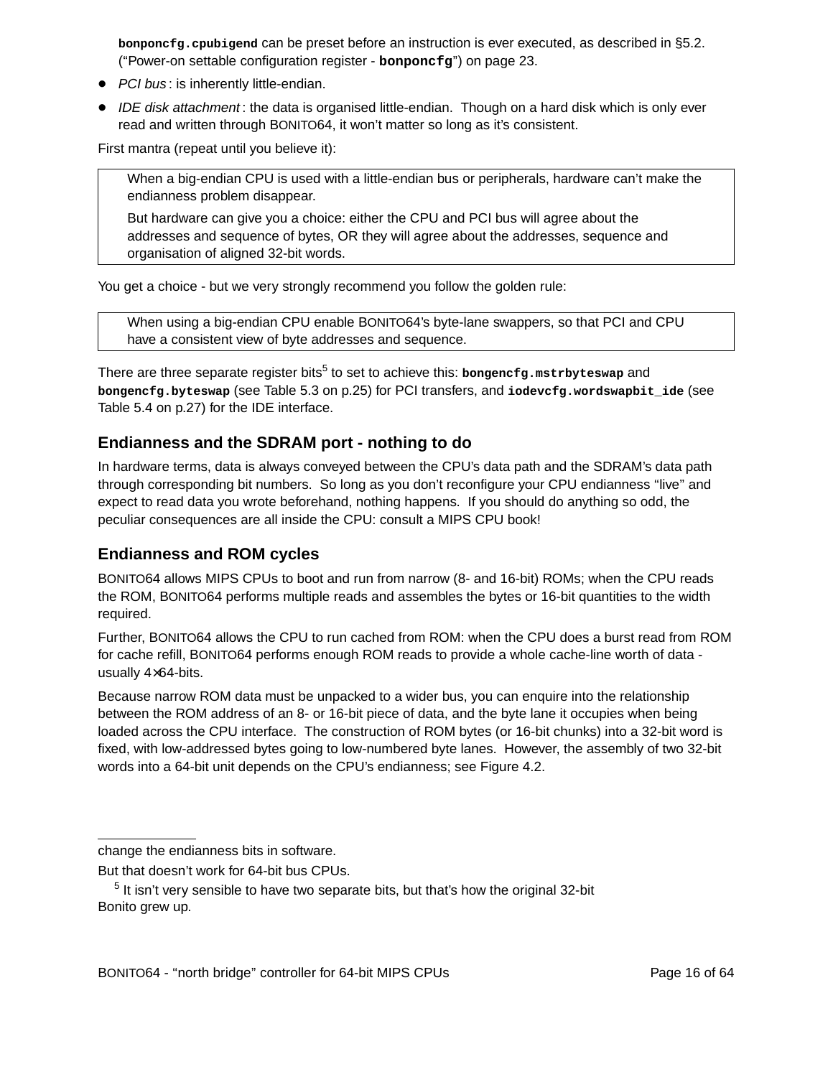**bonponcfg.cpubigend** can be preset before an instruction is ever executed, as described in §5.2. (''Pow er-on settable configuration register - **bonponcfg**'') on page 23.

- PCI bus: is inherently little-endian.
- IDE disk attachment: the data is organised little-endian. Though on a hard disk which is only ever read and written through BONITO64, it won't matter so long as it's consistent.

First mantra (repeat until you believe it):

When a big-endian CPU is used with a little-endian bus or peripherals, hardware can't make the endianness problem disappear.

But hardware can give you a choice: either the CPU and PCI bus will agree about the addresses and sequence of bytes, OR they will agree about the addresses, sequence and organisation of aligned 32-bit words.

You get a choice - but we very strongly recommend you follow the golden rule:

When using a big-endian CPU enable BONITO64's byte-lane swappers, so that PCI and CPU have a consistent view of byte addresses and sequence.

There are three separate register bits<sup>5</sup> to set to achieve this: bongencfg.mstrbyteswap and **bongencfg.byteswap** (see Table 5.3 on p.25) for PCI transfers, and **iodevcfg.wordswapbit\_ide** (see Table 5.4 on p.27) for the IDE interface.

#### **Endianness and the SDRAM port-nothing to do**

In hardware terms, data is always conveyed between the CPU's data path and the SDRAM's data path through corresponding bit numbers. So long as you don't reconfigure your CPU endianness ''live'' and expect to read data you wrote beforehand, nothing happens. If you should do anything so odd, the peculiar consequences are all inside the CPU: consult a MIPS CPU book!

#### **Endianness and ROM cycles**

BONITO64 allows MIPS CPUs to boot and run from narrow (8- and 16-bit) ROMs; when the CPU reads the ROM, BONITO64 performs multiple reads and assembles the bytes or 16-bit quantities to the width required.

Further, BONITO64 allows the CPU to run cached from ROM: when the CPU does a burst read from ROM for cache refill, BONITO64 performs enough ROM reads to provide a whole cache-line worth of data usually 4×64-bits.

Because narrow ROM data must be unpacked to a wider bus, you can enquire into the relationship between the ROM address of an 8- or 16-bit piece of data, and the byte lane it occupies when being loaded across the CPU interface. The construction of ROM bytes (or 16-bit chunks) into a 32-bit word is fixed, with low-addressed bytes going to low-numbered byte lanes. However, the assembly of two 32-bit words into a 64-bit unit depends on the CPU's endianness; see Figure 4.2.

change the endianness bits in software.

But that doesn't work for 64-bit bus CPUs.

 $<sup>5</sup>$  It isn't very sensible to have two separate bits, but that's how the original 32-bit</sup> Bonito grew up.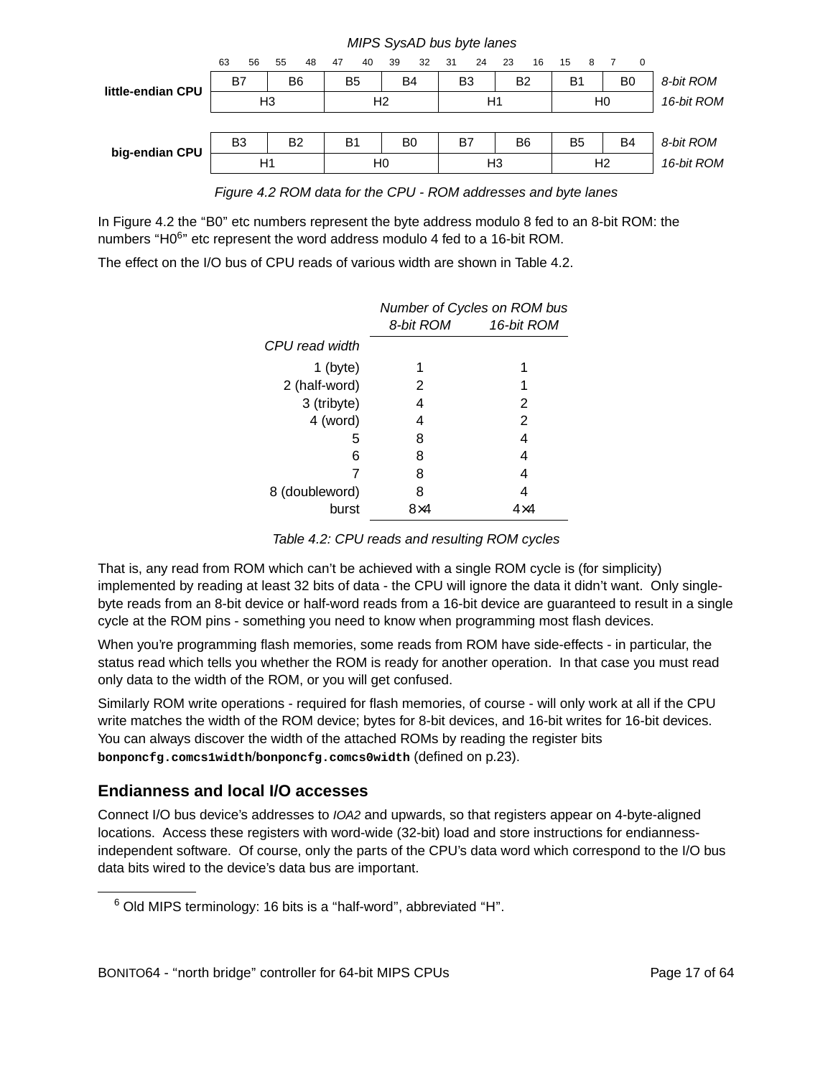|                   | 63             | 56 | 55              | 48 | 47                   | 40 | 39             | 32             | 31 | 24 | 23             | 16         | 15             | 8              |           | $\Omega$ |            |
|-------------------|----------------|----|-----------------|----|----------------------|----|----------------|----------------|----|----|----------------|------------|----------------|----------------|-----------|----------|------------|
| little-endian CPU | B7<br>B6       |    | <b>B4</b><br>B5 |    | B3<br>B <sub>2</sub> |    | B <sub>1</sub> |                | B0 |    | 8-bit ROM      |            |                |                |           |          |            |
|                   | H <sub>3</sub> |    | H <sub>2</sub>  |    | H1                   |    |                | H <sub>0</sub> |    |    |                | 16-bit ROM |                |                |           |          |            |
|                   |                |    |                 |    |                      |    |                |                |    |    |                |            |                |                |           |          |            |
| big-endian CPU    | B <sub>3</sub> |    | B <sub>2</sub>  |    | B1                   |    |                | B <sub>0</sub> | B7 |    | B6             |            | B <sub>5</sub> |                | <b>B4</b> |          | 8-bit ROM  |
|                   |                | H1 |                 |    |                      |    | H0             |                |    |    | H <sub>3</sub> |            |                | H <sub>2</sub> |           |          | 16-bit ROM |
|                   |                |    |                 |    |                      |    |                |                |    |    |                |            |                |                |           |          |            |

MIPS SysAD bus byte lanes

Figure 4.2 ROM data for the CPU - ROM addresses and byte lanes

In Figure 4.2 the "B0" etc numbers represent the byte address modulo 8 fed to an 8-bit ROM: the numbers "H0<sup>6</sup>" etc represent the word address modulo 4 fed to a 16-bit ROM.

The effect on the I/O bus of CPU reads of various width are shown in Table 4.2.

|                | Number of Cycles on ROM bus |            |  |  |  |
|----------------|-----------------------------|------------|--|--|--|
|                | 8-bit ROM                   | 16-bit ROM |  |  |  |
| CPU read width |                             |            |  |  |  |
| $1$ (byte)     |                             | 1          |  |  |  |
| 2 (half-word)  | 2                           | 1          |  |  |  |
| 3 (tribyte)    | 4                           | 2          |  |  |  |
| 4 (word)       | 4                           | 2          |  |  |  |
| 5              | 8                           | 4          |  |  |  |
| 6              | 8                           | 4          |  |  |  |
|                | 8                           | 4          |  |  |  |
| 8 (doubleword) | 8                           | 4          |  |  |  |
| burst          |                             |            |  |  |  |

Table 4.2: CPU reads and resulting ROM cycles

That is, any read from ROM which can't be achieved with a single ROM cycle is (for simplicity) implemented by reading at least 32 bits of data - the CPU will ignore the data it didn't want. Only singlebyte reads from an 8-bit device or half-word reads from a 16-bit device are guaranteed to result in a single cycle at the ROM pins - something you need to know when programming most flash devices.

When you're programming flash memories, some reads from ROM have side-effects - in particular, the status read which tells you whether the ROM is ready for another operation. In that case you must read only data to the width of the ROM, or you will get confused.

Similarly ROM write operations - required for flash memories, of course - will only work at all if the CPU write matches the width of the ROM device; bytes for 8-bit devices, and 16-bit writes for 16-bit devices. You can always discover the width of the attached ROMs by reading the register bits **bonponcfg.comcs1width**/**bonponcfg.comcs0width** (defined on p.23).

#### **Endianness and local I/O accesses**

Connect I/O bus device's addresses to IOA2 and upwards, so that registers appear on 4-byte-aligned locations. Access these registers with word-wide (32-bit) load and store instructions for endiannessindependent software. Of course, only the parts of the CPU's data word which correspond to the I/O bus data bits wired to the device's data bus are important.

<sup>&</sup>lt;sup>6</sup> Old MIPS terminology: 16 bits is a "half-word", abbreviated "H".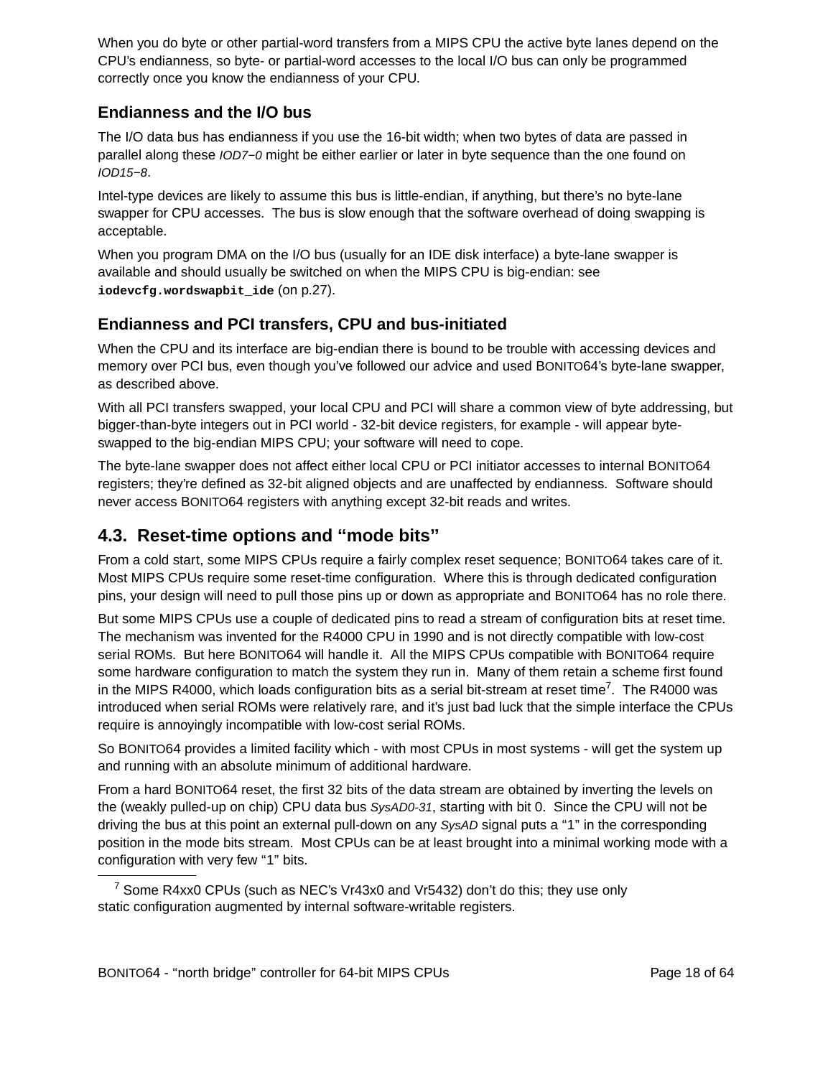When you do byte or other partial-word transfers from a MIPS CPU the active byte lanes depend on the CPU's endianness, so byte- or partial-word accesses to the local I/O bus can only be programmed correctly once you know the endianness of your CPU.

#### **Endianness and the I/O bus**

The I/O data bus has endianness if you use the 16-bit width; when two bytes of data are passed in parallel along these IOD7−0 might be either earlier or later in byte sequence than the one found on IOD15−8.

Intel-type devices are likely to assume this bus is little-endian, if anything, but there's no byte-lane swapper for CPU accesses. The bus is slow enough that the software overhead of doing swapping is acceptable.

When you program DMA on the I/O bus (usually for an IDE disk interface) a byte-lane swapper is available and should usually be switched on when the MIPS CPU is big-endian: see **iodevcfg.wordswapbit\_ide** (on p.27).

#### **Endianness and PCI transfers, CPU and bus-initiated**

When the CPU and its interface are big-endian there is bound to be trouble with accessing devices and memory over PCI bus, even though you've followed our advice and used BONITO64's byte-lane swapper, as described above.

With all PCI transfers swapped, your local CPU and PCI will share a common view of byte addressing, but bigger-than-byte integers out in PCI world - 32-bit device registers, for example - will appear byteswapped to the big-endian MIPS CPU; your software will need to cope.

The byte-lane swapper does not affect either local CPU or PCI initiator accesses to internal BONITO64 registers; they're defined as 32-bit aligned objects and are unaffected by endianness. Software should never access BONITO64 registers with anything except 32-bit reads and writes.

### **4.3. Reset-time options and ''mode bits''**

From a cold start, some MIPS CPUs require a fairly complex reset sequence; BONITO64 takes care of it. Most MIPS CPUs require some reset-time configuration. Where this is through dedicated configuration pins, your design will need to pull those pins up or down as appropriate and BONITO64 has no role there.

But some MIPS CPUs use a couple of dedicated pins to read a stream of configuration bits at reset time. The mechanism was invented for the R4000 CPU in 1990 and is not directly compatible with low-cost serial ROMs. But here BONITO64 will handle it. All the MIPS CPUs compatible with BONITO64 require some hardware configuration to match the system they run in. Many of them retain a scheme first found in the MIPS R4000, which loads configuration bits as a serial bit-stream at reset time<sup>7</sup>. The R4000 was introduced when serial ROMs were relatively rare, and it's just bad luck that the simple interface the CPUs require is annoyingly incompatible with low-cost serial ROMs.

So BONITO64 provides a limited facility which - with most CPUs in most systems - will get the system up and running with an absolute minimum of additional hardware.

From a hard BONITO64 reset, the first 32 bits of the data stream are obtained by inverting the levels on the (weakly pulled-up on chip) CPU data bus SysAD0-31, starting with bit 0. Since the CPU will not be driving the bus at this point an external pull-down on any SysAD signal puts a "1" in the corresponding position in the mode bits stream. Most CPUs can be at least brought into a minimal working mode with a configuration with very few "1" bits.

<sup>&</sup>lt;sup>7</sup> Some R4xx0 CPUs (such as NEC's Vr43x0 and Vr5432) don't do this; they use only static configuration augmented by internal software-writable registers.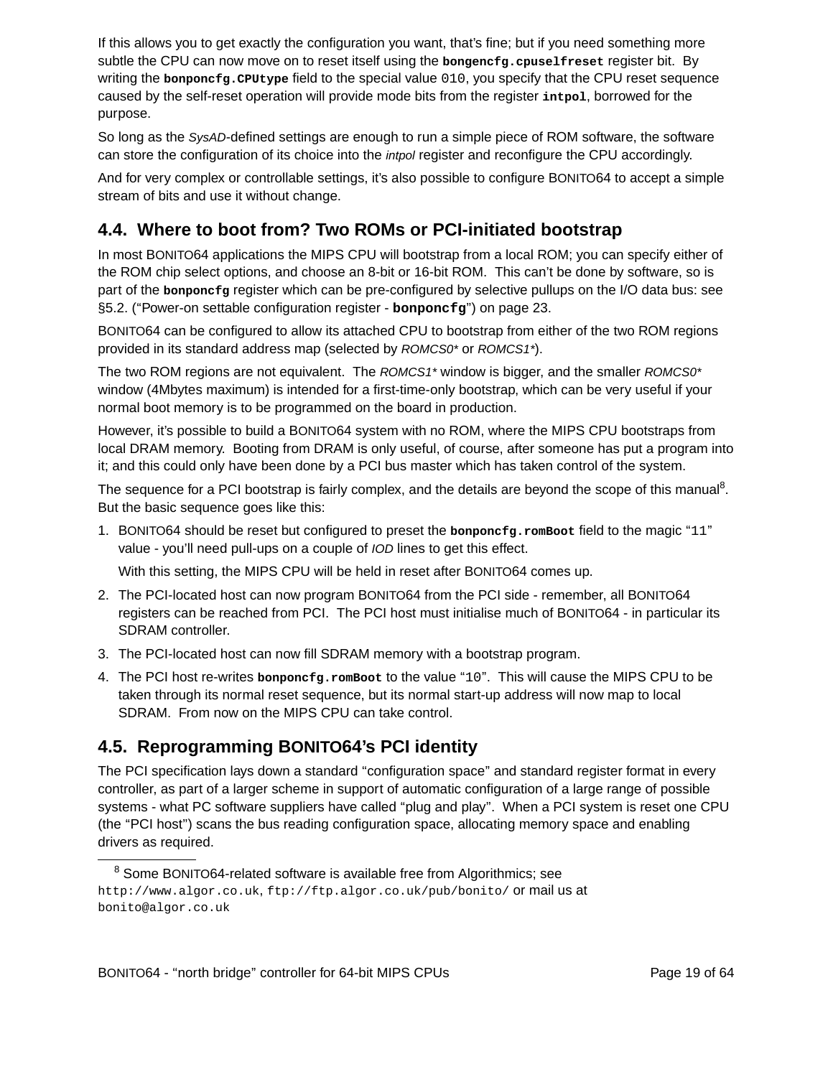If this allows you to get exactly the configuration you want, that's fine; but if you need something more subtle the CPU can now move on to reset itself using the **bongencfg.cpuselfreset** register bit. By writing the **bonponcfg.CPUtype** field to the special value 010, you specify that the CPU reset sequence caused by the self-reset operation will provide mode bits from the register **intpol**, borrowed for the purpose.

So long as the SysAD-defined settings are enough to run a simple piece of ROM software, the software can store the configuration of its choice into the intpol register and reconfigure the CPU accordingly.

And for very complex or controllable settings, it's also possible to configure BONITO64 to accept a simple stream of bits and use it without change.

## **4.4. Where to boot from? Two ROMs or PCI-initiated bootstrap**

In most BONITO64 applications the MIPS CPU will bootstrap from a local ROM; you can specify either of the ROM chip select options, and choose an 8-bit or 16-bit ROM. This can't be done by software, so is part of the **bonponcfg** register which can be pre-configured by selective pullups on the I/O data bus: see §5.2. ("Power-on settable configuration register - **bonponcfg**") on page 23.

BONITO64 can be configured to allow its attached CPU to bootstrap from either of the two ROM regions provided in its standard address map (selected by ROMCS0\* or ROMCS1\*).

The two ROM regions are not equivalent. The  $ROMCS1*$  window is bigger, and the smaller  $ROMCS0*$ window (4Mbytes maximum) is intended for a first-time-only bootstrap, which can be very useful if your normal boot memory is to be programmed on the board in production.

However, it's possible to build a BONITO64 system with no ROM, where the MIPS CPU bootstraps from local DRAM memory. Booting from DRAM is only useful, of course, after someone has put a program into it; and this could only have been done by a PCI bus master which has taken control of the system.

The sequence for a PCI bootstrap is fairly complex, and the details are beyond the scope of this manual<sup>8</sup>. But the basic sequence goes like this:

1. BONITO64 should be reset but configured to preset the **bonponcfg.romBoot** field to the magic ''11'' value - you'll need pull-ups on a couple of IOD lines to get this effect.

With this setting, the MIPS CPU will be held in reset after BONITO64 comes up.

- 2. The PCI-located host can now program BONITO64 from the PCI side remember, all BONITO64 registers can be reached from PCI. The PCI host must initialise much of BONITO64 - in particular its SDRAM controller.
- 3. The PCI-located host can now fill SDRAM memory with a bootstrap program.
- 4. The PCI host re-writes **bonponcfg.romBoot** to the value ''10''. This will cause the MIPS CPU to be taken through its normal reset sequence, but its normal start-up address will now map to local SDRAM. From now on the MIPS CPU can take control.

### **4.5. Reprogramming BONITO64's PCI identity**

The PCI specification lays down a standard "configuration space" and standard register format in every controller, as part of a larger scheme in support of automatic configuration of a large range of possible systems - what PC software suppliers have called "plug and play". When a PCI system is reset one CPU (the ''PCI host'') scans the bus reading configuration space, allocating memory space and enabling drivers as required.

<sup>&</sup>lt;sup>8</sup> Some BONITO64-related software is available free from Algorithmics; see http://www.algor.co.uk, ftp://ftp.algor.co.uk/pub/bonito/ or mail us at bonito@algor.co.uk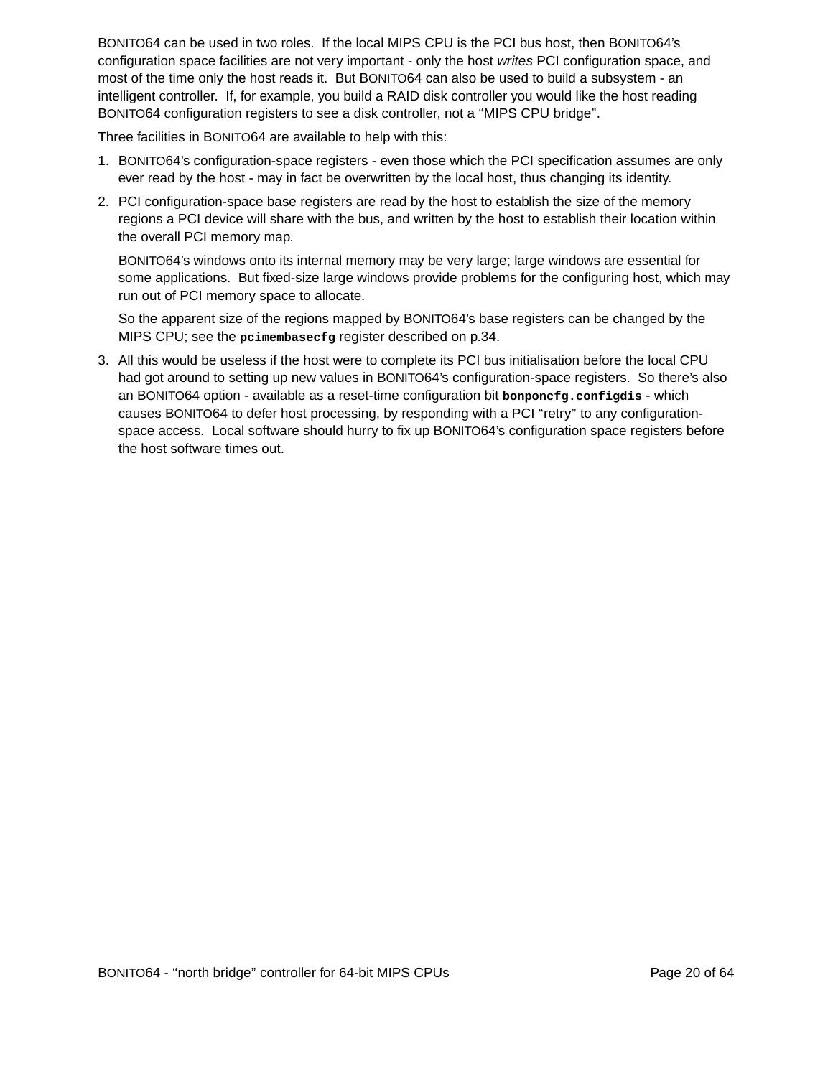BONITO64 can be used in two roles. If the local MIPS CPU is the PCI bus host, then BONITO64's configuration space facilities are not very important - only the host writes PCI configuration space, and most of the time only the host reads it. But BONITO64 can also be used to build a subsystem - an intelligent controller. If, for example, you build a RAID disk controller you would like the host reading BONITO64 configuration registers to see a disk controller, not a ''MIPS CPU bridge''.

Three facilities in BONITO64 are available to help with this:

- 1. BONITO64's configuration-space registers even those which the PCI specification assumes are only ever read by the host - may in fact be overwritten by the local host, thus changing its identity.
- 2. PCI configuration-space base registers are read by the host to establish the size of the memory regions a PCI device will share with the bus, and written by the host to establish their location within the overall PCI memory map.

BONITO64's windows onto its internal memory may be very large; large windows are essential for some applications. But fixed-size large windows provide problems for the configuring host, which may run out of PCI memory space to allocate.

So the apparent size of the regions mapped by BONITO64's base registers can be changed by the MIPS CPU; see the **pcimembasecfg** register described on p.34.

3. All this would be useless if the host were to complete its PCI bus initialisation before the local CPU had got around to setting up new values in BONITO64's configuration-space registers. So there's also an BONITO64 option - available as a reset-time configuration bit **bonponcfg.configdis** - which causes BONITO64 to defer host processing, by responding with a PCI "retry" to any configurationspace access. Local software should hurry to fix up BONITO64's configuration space registers before the host software times out.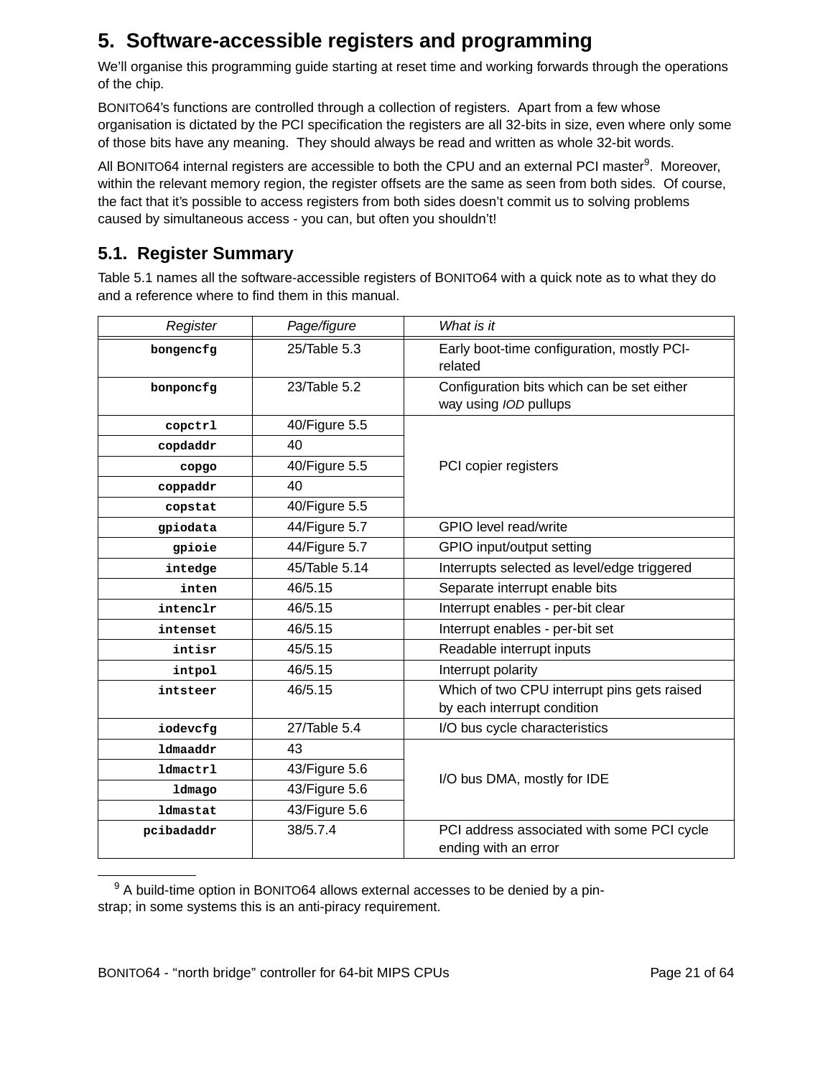# **5. Software-accessible registers and programming**

We'll organise this programming guide starting at reset time and working forwards through the operations of the chip.

BONITO64's functions are controlled through a collection of registers. Apart from a few whose organisation is dictated by the PCI specification the registers are all 32-bits in size, even where only some of those bits have any meaning. They should always be read and written as whole 32-bit words.

All BONITO64 internal registers are accessible to both the CPU and an external PCI master<sup>9</sup>. Moreover, within the relevant memory region, the register offsets are the same as seen from both sides. Of course, the fact that it's possible to access registers from both sides doesn't commit us to solving problems caused by simultaneous access - you can, but often you shouldn't!

## **5.1. Register Summar y**

Table 5.1 names all the software-accessible registers of BONITO64 with a quick note as to what they do and a reference where to find them in this manual.

| Register        | Page/figure   | What is it                                                          |
|-----------------|---------------|---------------------------------------------------------------------|
| bongencfg       | 25/Table 5.3  | Early boot-time configuration, mostly PCI-<br>related               |
| bonponcfq       | 23/Table 5.2  | Configuration bits which can be set either<br>way using IOD pullups |
| copctrl         | 40/Figure 5.5 |                                                                     |
| copdaddr        | 40            |                                                                     |
| copgo           | 40/Figure 5.5 | PCI copier registers                                                |
| coppaddr        | 40            |                                                                     |
| copstat         | 40/Figure 5.5 |                                                                     |
| gpiodata        | 44/Figure 5.7 | GPIO level read/write                                               |
| gpioie          | 44/Figure 5.7 | GPIO input/output setting                                           |
| intedge         | 45/Table 5.14 | Interrupts selected as level/edge triggered                         |
| inten           | 46/5.15       | Separate interrupt enable bits                                      |
| intenclr        | 46/5.15       | Interrupt enables - per-bit clear                                   |
| intenset        | 46/5.15       | Interrupt enables - per-bit set                                     |
| intisr          | 45/5.15       | Readable interrupt inputs                                           |
| intpol          | 46/5.15       | Interrupt polarity                                                  |
| intsteer        | 46/5.15       | Which of two CPU interrupt pins gets raised                         |
|                 |               | by each interrupt condition                                         |
| iodevcfg        | 27/Table 5.4  | I/O bus cycle characteristics                                       |
| <b>1dmaaddr</b> | 43            |                                                                     |
| <b>1dmactrl</b> | 43/Figure 5.6 | I/O bus DMA, mostly for IDE                                         |
| ldmago          | 43/Figure 5.6 |                                                                     |
| ldmastat        | 43/Figure 5.6 |                                                                     |
| pcibadaddr      | 38/5.7.4      | PCI address associated with some PCI cycle<br>ending with an error  |

 $9$  A build-time option in BONITO64 allows external accesses to be denied by a pinstrap; in some systems this is an anti-piracy requirement.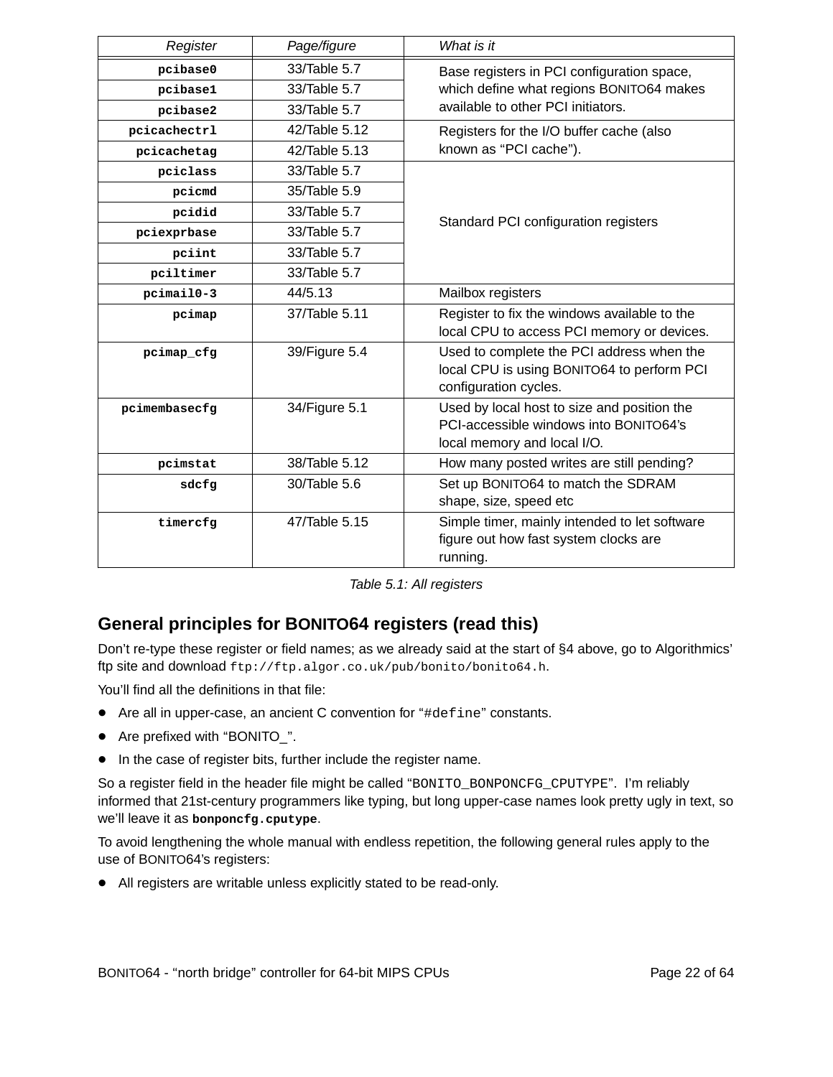| Register         | Page/figure   | What is it                                                                                                           |
|------------------|---------------|----------------------------------------------------------------------------------------------------------------------|
| pcibase0         | 33/Table 5.7  | Base registers in PCI configuration space,                                                                           |
| pcibase1         | 33/Table 5.7  | which define what regions BONITO64 makes                                                                             |
| pcibase2         | 33/Table 5.7  | available to other PCI initiators.                                                                                   |
| pcicachectrl     | 42/Table 5.12 | Registers for the I/O buffer cache (also                                                                             |
| pcicachetag      | 42/Table 5.13 | known as "PCI cache").                                                                                               |
| pciclass         | 33/Table 5.7  |                                                                                                                      |
| pcicmd           | 35/Table 5.9  |                                                                                                                      |
| pcidid           | 33/Table 5.7  | Standard PCI configuration registers                                                                                 |
| pciexprbase      | 33/Table 5.7  |                                                                                                                      |
| pciint           | 33/Table 5.7  |                                                                                                                      |
| pciltimer        | 33/Table 5.7  |                                                                                                                      |
| $pcima$ il $0-3$ | 44/5.13       | Mailbox registers                                                                                                    |
| pcimap           | 37/Table 5.11 | Register to fix the windows available to the<br>local CPU to access PCI memory or devices.                           |
| pcimap cfg       | 39/Figure 5.4 | Used to complete the PCI address when the<br>local CPU is using BONITO64 to perform PCI<br>configuration cycles.     |
| pcimembasecfg    | 34/Figure 5.1 | Used by local host to size and position the<br>PCI-accessible windows into BONITO64's<br>local memory and local I/O. |
| pcimstat         | 38/Table 5.12 | How many posted writes are still pending?                                                                            |
| sdcfg            | 30/Table 5.6  | Set up BONITO64 to match the SDRAM<br>shape, size, speed etc                                                         |
| timercfg         | 47/Table 5.15 | Simple timer, mainly intended to let software<br>figure out how fast system clocks are<br>running.                   |

| Table 5.1: All registers |  |
|--------------------------|--|
|--------------------------|--|

### **General principles for BONITO64 registers (read this)**

Don't re-type these register or field names; as we already said at the start of §4 above, go to Algorithmics' ftp site and download ftp://ftp.algor.co.uk/pub/bonito/bonito64.h.

You'll find all the definitions in that file:

- Are all in upper-case, an ancient C convention for "#define" constants.
- Are prefixed with "BONITO ".
- In the case of register bits, further include the register name.

So a register field in the header file might be called ''BONITO\_BONPONCFG\_CPUTYPE''. I'm reliably informed that 21st-century programmers like typing, but long upper-case names look pretty ugly in text, so we'll leave it as **bonponcfg.cputype**.

To avoid lengthening the whole manual with endless repetition, the following general rules apply to the use of BONITO64's registers:

• All registers are writable unless explicitly stated to be read-only.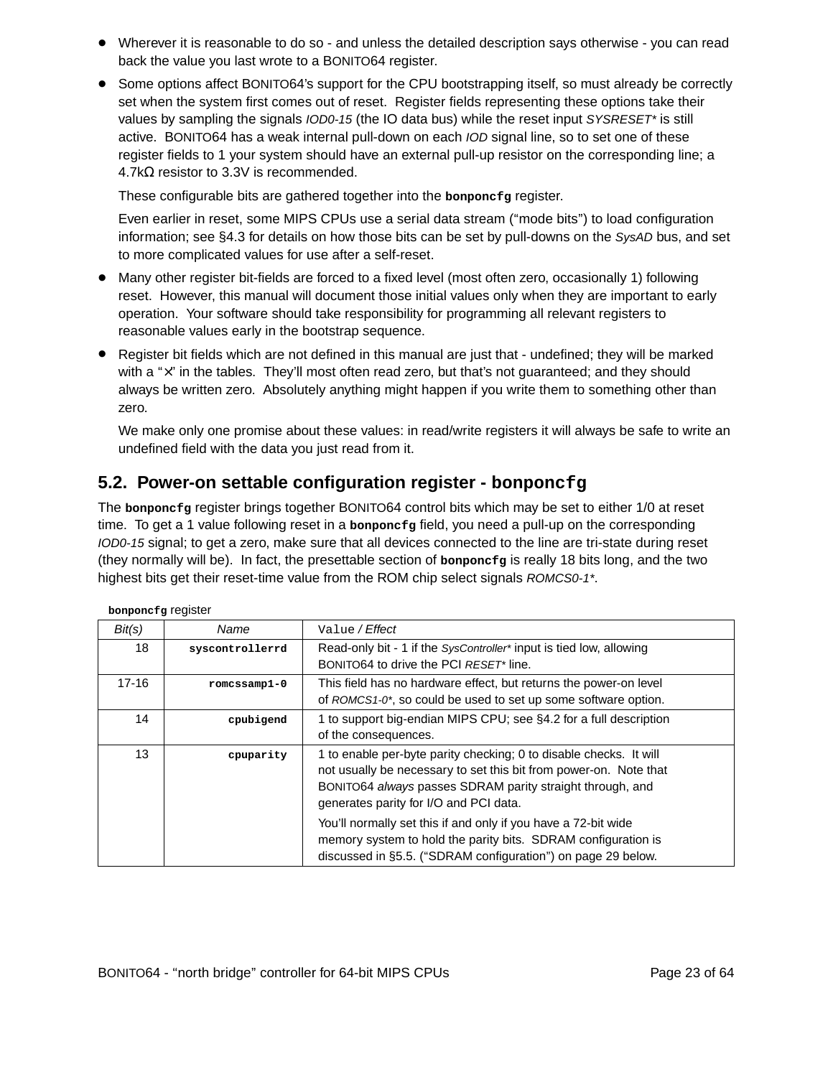- Wherever it is reasonable to do so and unless the detailed description says otherwise you can read back the value you last wrote to a BONITO64 register.
- Some options affect BONITO64's support for the CPU bootstrapping itself, so must already be correctly set when the system first comes out of reset. Register fields representing these options take their values by sampling the signals IOD0-15 (the IO data bus) while the reset input SYSRESET\* is still active. BONITO64 has a weak internal pull-down on each IOD signal line, so to set one of these register fields to 1 your system should have an external pull-up resistor on the corresponding line; a 4.7kΩ resistor to 3.3V is recommended.

These configurable bits are gathered together into the **bonponcfg** register.

Even earlier in reset, some MIPS CPUs use a serial data stream (''mode bits'') to load configuration information; see §4.3 for details on how those bits can be set by pull-downs on the SysAD bus, and set to more complicated values for use after a self-reset.

- Many other register bit-fields are forced to a fixed level (most often zero, occasionally 1) following reset. However, this manual will document those initial values only when they are important to early operation. Your software should take responsibility for programming all relevant registers to reasonable values early in the bootstrap sequence.
- Register bit fields which are not defined in this manual are just that undefined; they will be marked with a "x" in the tables. They'll most often read zero, but that's not guaranteed; and they should always be written zero. Absolutely anything might happen if you write them to something other than zero.

We make only one promise about these values: in read/write registers it will always be safe to write an undefined field with the data you just read from it.

#### **5.2. Power-on settable configuration register - bonponcfg**

The **bonponcfg** register brings together BONITO64 control bits which may be set to either 1/0 at reset time. To get a 1 value following reset in a **bonponcfg** field, you need a pull-up on the corresponding IOD0-15 signal; to get a zero, make sure that all devices connected to the line are tri-state during reset (they nor mally will be). In fact, the presettable section of **bonponcfg** is really 18 bits long, and the two highest bits get their reset-time value from the ROM chip select signals ROMCS0-1\*.

| Bit(s)    | Name            | Value / Effect                                                                                                                                                                                                                                 |
|-----------|-----------------|------------------------------------------------------------------------------------------------------------------------------------------------------------------------------------------------------------------------------------------------|
| 18        | syscontrollerrd | Read-only bit - 1 if the SysController* input is tied low, allowing                                                                                                                                                                            |
|           |                 | BONITO64 to drive the PCI RESET* line.                                                                                                                                                                                                         |
| $17 - 16$ | $romcssamp1-0$  | This field has no hardware effect, but returns the power-on level                                                                                                                                                                              |
|           |                 | of ROMCS1-0*, so could be used to set up some software option.                                                                                                                                                                                 |
| 14        | cpubigend       | 1 to support big-endian MIPS CPU; see §4.2 for a full description                                                                                                                                                                              |
|           |                 | of the consequences.                                                                                                                                                                                                                           |
| 13        | cpuparity       | 1 to enable per-byte parity checking; 0 to disable checks. It will<br>not usually be necessary to set this bit from power-on. Note that<br>BONITO64 always passes SDRAM parity straight through, and<br>generates parity for I/O and PCI data. |
|           |                 | You'll normally set this if and only if you have a 72-bit wide<br>memory system to hold the parity bits. SDRAM configuration is<br>discussed in §5.5. ("SDRAM configuration") on page 29 below.                                                |

| bonponcfg register |  |
|--------------------|--|
|--------------------|--|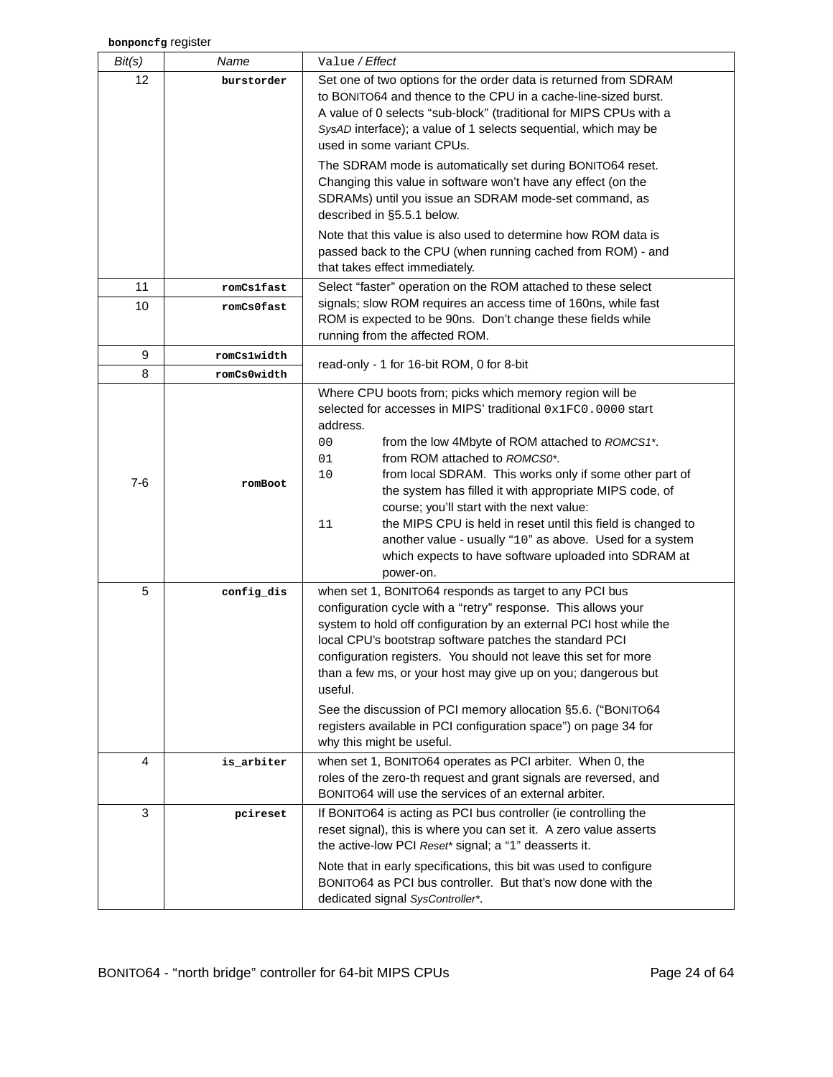| Bit(s)          | Name        | Value / Effect                                                                                                                                                                                                                                                                                                                                                                                                                                                                                                                                                                                          |
|-----------------|-------------|---------------------------------------------------------------------------------------------------------------------------------------------------------------------------------------------------------------------------------------------------------------------------------------------------------------------------------------------------------------------------------------------------------------------------------------------------------------------------------------------------------------------------------------------------------------------------------------------------------|
| 12 <sup>2</sup> | burstorder  | Set one of two options for the order data is returned from SDRAM<br>to BONITO64 and thence to the CPU in a cache-line-sized burst.<br>A value of 0 selects "sub-block" (traditional for MIPS CPUs with a<br>SysAD interface); a value of 1 selects sequential, which may be<br>used in some variant CPUs.                                                                                                                                                                                                                                                                                               |
|                 |             | The SDRAM mode is automatically set during BONITO64 reset.<br>Changing this value in software won't have any effect (on the<br>SDRAMs) until you issue an SDRAM mode-set command, as<br>described in §5.5.1 below.                                                                                                                                                                                                                                                                                                                                                                                      |
|                 |             | Note that this value is also used to determine how ROM data is<br>passed back to the CPU (when running cached from ROM) - and<br>that takes effect immediately.                                                                                                                                                                                                                                                                                                                                                                                                                                         |
| 11              | romCs1fast  | Select "faster" operation on the ROM attached to these select                                                                                                                                                                                                                                                                                                                                                                                                                                                                                                                                           |
| 10              | romCs0fast  | signals; slow ROM requires an access time of 160ns, while fast<br>ROM is expected to be 90ns. Don't change these fields while<br>running from the affected ROM.                                                                                                                                                                                                                                                                                                                                                                                                                                         |
| 9               | romCs1width |                                                                                                                                                                                                                                                                                                                                                                                                                                                                                                                                                                                                         |
| 8               | romCs0width | read-only - 1 for 16-bit ROM, 0 for 8-bit                                                                                                                                                                                                                                                                                                                                                                                                                                                                                                                                                               |
| $7-6$           | romBoot     | Where CPU boots from; picks which memory region will be<br>selected for accesses in MIPS' traditional 0x1FC0.0000 start<br>address.<br>from the low 4Mbyte of ROM attached to ROMCS1*.<br>00<br>from ROM attached to ROMCS0*.<br>01<br>from local SDRAM. This works only if some other part of<br>10<br>the system has filled it with appropriate MIPS code, of<br>course; you'll start with the next value:<br>the MIPS CPU is held in reset until this field is changed to<br>11<br>another value - usually "10" as above. Used for a system<br>which expects to have software uploaded into SDRAM at |
| 5               | config_dis  | power-on.<br>when set 1, BONITO64 responds as target to any PCI bus<br>configuration cycle with a "retry" response. This allows your<br>system to hold off configuration by an external PCI host while the<br>local CPU's bootstrap software patches the standard PCI<br>configuration registers. You should not leave this set for more<br>than a few ms, or your host may give up on you; dangerous but<br>useful.<br>See the discussion of PCI memory allocation §5.6. ("BONITO64<br>registers available in PCI configuration space") on page 34 for                                                 |
|                 |             | why this might be useful.                                                                                                                                                                                                                                                                                                                                                                                                                                                                                                                                                                               |
| 4               | is_arbiter  | when set 1, BONITO64 operates as PCI arbiter. When 0, the<br>roles of the zero-th request and grant signals are reversed, and<br>BONITO64 will use the services of an external arbiter.                                                                                                                                                                                                                                                                                                                                                                                                                 |
| 3               | pcireset    | If BONITO64 is acting as PCI bus controller (ie controlling the<br>reset signal), this is where you can set it. A zero value asserts<br>the active-low PCI Reset* signal; a "1" deasserts it.<br>Note that in early specifications, this bit was used to configure<br>BONITO64 as PCI bus controller. But that's now done with the                                                                                                                                                                                                                                                                      |
|                 |             | dedicated signal SysController*.                                                                                                                                                                                                                                                                                                                                                                                                                                                                                                                                                                        |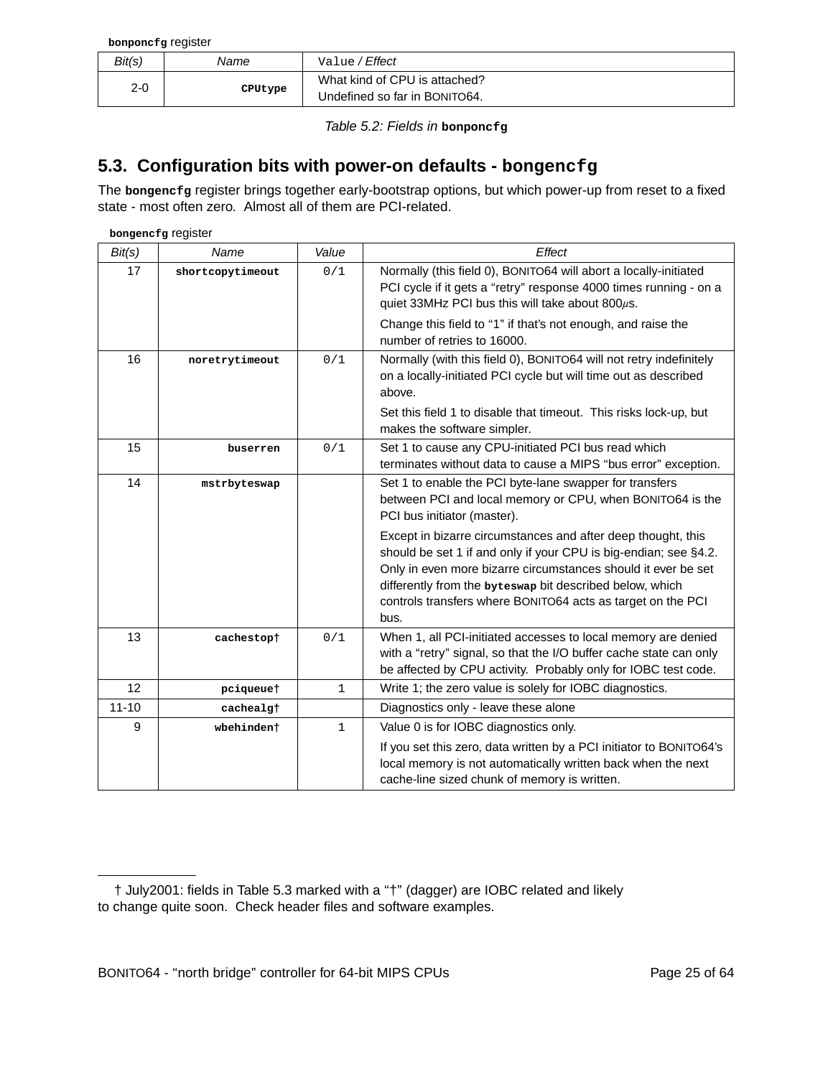**bonponcfg** register

| Bit(s) | Name    | Value / <b>Effect</b>                                          |  |  |  |
|--------|---------|----------------------------------------------------------------|--|--|--|
| 2-0    | CPUtype | What kind of CPU is attached?<br>Undefined so far in BONITO64. |  |  |  |

Table 5.2: Fields in **bonponcfg**

#### **5.3. Configuration bits with power-on defaults - bongencfg**

The **bongencfg** register brings together early-bootstrap options, but which power-up from reset to a fixed state - most often zero. Almost all of them are PCI-related.

**bongencfg** register

| Bit(s)    | Name             | Value        | Effect                                                                                                                                                                                                                                                                                                                               |
|-----------|------------------|--------------|--------------------------------------------------------------------------------------------------------------------------------------------------------------------------------------------------------------------------------------------------------------------------------------------------------------------------------------|
| 17        | shortcopytimeout | 0/1          | Normally (this field 0), BONITO64 will abort a locally-initiated<br>PCI cycle if it gets a "retry" response 4000 times running - on a<br>quiet 33MHz PCI bus this will take about 800 $\mu$ s.                                                                                                                                       |
|           |                  |              | Change this field to "1" if that's not enough, and raise the<br>number of retries to 16000.                                                                                                                                                                                                                                          |
| 16        | noretrytimeout   | 0/1          | Normally (with this field 0), BONITO64 will not retry indefinitely<br>on a locally-initiated PCI cycle but will time out as described<br>above.                                                                                                                                                                                      |
|           |                  |              | Set this field 1 to disable that timeout. This risks lock-up, but<br>makes the software simpler.                                                                                                                                                                                                                                     |
| 15        | buserren         | 0/1          | Set 1 to cause any CPU-initiated PCI bus read which<br>terminates without data to cause a MIPS "bus error" exception.                                                                                                                                                                                                                |
| 14        | mstrbyteswap     |              | Set 1 to enable the PCI byte-lane swapper for transfers<br>between PCI and local memory or CPU, when BONITO64 is the<br>PCI bus initiator (master).                                                                                                                                                                                  |
|           |                  |              | Except in bizarre circumstances and after deep thought, this<br>should be set 1 if and only if your CPU is big-endian; see §4.2.<br>Only in even more bizarre circumstances should it ever be set<br>differently from the byteswap bit described below, which<br>controls transfers where BONITO64 acts as target on the PCI<br>bus. |
| 13        | cachestopt       | 0/1          | When 1, all PCI-initiated accesses to local memory are denied<br>with a "retry" signal, so that the I/O buffer cache state can only<br>be affected by CPU activity. Probably only for IOBC test code.                                                                                                                                |
| 12        | pciqueuet        | 1            | Write 1; the zero value is solely for IOBC diagnostics.                                                                                                                                                                                                                                                                              |
| $11 - 10$ | cachealgt        |              | Diagnostics only - leave these alone                                                                                                                                                                                                                                                                                                 |
| 9         | wbehindent       | $\mathbf{1}$ | Value 0 is for IOBC diagnostics only.                                                                                                                                                                                                                                                                                                |
|           |                  |              | If you set this zero, data written by a PCI initiator to BONITO64's<br>local memory is not automatically written back when the next<br>cache-line sized chunk of memory is written.                                                                                                                                                  |

<sup>†</sup> July2001: fields in Table 5.3 marked with a ''†'' (dagger) are IOBC related and likely to change quite soon. Check header files and software examples.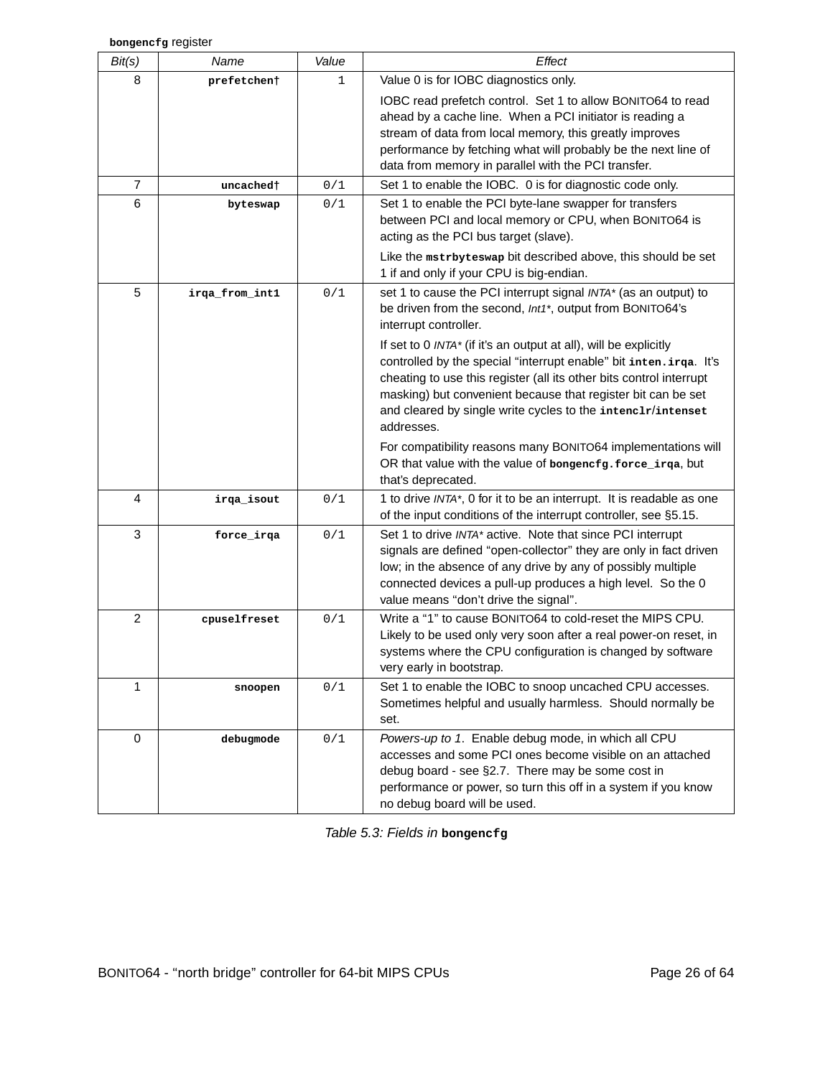| Bit(s)         | Name           | Value | Effect                                                                                                                                                                                                                                                                                                                                                    |
|----------------|----------------|-------|-----------------------------------------------------------------------------------------------------------------------------------------------------------------------------------------------------------------------------------------------------------------------------------------------------------------------------------------------------------|
| 8              | prefetchent    | 1     | Value 0 is for IOBC diagnostics only.                                                                                                                                                                                                                                                                                                                     |
|                |                |       | IOBC read prefetch control. Set 1 to allow BONITO64 to read<br>ahead by a cache line. When a PCI initiator is reading a<br>stream of data from local memory, this greatly improves<br>performance by fetching what will probably be the next line of<br>data from memory in parallel with the PCI transfer.                                               |
| 7              | uncached†      | 0/1   | Set 1 to enable the IOBC. 0 is for diagnostic code only.                                                                                                                                                                                                                                                                                                  |
| 6              | byteswap       | 0/1   | Set 1 to enable the PCI byte-lane swapper for transfers<br>between PCI and local memory or CPU, when BONITO64 is<br>acting as the PCI bus target (slave).                                                                                                                                                                                                 |
|                |                |       | Like the mstrbyteswap bit described above, this should be set<br>1 if and only if your CPU is big-endian.                                                                                                                                                                                                                                                 |
| 5              | irga_from_int1 | 0/1   | set 1 to cause the PCI interrupt signal INTA* (as an output) to<br>be driven from the second, Int1*, output from BONITO64's<br>interrupt controller.                                                                                                                                                                                                      |
|                |                |       | If set to 0 INTA* (if it's an output at all), will be explicitly<br>controlled by the special "interrupt enable" bit inten.irga. It's<br>cheating to use this register (all its other bits control interrupt<br>masking) but convenient because that register bit can be set<br>and cleared by single write cycles to the intenc1r/intenset<br>addresses. |
|                |                |       | For compatibility reasons many BONITO64 implementations will<br>OR that value with the value of bongencfg.force_irqa, but<br>that's deprecated.                                                                                                                                                                                                           |
| 4              | irqa_isout     | 0/1   | 1 to drive INTA*, 0 for it to be an interrupt. It is readable as one<br>of the input conditions of the interrupt controller, see §5.15.                                                                                                                                                                                                                   |
| 3              | force_irqa     | 0/1   | Set 1 to drive INTA* active. Note that since PCI interrupt<br>signals are defined "open-collector" they are only in fact driven<br>low; in the absence of any drive by any of possibly multiple<br>connected devices a pull-up produces a high level. So the 0<br>value means "don't drive the signal".                                                   |
| $\overline{2}$ | cpuselfreset   | 0/1   | Write a "1" to cause BONITO64 to cold-reset the MIPS CPU.<br>Likely to be used only very soon after a real power-on reset, in<br>systems where the CPU configuration is changed by software<br>very early in bootstrap.                                                                                                                                   |
| 1              | snoopen        | 0/1   | Set 1 to enable the IOBC to snoop uncached CPU accesses.<br>Sometimes helpful and usually harmless. Should normally be<br>set.                                                                                                                                                                                                                            |
| 0              | debugmode      | 0/1   | Powers-up to 1. Enable debug mode, in which all CPU<br>accesses and some PCI ones become visible on an attached<br>debug board - see §2.7. There may be some cost in<br>performance or power, so turn this off in a system if you know<br>no debug board will be used.                                                                                    |

Table 5.3: Fields in **bongencfg**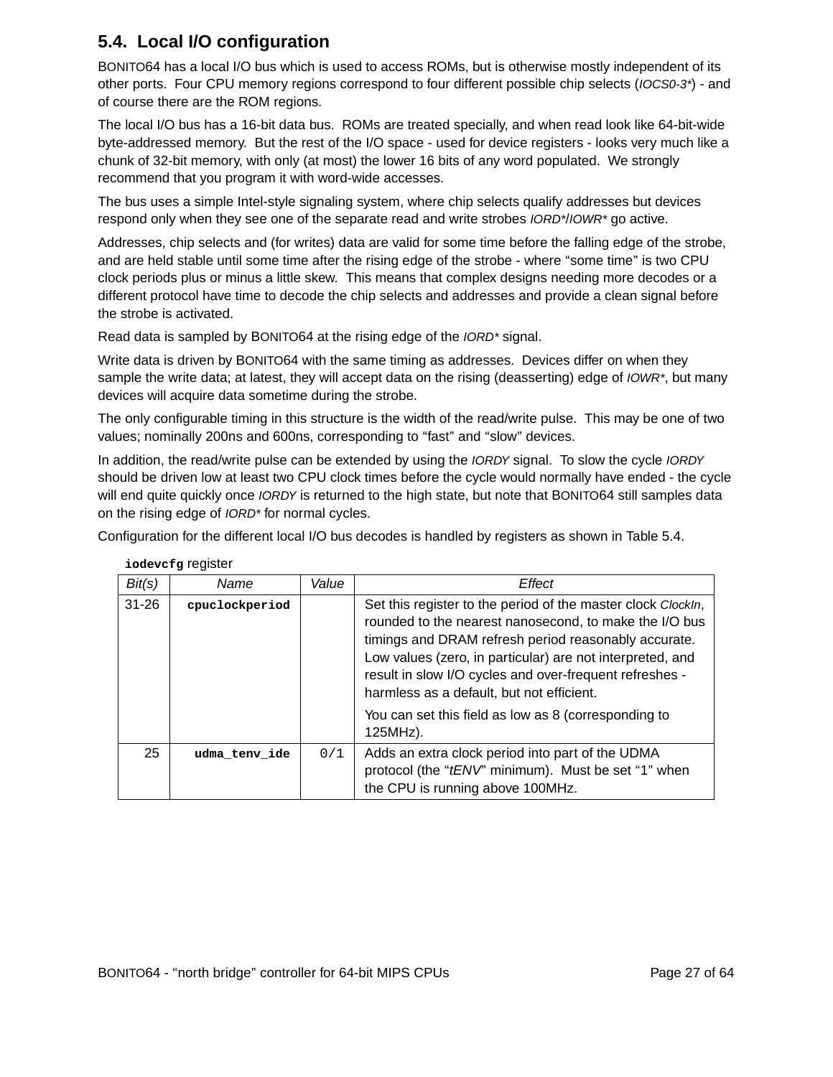## **5.4. Local I/O configuration**

BONITO64 has a local I/O bus which is used to access ROMs, but is otherwise mostly independent of its other ports. Four CPU memory regions correspond to four different possible chip selects (IOCS0-3\*)-and of course there are the ROM regions.

The local I/O bus has a 16-bit data bus. ROMs are treated specially, and when read look like 64-bit-wide byte-addressed memory. But the rest of the I/O space - used for device registers - looks very much like a chunk of 32-bit memory, with only (at most) the lower 16 bits of any word populated. We strongly recommend that you program it with word-wide accesses.

The bus uses a simple Intel-style signaling system, where chip selects qualify addresses but devices respond only when they see one of the separate read and write strobes *IORD\*/IOWR\** go active.

Addresses, chip selects and (for writes) data are valid for some time before the falling edge of the strobe, and are held stable until some time after the rising edge of the strobe - where "some time" is two CPU clock periods plus or minus a little skew. This means that complex designs needing more decodes or a different protocol have time to decode the chip selects and addresses and provide a clean signal before the strobe is activated.

Read data is sampled by BONITO64 at the rising edge of the IORD\* signal.

Write data is driven by BONITO64 with the same timing as addresses. Devices differ on when they sample the write data; at latest, they will accept data on the rising (deasserting) edge of IOWR\*, but many devices will acquire data sometime during the strobe.

The only configurable timing in this structure is the width of the read/write pulse. This may be one of two values; nominally 200ns and 600ns, corresponding to "fast" and "slow" devices.

In addition, the read/write pulse can be extended by using the IORDY signal. To slow the cycle IORDY should be driven low at least two CPU clock times before the cycle would normally have ended - the cycle will end quite quickly once *IORDY* is returned to the high state, but note that BONITO64 still samples data on the rising edge of *IORD*<sup>\*</sup> for normal cycles.

Configuration for the different local I/O bus decodes is handled by registers as shown in Table 5.4.

| Bit(s)    | Name           | Value | Effect                                                                                                                                                                                                                                                                                                                                              |
|-----------|----------------|-------|-----------------------------------------------------------------------------------------------------------------------------------------------------------------------------------------------------------------------------------------------------------------------------------------------------------------------------------------------------|
| $31 - 26$ | cpuclockperiod |       | Set this register to the period of the master clock ClockIn,<br>rounded to the nearest nanosecond, to make the I/O bus<br>timings and DRAM refresh period reasonably accurate.<br>Low values (zero, in particular) are not interpreted, and<br>result in slow I/O cycles and over-frequent refreshes -<br>harmless as a default, but not efficient. |
|           |                |       | You can set this field as low as 8 (corresponding to<br>125MHz).                                                                                                                                                                                                                                                                                    |
| 25        | udma tenv ide  | 0/1   | Adds an extra clock period into part of the UDMA<br>protocol (the "tENV" minimum). Must be set "1" when<br>the CPU is running above 100MHz.                                                                                                                                                                                                         |

**iodevcfg** register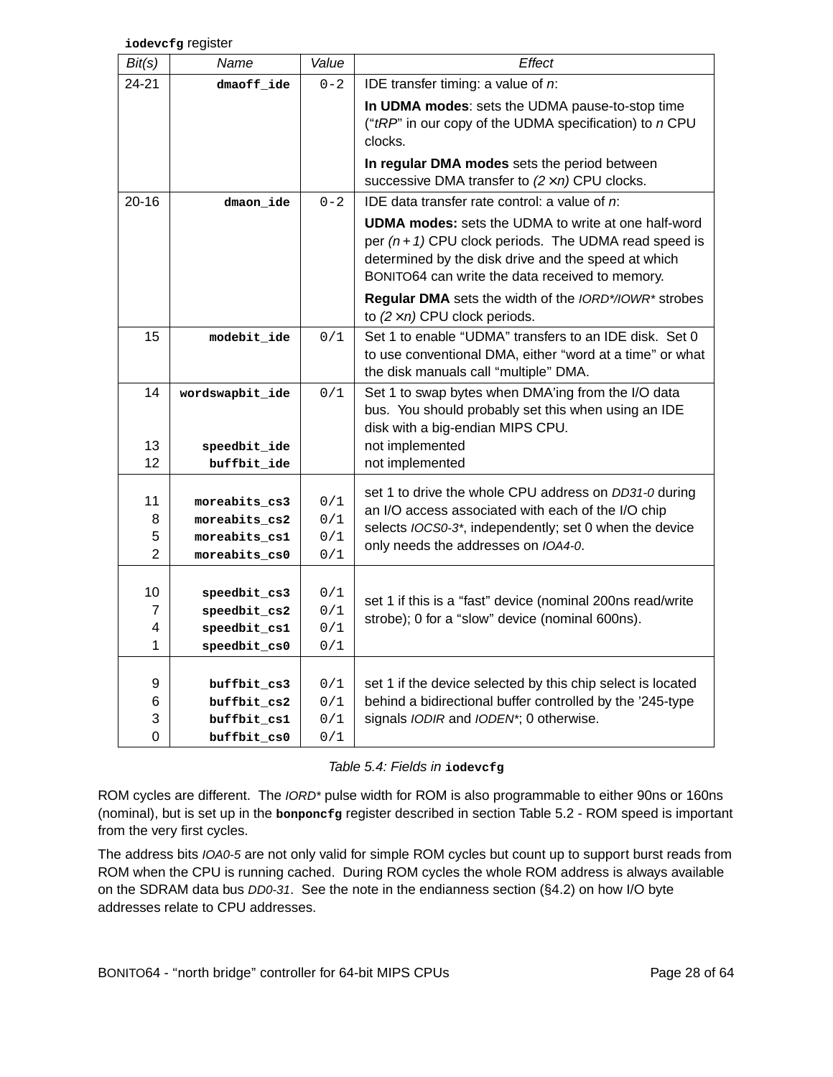**iodevcfg** register

| Bit(s)            | Name                                                               | Value                    | <b>Effect</b>                                                                                                                                                                                                                   |
|-------------------|--------------------------------------------------------------------|--------------------------|---------------------------------------------------------------------------------------------------------------------------------------------------------------------------------------------------------------------------------|
| 24-21             | dmaoff_ide                                                         | $0 - 2$                  | IDE transfer timing: a value of $n$ :                                                                                                                                                                                           |
|                   |                                                                    |                          | In UDMA modes: sets the UDMA pause-to-stop time<br>("tRP" in our copy of the UDMA specification) to n CPU<br>clocks.                                                                                                            |
|                   |                                                                    |                          | In regular DMA modes sets the period between<br>successive DMA transfer to $(2 \times n)$ CPU clocks.                                                                                                                           |
| $20 - 16$         | dmaon_ide                                                          | $0 - 2$                  | IDE data transfer rate control: a value of $n$ :                                                                                                                                                                                |
|                   |                                                                    |                          | <b>UDMA modes:</b> sets the UDMA to write at one half-word<br>per $(n + 1)$ CPU clock periods. The UDMA read speed is<br>determined by the disk drive and the speed at which<br>BONITO64 can write the data received to memory. |
|                   |                                                                    |                          | <b>Regular DMA</b> sets the width of the <i>IORD*/IOWR*</i> strobes<br>to $(2 \times n)$ CPU clock periods.                                                                                                                     |
| 15                | $\texttt{modelit\_ide}$                                            | 0/1                      | Set 1 to enable "UDMA" transfers to an IDE disk. Set 0<br>to use conventional DMA, either "word at a time" or what<br>the disk manuals call "multiple" DMA.                                                                     |
| 14                | wordswapbit_ide                                                    | 0/1                      | Set 1 to swap bytes when DMA'ing from the I/O data<br>bus. You should probably set this when using an IDE<br>disk with a big-endian MIPS CPU.                                                                                   |
| 13                | speedbit ide                                                       |                          | not implemented                                                                                                                                                                                                                 |
| 12                | buffbit_ide                                                        |                          | not implemented                                                                                                                                                                                                                 |
| 11<br>8<br>5<br>2 | moreabits_cs3<br>moreabits_cs2<br>moreabits_cs1<br>moreabits_cs0   | 0/1<br>0/1<br>0/1<br>0/1 | set 1 to drive the whole CPU address on DD31-0 during<br>an I/O access associated with each of the I/O chip<br>selects IOCS0-3*, independently; set 0 when the device<br>only needs the addresses on IOA4-0.                    |
| 10<br>7<br>4<br>1 | speedbit_cs3<br>$speedbit_ccs2$<br>speedbit_cs1<br>$speedbit_css0$ | 0/1<br>0/1<br>0/1<br>0/1 | set 1 if this is a "fast" device (nominal 200ns read/write<br>strobe); 0 for a "slow" device (nominal 600ns).                                                                                                                   |
| 9<br>6<br>3<br>0  | buffbit_cs3<br>buffbit cs2<br>buffbit_cs1<br>buffbit cs0           | 0/1<br>0/1<br>0/1<br>0/1 | set 1 if the device selected by this chip select is located<br>behind a bidirectional buffer controlled by the '245-type<br>signals IODIR and IODEN*; 0 otherwise.                                                              |

Table 5.4: Fields in **iodevcfg**

ROM cycles are different. The IORD\* pulse width for ROM is also programmable to either 90ns or 160ns (nominal), but is set up in the **bonponcfg** register described in section Table 5.2 - ROM speed is important from the very first cycles.

The address bits IOA0-5 are not only valid for simple ROM cycles but count up to support burst reads from ROM when the CPU is running cached. During ROM cycles the whole ROM address is always available on the SDRAM data bus DD0-31. See the note in the endianness section (§4.2) on how I/O byte addresses relate to CPU addresses.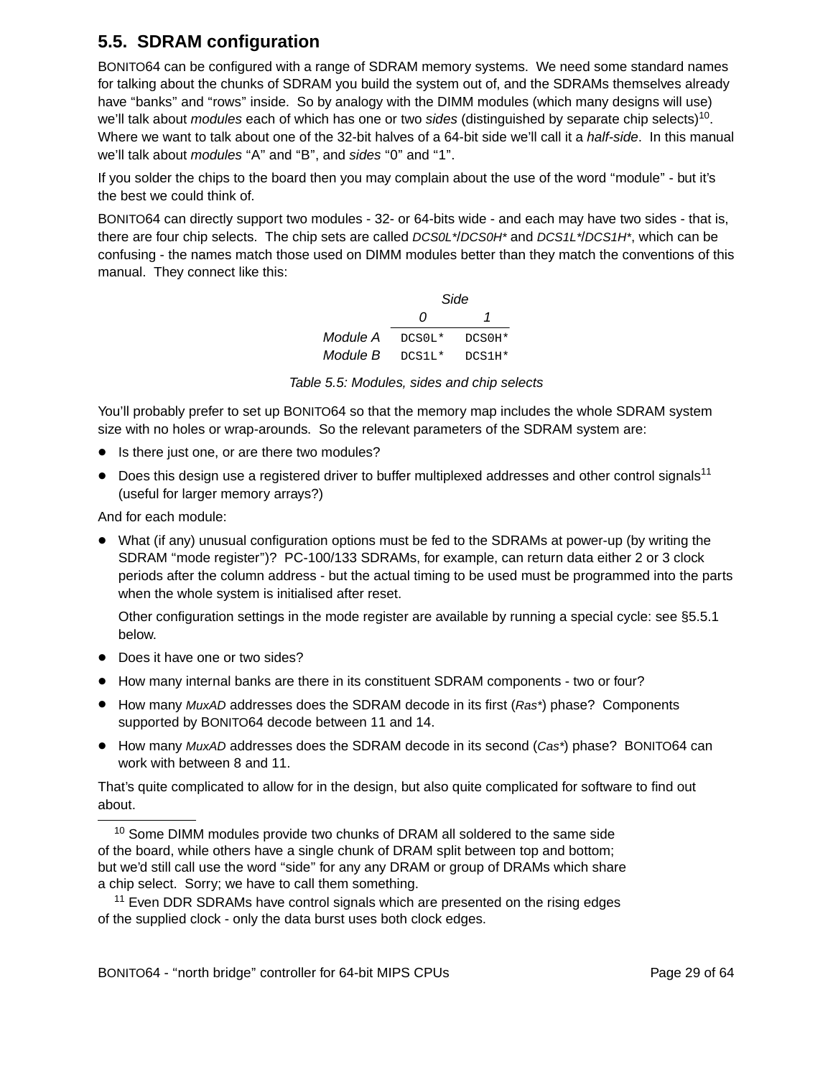### **5.5. SDRAM configuration**

BONITO64 can be configured with a range of SDRAM memory systems. We need some standard names for talking about the chunks of SDRAM you build the system out of, and the SDRAMs themselves already have "banks" and "rows" inside. So by analogy with the DIMM modules (which many designs will use) we'll talk about *modules* each of which has one or two sides (distinguished by separate chip selects)<sup>10</sup>. Where we want to talk about one of the 32-bit halves of a 64-bit side we'll call it a *half-side*. In this manual we'll talk about *modules* "A" and "B", and sides "0" and "1".

If you solder the chips to the board then you may complain about the use of the word "module" - but it's the best we could think of.

BONITO64 can directly support two modules - 32- or 64-bits wide - and each may have two sides - that is, there are four chip selects. The chip sets are called *DCS0L\*/DCS0H\** and *DCS1L\*/DCS1H\**, which can be confusing - the names match those used on DIMM modules better than they match the conventions of this manual. They connect like this:

|          |          | Side     |
|----------|----------|----------|
|          | O        |          |
| Module A | $DCSOL*$ | $DCS0H*$ |
| Module B | $DCS1L*$ | $DCS1H*$ |

Table 5.5: Modules, sides and chip selects

You'll probably prefer to set up BONITO64 so that the memory map includes the whole SDRAM system size with no holes or wrap-arounds. So the relevant parameters of the SDRAM system are:

- Is there just one, or are there two modules?
- $\bullet$  Does this design use a registered driver to buffer multiplexed addresses and other control signals<sup>11</sup> (useful for larger memory arrays?)

And for each module:

• What (if any) unusual configuration options must be fed to the SDRAMs at power-up (by writing the SDRAM ''mode register'')? PC-100/133 SDRAMs, for example, can return data either 2 or 3 clock periods after the column address - but the actual timing to be used must be programmed into the parts when the whole system is initialised after reset.

Other configuration settings in the mode register are available by running a special cycle: see §5.5.1 below.

- Does it have one or two sides?
- How many internal banks are there in its constituent SDRAM components two or four?
- How many MuxAD addresses does the SDRAM decode in its first (Ras\*) phase? Components supported by BONITO64 decode between 11 and 14.
- How many MuxAD addresses does the SDRAM decode in its second (Cas\*) phase? BONITO64 can work with between 8 and 11.

That's quite complicated to allow for in the design, but also quite complicated for software to find out about.

<sup>10</sup> Some DIMM modules provide two chunks of DRAM all soldered to the same side of the board, while others have a single chunk of DRAM split between top and bottom; but we'd still call use the word "side" for any any DRAM or group of DRAMs which share a chip select. Sorry; we have to call them something.

 $11$  Even DDR SDRAMs have control signals which are presented on the rising edges of the supplied clock-only the data burst uses both clock edges.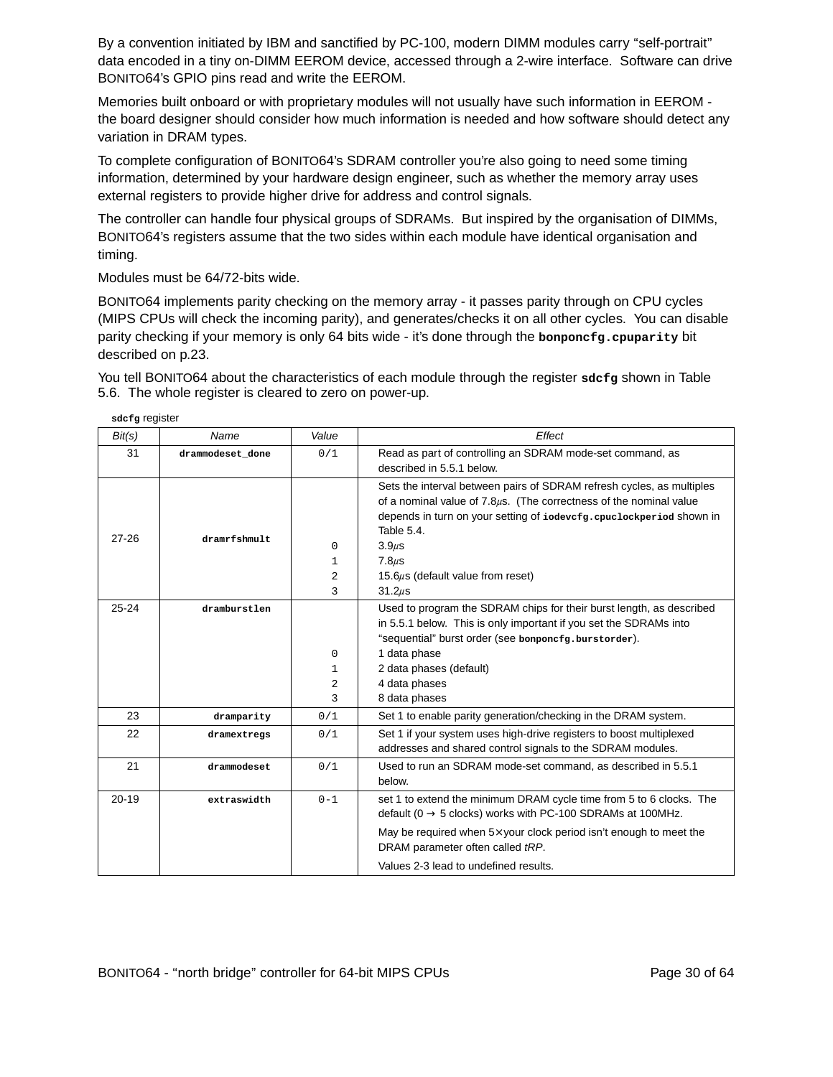By a convention initiated by IBM and sanctified by PC-100, modern DIMM modules carry "self-portrait" data encoded in a tiny on-DIMM EEROM device, accessed through a 2-wire interface. Software can drive BONITO64's GPIO pins read and write the EEROM.

Memories built onboard or with proprietary modules will not usually have such information in EEROM the board designer should consider how much information is needed and how software should detect any variation in DRAM types.

To complete configuration of BONITO64's SDRAM controller you're also going to need some timing information, determined by your hardware design engineer, such as whether the memory array uses external registers to provide higher drive for address and control signals.

The controller can handle four physical groups of SDRAMs. But inspired by the organisation of DIMMs, BONITO64's registers assume that the two sides within each module have identical organisation and timing.

Modules must be 64/72-bits wide.

**sdcfg** register

BONITO64 implements parity checking on the memory array - it passes parity through on CPU cycles (MIPS CPUs will check the incoming parity), and generates/checks it on all other cycles. You can disable parity checking if your memory is only 64 bits wide - it's done through the **bonponcfg.cpuparity** bit described on p.23.

You tell BONITO64 about the characteristics of each module through the register sdcfg shown in Table 5.6. The whole register is cleared to zero on power-up.

| Bit(s)    | Name             | Value    | Effect                                                                                 |
|-----------|------------------|----------|----------------------------------------------------------------------------------------|
| 31        | drammodeset done | 0/1      | Read as part of controlling an SDRAM mode-set command, as<br>described in 5.5.1 below. |
|           |                  |          |                                                                                        |
|           |                  |          | Sets the interval between pairs of SDRAM refresh cycles, as multiples                  |
|           |                  |          | of a nominal value of $7.8\mu s$ . (The correctness of the nominal value               |
|           |                  |          | depends in turn on your setting of iodevcfg.cpuclockperiod shown in                    |
| 27-26     | $d$ ramrfshmult  |          | Table 5.4.                                                                             |
|           |                  | $\Omega$ | $3.9u$ s                                                                               |
|           |                  | 1        | $7.8 \mu s$                                                                            |
|           |                  | 2        | 15.6 $\mu$ s (default value from reset)                                                |
|           |                  | 3        | $31.2\mu s$                                                                            |
| $25 - 24$ | dramburstlen     |          | Used to program the SDRAM chips for their burst length, as described                   |
|           |                  |          | in 5.5.1 below. This is only important if you set the SDRAMs into                      |
|           |                  |          | "sequential" burst order (see bonponcfg.burstorder).                                   |
|           |                  | 0        | 1 data phase                                                                           |
|           |                  | 1        | 2 data phases (default)                                                                |
|           |                  | 2        | 4 data phases                                                                          |
|           |                  | 3        | 8 data phases                                                                          |
| 23        | dramparity       | 0/1      | Set 1 to enable parity generation/checking in the DRAM system.                         |
| 22        | dramextregs      | 0/1      | Set 1 if your system uses high-drive registers to boost multiplexed                    |
|           |                  |          | addresses and shared control signals to the SDRAM modules.                             |
| 21        | drammodeset      | 0/1      | Used to run an SDRAM mode-set command, as described in 5.5.1                           |
|           |                  |          | below.                                                                                 |
| $20 - 19$ | extraswidth      | $0 - 1$  | set 1 to extend the minimum DRAM cycle time from 5 to 6 clocks. The                    |
|           |                  |          | default ( $0 \rightarrow 5$ clocks) works with PC-100 SDRAMs at 100MHz.                |
|           |                  |          | May be required when 5x your clock period isn't enough to meet the                     |
|           |                  |          | DRAM parameter often called tRP.                                                       |
|           |                  |          | Values 2-3 lead to undefined results.                                                  |

BONITO64 - "north bridge" controller for 64-bit MIPS CPUs Page 30 of 64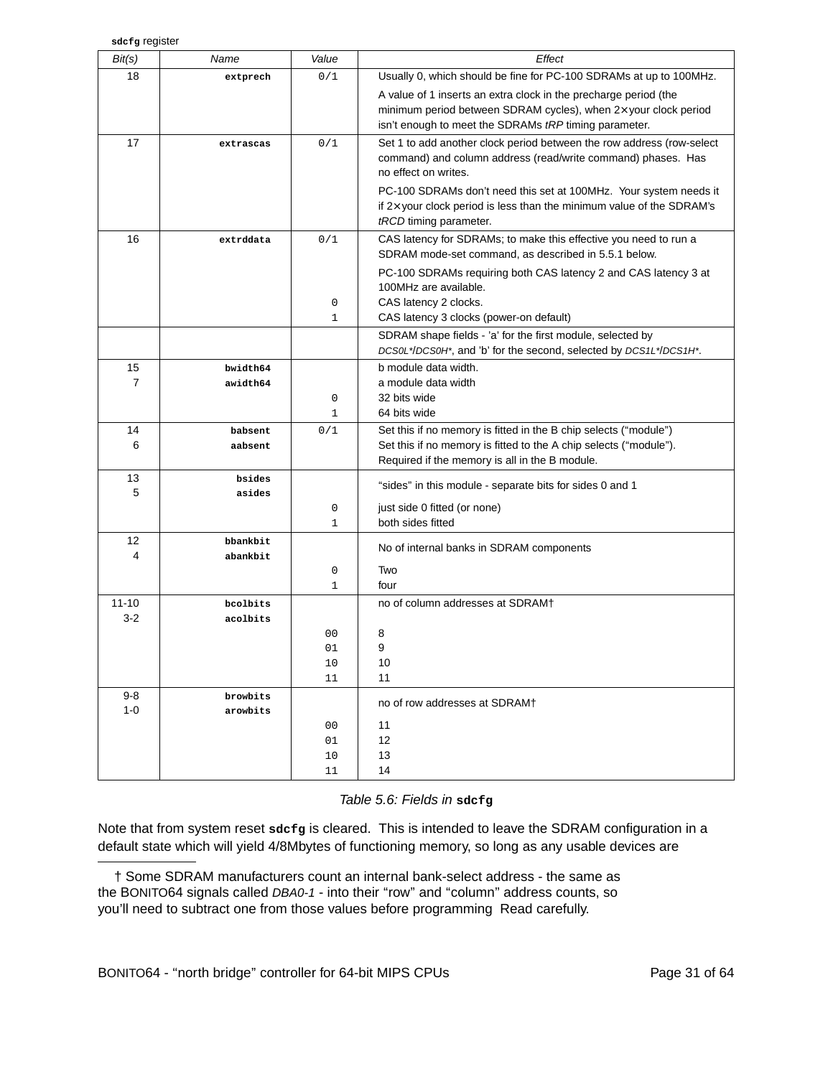| Bit(s)               | Name                 | Value          | Effect                                                                                                                                            |
|----------------------|----------------------|----------------|---------------------------------------------------------------------------------------------------------------------------------------------------|
| 18                   | extprech             | 0/1            | Usually 0, which should be fine for PC-100 SDRAMs at up to 100MHz.                                                                                |
|                      |                      |                | A value of 1 inserts an extra clock in the precharge period (the                                                                                  |
|                      |                      |                | minimum period between SDRAM cycles), when 2x your clock period                                                                                   |
|                      |                      |                | isn't enough to meet the SDRAMs tRP timing parameter.                                                                                             |
| 17                   | extrascas            | 0/1            | Set 1 to add another clock period between the row address (row-select                                                                             |
|                      |                      |                | command) and column address (read/write command) phases. Has<br>no effect on writes.                                                              |
|                      |                      |                |                                                                                                                                                   |
|                      |                      |                | PC-100 SDRAMs don't need this set at 100MHz. Your system needs it<br>if $2\times$ your clock period is less than the minimum value of the SDRAM's |
|                      |                      |                | tRCD timing parameter.                                                                                                                            |
| 16                   | extrddata            | 0/1            | CAS latency for SDRAMs; to make this effective you need to run a                                                                                  |
|                      |                      |                | SDRAM mode-set command, as described in 5.5.1 below.                                                                                              |
|                      |                      |                | PC-100 SDRAMs requiring both CAS latency 2 and CAS latency 3 at                                                                                   |
|                      |                      |                | 100MHz are available.                                                                                                                             |
|                      |                      | 0              | CAS latency 2 clocks.                                                                                                                             |
|                      |                      | $\mathbf{1}$   | CAS latency 3 clocks (power-on default)                                                                                                           |
|                      |                      |                | SDRAM shape fields - 'a' for the first module, selected by                                                                                        |
|                      |                      |                | DCS0L*/DCS0H*, and 'b' for the second, selected by DCS1L*/DCS1H*.                                                                                 |
| 15<br>$\overline{7}$ | bwidth64<br>awidth64 |                | b module data width.<br>a module data width                                                                                                       |
|                      |                      | $\mathbf 0$    | 32 bits wide                                                                                                                                      |
|                      |                      | $\mathbf 1$    | 64 bits wide                                                                                                                                      |
| 14                   | babsent              | 0/1            | Set this if no memory is fitted in the B chip selects ("module")                                                                                  |
| 6                    | aabsent              |                | Set this if no memory is fitted to the A chip selects ("module").                                                                                 |
|                      |                      |                | Required if the memory is all in the B module.                                                                                                    |
| 13<br>5              | bsides               |                | "sides" in this module - separate bits for sides 0 and 1                                                                                          |
|                      | asides               | $\mathbf 0$    | just side 0 fitted (or none)                                                                                                                      |
|                      |                      | 1              | both sides fitted                                                                                                                                 |
| 12                   | bbankbit             |                |                                                                                                                                                   |
| 4                    | abankbit             |                | No of internal banks in SDRAM components                                                                                                          |
|                      |                      | 0              | Two                                                                                                                                               |
|                      |                      | $\mathbf{1}$   | four                                                                                                                                              |
| $11 - 10$<br>$3-2$   | bcolbits             |                | no of column addresses at SDRAM+                                                                                                                  |
|                      | acolbits             | 0 <sub>0</sub> | 8                                                                                                                                                 |
|                      |                      | 01             | 9                                                                                                                                                 |
|                      |                      | $10$           | 10                                                                                                                                                |
|                      |                      | 11             | 11                                                                                                                                                |
| 9-8                  | browbits             |                | no of row addresses at SDRAM+                                                                                                                     |
| $1 - 0$              | arowbits             |                |                                                                                                                                                   |
|                      |                      | 00<br>01       | 11<br>12                                                                                                                                          |
|                      |                      | 10             | 13                                                                                                                                                |
|                      |                      | 11             | 14                                                                                                                                                |

#### Table 5.6: Fields in **sdcfg**

Note that from system reset **sdcfg** is cleared. This is intended to leave the SDRAM configuration in a default state which will yield 4/8Mbytes of functioning memory, so long as any usable devices are

<sup>†</sup> Some SDRAM manufacturers count an internal bank-select address - the same as the BONITO64 signals called DBA0-1 - into their "row" and "column" address counts, so you'll need to subtract one from those values before programming Read carefully.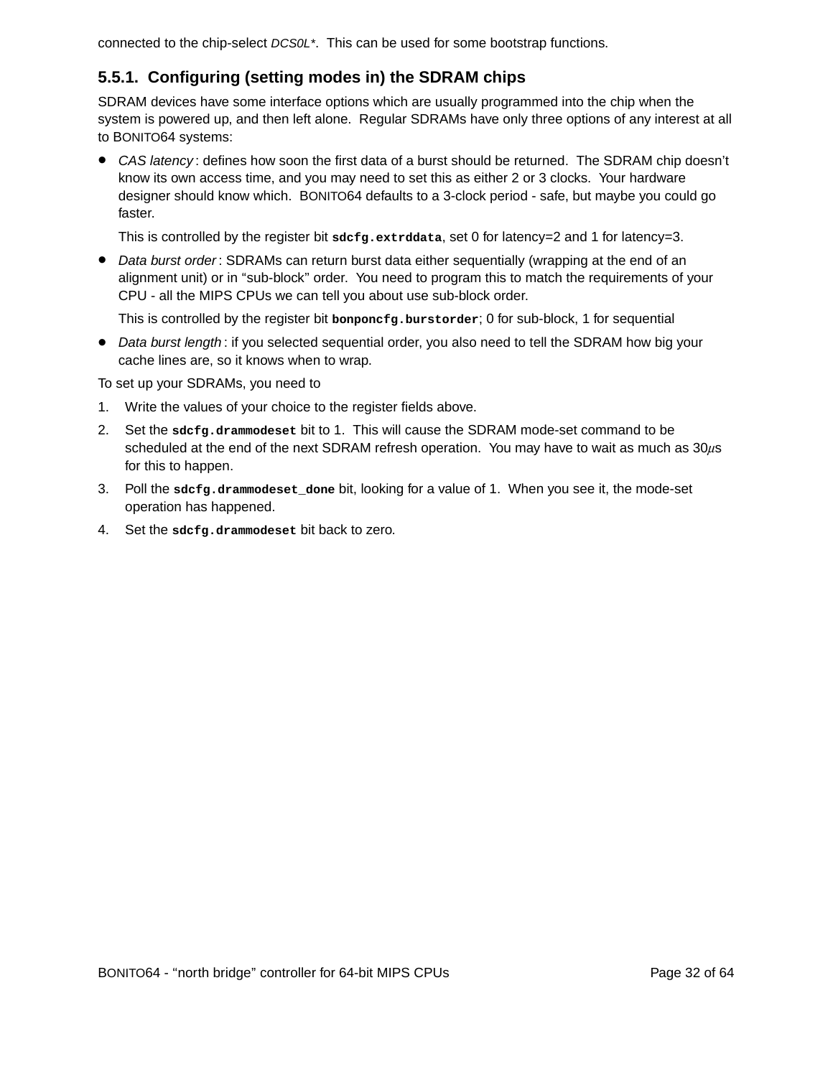connected to the chip-select DCS0L\*. This can be used for some bootstrap functions.

#### **5.5.1. Configuring (setting modes in) the SDRAM chips**

SDRAM devices have some interface options which are usually programmed into the chip when the system is powered up, and then left alone. Regular SDRAMs have only three options of any interest at all to BONITO64 systems:

• CAS latency: defines how soon the first data of a burst should be returned. The SDRAM chip doesn't know its own access time, and you may need to set this as either 2 or 3 clocks. Your hardware designer should know which. BONITO64 defaults to a 3-clock period - safe, but maybe you could go faster.

This is controlled by the register bit **sdcfg.extrddata**, set 0 for latency=2 and 1 for latency=3.

• Data burst order: SDRAMs can return burst data either sequentially (wrapping at the end of an alignment unit) or in "sub-block" order. You need to program this to match the requirements of your CPU - all the MIPS CPUs we can tell you about use sub-block order.

This is controlled by the register bit **bonponcfg.burstorder**;0for sub-block, 1 for sequential

• Data burst length: if you selected sequential order, you also need to tell the SDRAM how big your cache lines are, so it knows when to wrap.

To set up your SDRAMs, you need to

- 1. Write the values of your choice to the register fields above .
- 2. Set the **sdcfg.drammodeset** bit to 1. This will cause the SDRAM mode-set command to be scheduled at the end of the next SDRAM refresh operation. You may have to wait as much as  $30\mu s$ for this to happen.
- 3. Poll the **sdcfg.drammodeset\_done** bit, looking for a value of 1. When you see it, the mode-set operation has happened.
- 4. Set the **sdcfg.drammodeset** bit back to zero.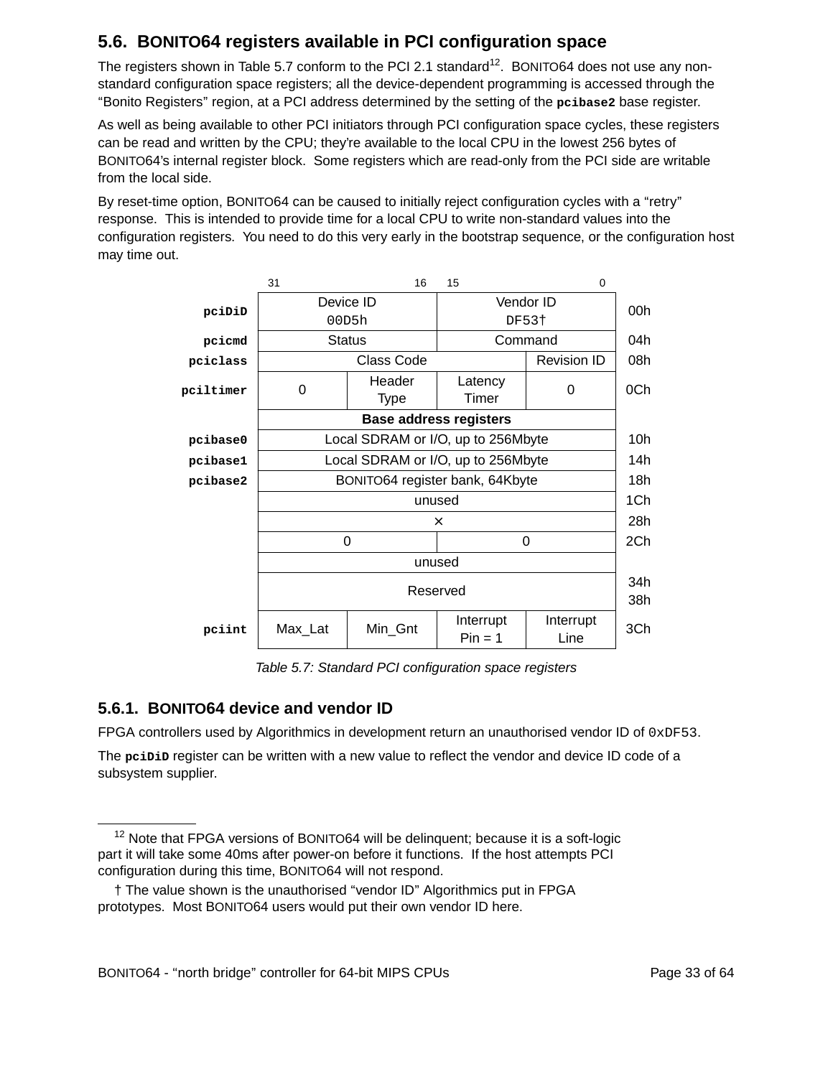## **5.6. BONITO64 registers available in PCI configuration space**

The registers shown in Table 5.7 conform to the PCI 2.1 standard<sup>12</sup>. BONITO64 does not use any nonstandard configuration space registers; all the device-dependent programming is accessed through the ''Bonito Registers'' region, at a PCI address determined by the setting of the **pcibase2** base register.

As well as being available to other PCI initiators through PCI configuration space cycles, these registers can be read and written by the CPU; they're available to the local CPU in the lowest 256 bytes of BONITO64's internal register block. Some registers which are read-only from the PCI side are writable from the local side.

By reset-time option, BONITO64 can be caused to initially reject configuration cycles with a "retry" response. This is intended to provide time for a local CPU to write non-standard values into the configuration registers. You need to do this very early in the bootstrap sequence, or the configuration host may time out.



Table 5.7: Standard PCI configuration space registers

#### **5.6.1. BONITO64 device and vendor ID**

FPGA controllers used by Algorithmics in development return an unauthorised vendor ID of  $0xDF53$ .

The **pciDiD** register can be written with a new value to reflect the vendor and device ID code of a subsystem supplier.

 $12$  Note that FPGA versions of BONITO64 will be delinguent; because it is a soft-logic part it will take some 40ms after power-on before it functions. If the host attempts PCI configuration during this time, BONITO64 will not respond.

<sup>†</sup> The value shown is the unauthorised ''vendor ID'' Algor ithmics put in FPGA prototypes. Most BONITO64 users would put their own vendor ID here.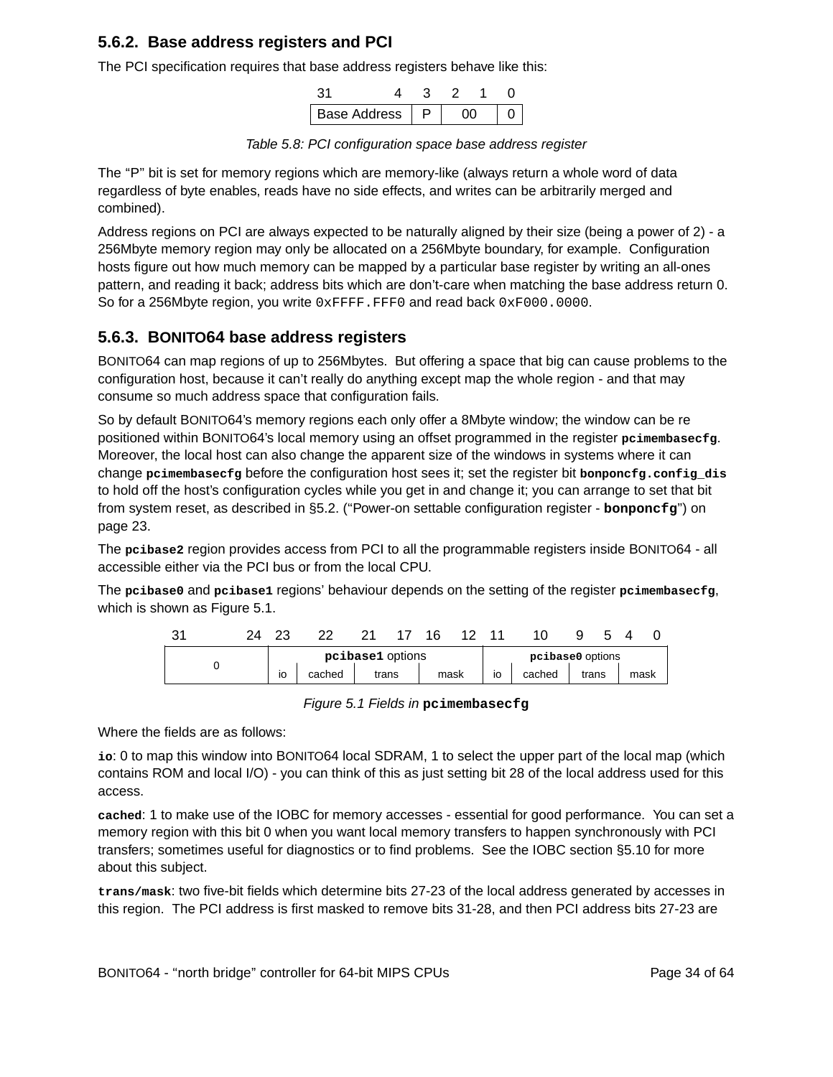#### **5.6.2. Base address registers and PCI**

The PCI specification requires that base address registers behave like this:

| <b>Base Address</b> |  |  |  |
|---------------------|--|--|--|

Table 5.8: PCI configuration space base address register

The "P" bit is set for memory regions which are memory-like (always return a whole word of data regardless of byte enables, reads have no side effects, and writes can be arbitrarily merged and combined).

Address regions on PCI are always expected to be naturally aligned by their size (being a power of 2)-a 256Mbyte memory region may only be allocated on a 256Mbyte boundary, for example. Configuration hosts figure out how much memory can be mapped by a particular base register by writing an all-ones pattern, and reading it back; address bits which are don't-care when matching the base address return 0. So for a 256Mbyte region, you write OXFFFF.FFF0 and read back 0xF000.0000.

#### **5.6.3. BONITO64 base address registers**

BONITO64 can map regions of up to 256Mbytes. But offering a space that big can cause problems to the configuration host, because it can't really do anything except map the whole region - and that may consume so much address space that configuration fails.

So by default BONITO64's memory regions each only offer a 8Mbyte window; the window can be re positioned within BONITO64's local memory using an offset programmed in the register **pcimembasecfg**. Moreover, the local host can also change the apparent size of the windows in systems where it can change **pcimembasecfg** before the configuration host sees it; set the register bit **bonponcfg.config\_dis** to hold off the host's configuration cycles while you get in and change it; you can arrange to set that bit from system reset, as described in §5.2. ("Power-on settable configuration register - **bonponcfg**") on page 23.

The **pcibase2** region provides access from PCI to all the programmable registers inside BONITO64 - all accessible either via the PCI bus or from the local CPU.

The **pcibase0** and **pcibase1** regions' behaviour depends on the setting of the register **pcimembasecfg**, which is shown as Figure 5.1.

| າາ<br>ັ |  |  |    |        |                  | 1 A |      |    |                  |       |      |  |
|---------|--|--|----|--------|------------------|-----|------|----|------------------|-------|------|--|
|         |  |  |    |        | pcibase1 options |     |      |    | pcibase0 options |       |      |  |
|         |  |  | IO | cached | trans            |     | mask | IO | cached           | trans | mask |  |

Figure 5.1 Fields in **pcimembasecfg**

Where the fields are as follows:

io: 0 to map this window into BONITO64 local SDRAM, 1 to select the upper part of the local map (which contains ROM and local I/O) - you can think of this as just setting bit 28 of the local address used for this access.

cached: 1 to make use of the IOBC for memory accesses - essential for good performance. You can set a memory region with this bit 0 when you want local memory transfers to happen synchronously with PCI transfers; sometimes useful for diagnostics or to find problems. See the IOBC section §5.10 for more about this subject.

**trans/mask**: two five-bit fields which determine bits 27-23 of the local address generated by accesses in this region. The PCI address is first masked to remove bits 31-28, and then PCI address bits 27-23 are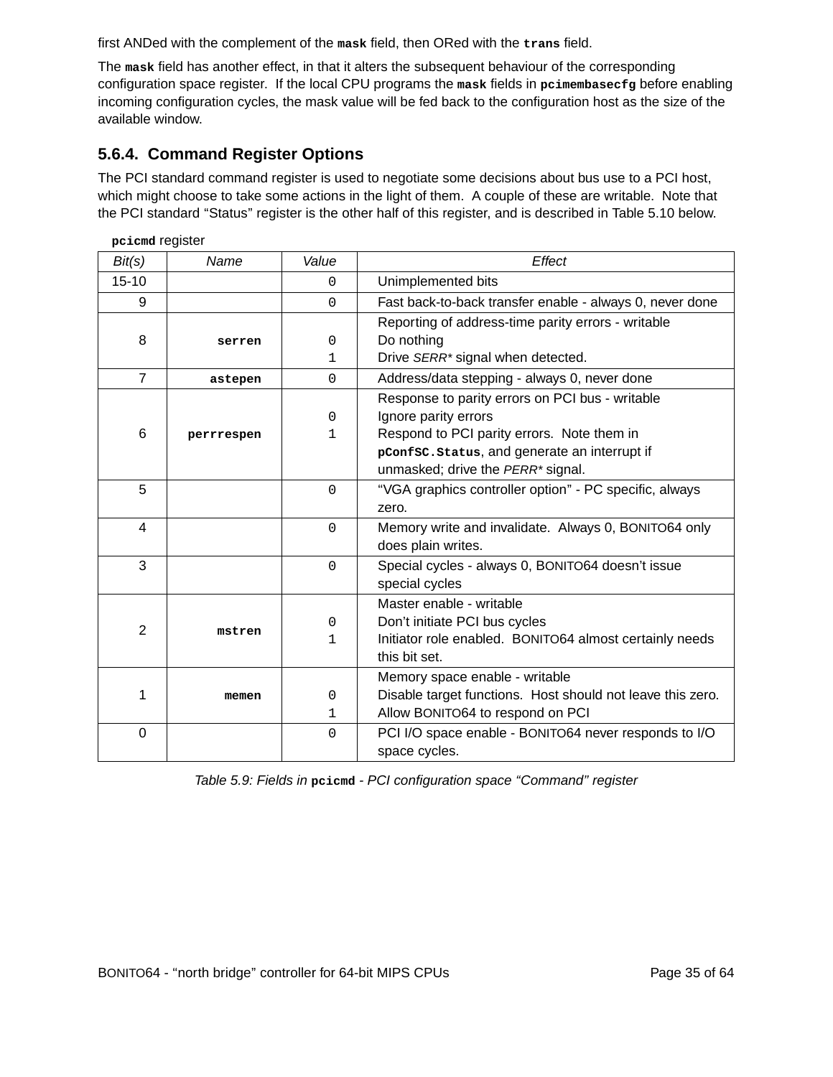first ANDed with the complement of the **mask** field, then ORed with the **trans** field.

The **mask** field has another effect, in that it alters the subsequent behaviour of the corresponding configuration space register. If the local CPU programs the **mask** fields in **pcimembasecfg** before enabling incoming configuration cycles, the mask value will be fed back to the configuration host as the size of the available window.

### **5.6.4. Command Register Options**

The PCI standard command register is used to negotiate some decisions about bus use to a PCI host, which might choose to take some actions in the light of them. A couple of these are writable. Note that the PCI standard "Status" register is the other half of this register, and is described in Table 5.10 below.

| pcicmd register |            |             |                                                            |
|-----------------|------------|-------------|------------------------------------------------------------|
| Bit(s)          | Name       | Value       | Effect                                                     |
| $15 - 10$       |            | $\Omega$    | Unimplemented bits                                         |
| 9               |            | $\Omega$    | Fast back-to-back transfer enable - always 0, never done   |
|                 |            |             | Reporting of address-time parity errors - writable         |
| 8               | serren     | $\Omega$    | Do nothing                                                 |
|                 |            | 1           | Drive SERR* signal when detected.                          |
| $\overline{7}$  | astepen    | $\Omega$    | Address/data stepping - always 0, never done               |
|                 |            |             | Response to parity errors on PCI bus - writable            |
|                 |            | $\Omega$    | Ignore parity errors                                       |
| 6               | perrrespen | 1           | Respond to PCI parity errors. Note them in                 |
|                 |            |             | pConfsc.status, and generate an interrupt if               |
|                 |            |             | unmasked; drive the PERR* signal.                          |
| 5               |            | $\Omega$    | "VGA graphics controller option" - PC specific, always     |
|                 |            |             | zero.                                                      |
| $\overline{4}$  |            | $\Omega$    | Memory write and invalidate. Always 0, BONITO64 only       |
|                 |            |             | does plain writes.                                         |
| 3               |            | $\Omega$    | Special cycles - always 0, BONITO64 doesn't issue          |
|                 |            |             | special cycles                                             |
|                 |            |             | Master enable - writable                                   |
| $\overline{2}$  | mstren     | $\mathbf 0$ | Don't initiate PCI bus cycles                              |
|                 |            | 1           | Initiator role enabled. BONITO64 almost certainly needs    |
|                 |            |             | this bit set.                                              |
|                 |            |             | Memory space enable - writable                             |
| 1               | memen      | $\mathbf 0$ | Disable target functions. Host should not leave this zero. |
|                 |            | 1           | Allow BONITO64 to respond on PCI                           |
| $\overline{0}$  |            | $\Omega$    | PCI I/O space enable - BONITO64 never responds to I/O      |
|                 |            |             | space cycles.                                              |

Table 5.9: Fields in **pcicmd** - PCI configuration space ''Command'' register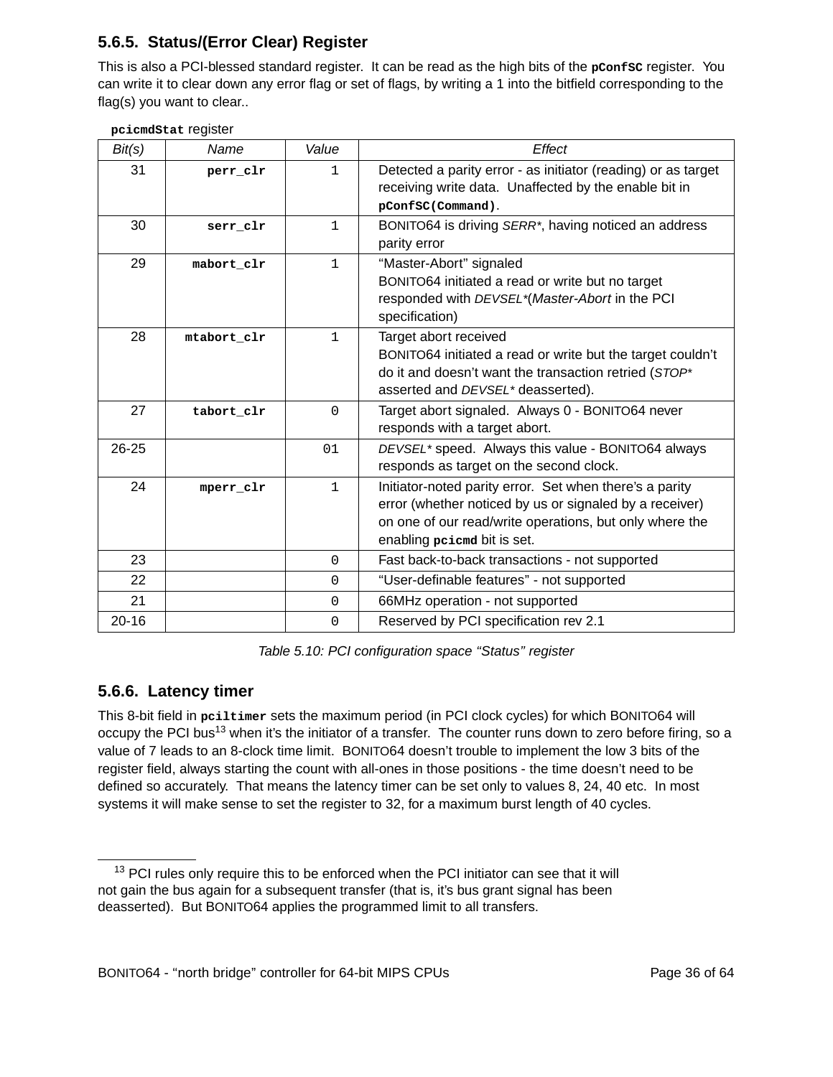### **5.6.5. Status/(Error Clear) Register**

This is also a PCI-blessed standard register. It can be read as the high bits of the **pConfSC** register. You can write it to clear down any error flag or set of flags, by writing a 1 into the bitfield corresponding to the flag(s) you want to clear..

| Bit(s)    | Name        | Value        | Effect                                                                                                                                                                                                       |
|-----------|-------------|--------------|--------------------------------------------------------------------------------------------------------------------------------------------------------------------------------------------------------------|
| 31        | perr_clr    | $\mathbf{1}$ | Detected a parity error - as initiator (reading) or as target<br>receiving write data. Unaffected by the enable bit in<br>pConfSC(Command).                                                                  |
| 30        | serr clr    | $\mathbf{1}$ | BONITO64 is driving SERR*, having noticed an address<br>parity error                                                                                                                                         |
| 29        | mabort_clr  | $\mathbf{1}$ | "Master-Abort" signaled<br>BONITO64 initiated a read or write but no target<br>responded with DEVSEL*(Master-Abort in the PCI<br>specification)                                                              |
| 28        | mtabort clr | $\mathbf{1}$ | Target abort received<br>BONITO64 initiated a read or write but the target couldn't<br>do it and doesn't want the transaction retried (STOP*<br>asserted and DEVSEL* deasserted).                            |
| 27        | tabort clr  | $\mathbf 0$  | Target abort signaled. Always 0 - BONITO64 never<br>responds with a target abort.                                                                                                                            |
| 26-25     |             | 01           | DEVSEL* speed. Always this value - BONITO64 always<br>responds as target on the second clock.                                                                                                                |
| 24        | mperr_clr   | $\mathbf{1}$ | Initiator-noted parity error. Set when there's a parity<br>error (whether noticed by us or signaled by a receiver)<br>on one of our read/write operations, but only where the<br>enabling peicmd bit is set. |
| 23        |             | $\Omega$     | Fast back-to-back transactions - not supported                                                                                                                                                               |
| 22        |             | 0            | "User-definable features" - not supported                                                                                                                                                                    |
| 21        |             | $\Omega$     | 66MHz operation - not supported                                                                                                                                                                              |
| $20 - 16$ |             | $\mathbf 0$  | Reserved by PCI specification rev 2.1                                                                                                                                                                        |

Table 5.10: PCI configuration space "Status" register

#### **5.6.6. Latency timer**

This 8-bit field in **pciltimer** sets the maximum period (in PCI clock cycles) for which BONITO64 will occupy the PCI bus<sup>13</sup> when it's the initiator of a transfer. The counter runs down to zero before firing, so a value of 7 leads to an 8-clock time limit. BONITO64 doesn't trouble to implement the low 3 bits of the register field, always starting the count with all-ones in those positions - the time doesn't need to be defined so accurately. That means the latency timer can be set only to values 8, 24, 40 etc. In most systems it will make sense to set the register to 32, for a maximum burst length of 40 cycles.

 $13$  PCI rules only require this to be enforced when the PCI initiator can see that it will not gain the bus again for a subsequent transfer (that is, it's bus grant signal has been deasserted). But BONITO64 applies the programmed limit to all transfers.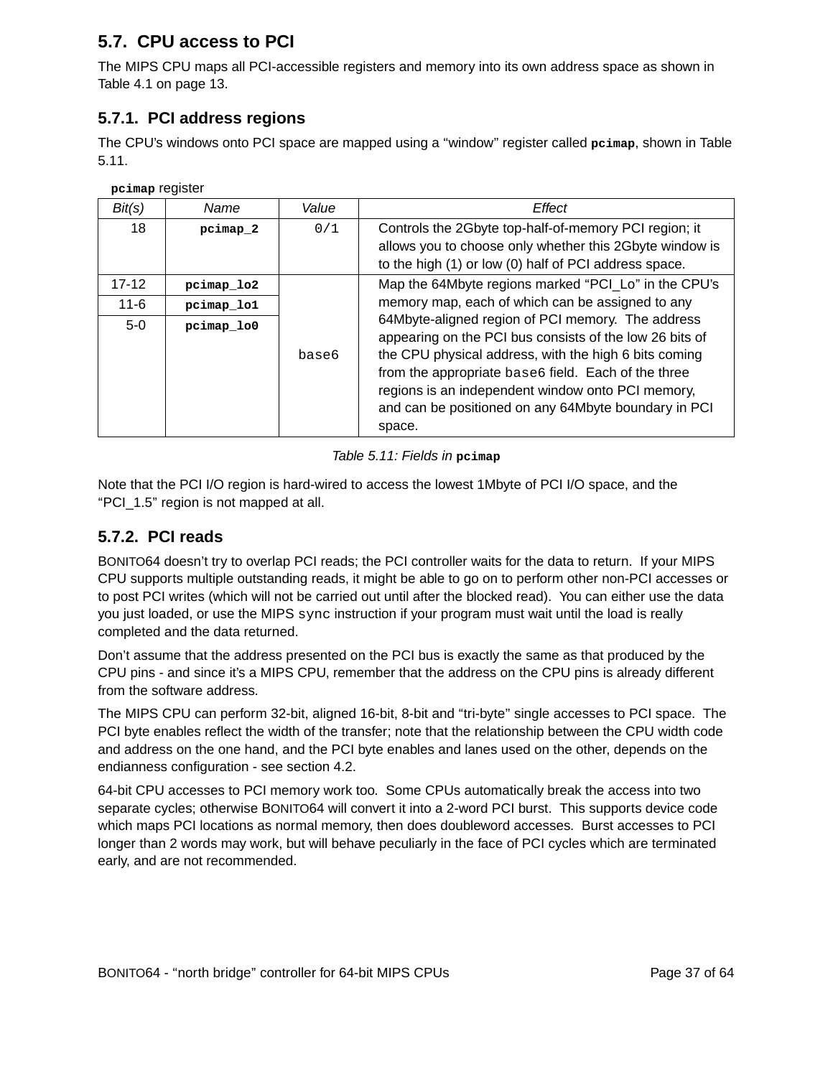### **5.7. CPU access to PCI**

The MIPS CPU maps all PCI-accessible registers and memory into its own address space as shown in Table 4.1 on page 13.

#### **5.7.1. PCI address regions**

The CPU's windows onto PCI space are mapped using a ''window'' register called **pcimap**, shown in Table 5.11.

**pcimap** register

| Bit(s)   | Name       | Value | Effect                                                                                                                                                                                                                                                                                                                                              |
|----------|------------|-------|-----------------------------------------------------------------------------------------------------------------------------------------------------------------------------------------------------------------------------------------------------------------------------------------------------------------------------------------------------|
| 18       | pcimap 2   | 0/1   | Controls the 2Gbyte top-half-of-memory PCI region; it<br>allows you to choose only whether this 2Gbyte window is<br>to the high (1) or low (0) half of PCI address space.                                                                                                                                                                           |
| 17-12    | pcimap lo2 |       | Map the 64Mbyte regions marked "PCI_Lo" in the CPU's                                                                                                                                                                                                                                                                                                |
| $11 - 6$ | pcimap lo1 |       | memory map, each of which can be assigned to any                                                                                                                                                                                                                                                                                                    |
| $5-0$    | pcimap lo0 | base6 | 64Mbyte-aligned region of PCI memory. The address<br>appearing on the PCI bus consists of the low 26 bits of<br>the CPU physical address, with the high 6 bits coming<br>from the appropriate base6 field. Each of the three<br>regions is an independent window onto PCI memory,<br>and can be positioned on any 64Mbyte boundary in PCI<br>space. |

#### Table 5.11: Fields in **pcimap**

Note that the PCI I/O region is hard-wired to access the lowest 1Mbyte of PCI I/O space, and the ''PCI\_1.5'' region is not mapped at all.

#### **5.7.2. PCI reads**

BONITO64 doesn't try to overlap PCI reads; the PCI controller waits for the data to return. If your MIPS CPU supports multiple outstanding reads, it might be able to go on to perform other non-PCI accesses or to post PCI writes (which will not be carried out until after the blocked read). You can either use the data you just loaded, or use the MIPS sync instruction if your program must wait until the load is really completed and the data returned.

Don't assume that the address presented on the PCI bus is exactly the same as that produced by the CPU pins - and since it's a MIPS CPU, remember that the address on the CPU pins is already different from the software address.

The MIPS CPU can perform 32-bit, aligned 16-bit, 8-bit and "tri-byte" single accesses to PCI space. The PCI byte enables reflect the width of the transfer; note that the relationship between the CPU width code and address on the one hand, and the PCI byte enables and lanes used on the other, depends on the endianness configuration - see section 4.2.

64-bit CPU accesses to PCI memory work too. Some CPUs automatically break the access into two separate cycles; otherwise BONITO64 will convert it into a 2-word PCI burst. This supports device code which maps PCI locations as normal memory, then does doubleword accesses. Burst accesses to PCI longer than 2 words may work, but will behave peculiarly in the face of PCI cycles which are terminated early, and are not recommended.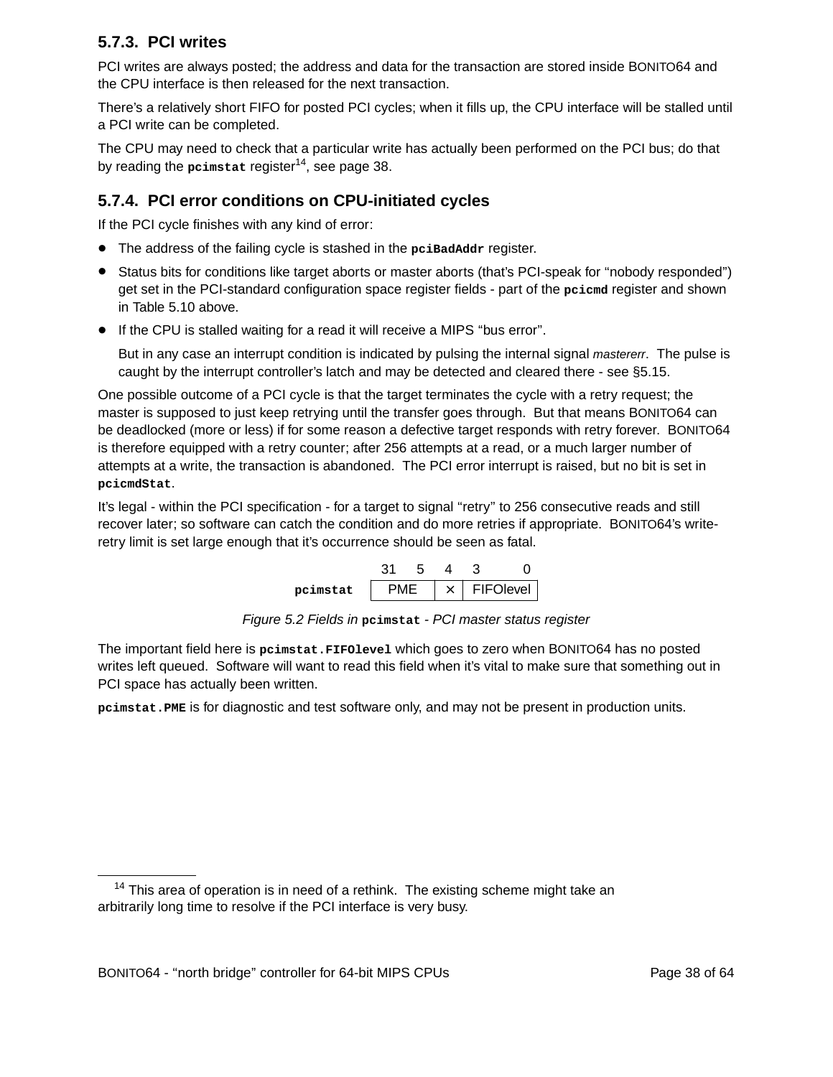#### **5.7.3. PCI writes**

PCI writes are always posted; the address and data for the transaction are stored inside BONITO64 and the CPU interface is then released for the next transaction.

There's a relatively short FIFO for posted PCI cycles; when it fills up, the CPU interface will be stalled until a PCI write can be completed.

The CPU may need to check that a particular write has actually been performed on the PCI bus; do that by reading the **pcimstat** register<sup>14</sup>, see page 38.

#### **5.7.4. PCI error conditions on CPU-initiated cycles**

If the PCI cycle finishes with any kind of error:

- The address of the failing cycle is stashed in the **pciBadAddr** register.
- Status bits for conditions like target aborts or master aborts (that's PCI-speak for ''nobody responded'') get set in the PCI-standard configuration space register fields - part of the **pcicmd** register and shown in Table 5.10 above.
- If the CPU is stalled waiting for a read it will receive a MIPS "bus error".

But in any case an interrupt condition is indicated by pulsing the internal signal *mastererr*. The pulse is caught by the interrupt controller's latch and may be detected and cleared there - see §5.15.

One possible outcome of a PCI cycle is that the target terminates the cycle with a retry request; the master is supposed to just keep retrying until the transfer goes through. But that means BONITO64 can be deadlocked (more or less) if for some reason a defective target responds with retry forever. BONITO64 is therefore equipped with a retry counter; after 256 attempts at a read, or a much larger number of attempts at a write, the transaction is abandoned. The PCI error interrupt is raised, but no bit is set in **pcicmdStat**.

It's legal - within the PCI specification - for a target to signal "retry" to 256 consecutive reads and still recover later; so software can catch the condition and do more retries if appropriate. BONITO64's writeretry limit is set large enough that it's occurrence should be seen as fatal.

| pcimstat |  | $\times$ | FIFOlevel |
|----------|--|----------|-----------|

Figure 5.2 Fields in **pcimstat** - PCI master status register

The important field here is **pcimstat.FIFOlevel** which goes to zero when BONITO64 has no posted writes left queued. Software will want to read this field when it's vital to make sure that something out in PCI space has actually been written.

**pcimstat.PME** is for diagnostic and test software only, and may not be present in production units.

 $14$  This area of operation is in need of a rethink. The existing scheme might take an arbitrarily long time to resolve if the PCI interface is very busy.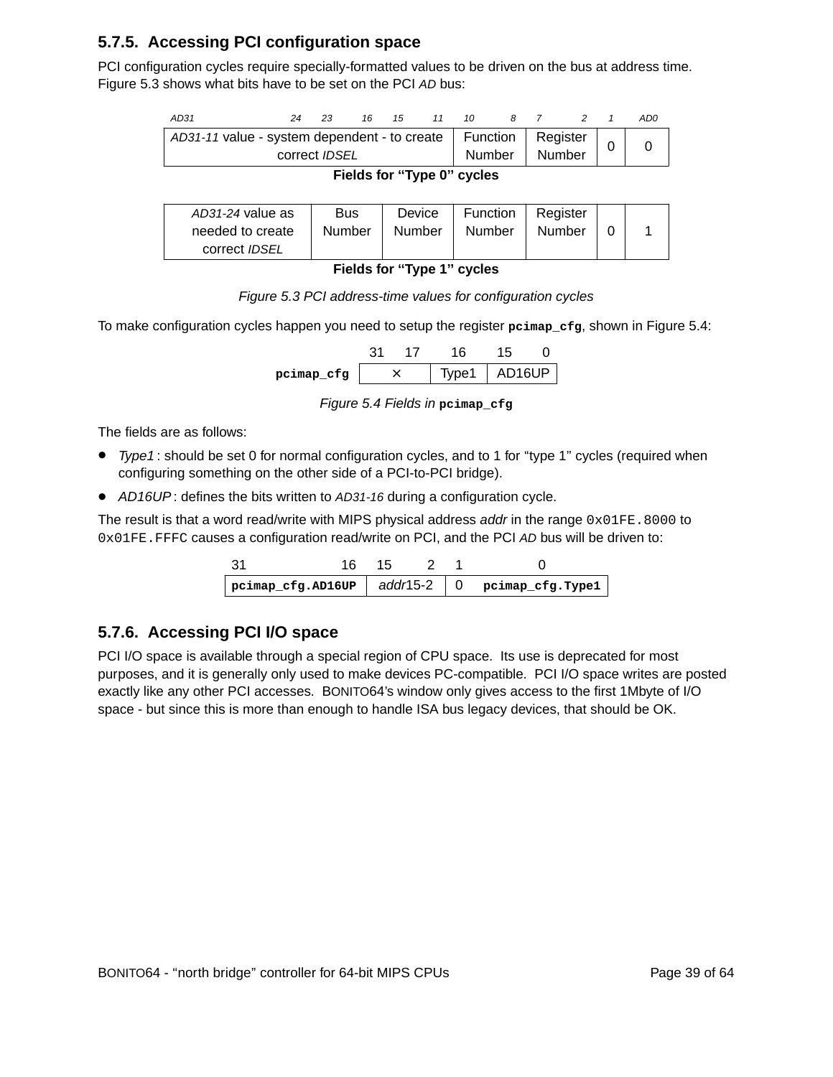#### **5.7.5. Accessing PCI configuration space**

PCI configuration cycles require specially-formatted values to be driven on the bus at address time. Figure 5.3 shows what bits have to be set on the PCI AD bus:

| AD31                                                                 | 24 | 23 |  | 16 15 11 10 |  |                               | 8 Z |        |  | AD0 |
|----------------------------------------------------------------------|----|----|--|-------------|--|-------------------------------|-----|--------|--|-----|
| AD31-11 value - system dependent - to create<br>correct <i>IDSEL</i> |    |    |  |             |  | Function   Register<br>Number |     | Number |  |     |
| Fields for "Type 0" cycles                                           |    |    |  |             |  |                               |     |        |  |     |

| AD31-24 value as<br>needed to create<br>correct <i>IDSEL</i> | <b>Bus</b><br>Number | Device<br>Number | Function<br>Number | Register<br>Number |  |  |
|--------------------------------------------------------------|----------------------|------------------|--------------------|--------------------|--|--|
|                                                              |                      |                  |                    |                    |  |  |

**Fields for ''Type 1'' cycles**

| Figure 5.3 PCI address-time values for configuration cycles |  |
|-------------------------------------------------------------|--|
|-------------------------------------------------------------|--|

To make configuration cycles happen you need to setup the register **pcimap\_cfg**, shown in Figure 5.4:

| pcimap cfg |  |  | lvpe1 + | AD16UP |  |
|------------|--|--|---------|--------|--|

Figure 5.4 Fields in **pcimap\_cfg**

The fields are as follows:

- Type1: should be set 0 for normal configuration cycles, and to 1 for "type 1" cycles (required when configuring something on the other side of a PCI-to-PCI bridge).
- AD16UP: defines the bits written to AD31-16 during a configuration cycle.

The result is that a word read/write with MIPS physical address addr in the range  $0 \times 01FE$ . 8000 to 0x01FE.FFFC causes a configuration read/write on PCI, and the PCI AD bus will be driven to:

|  |  | $periodic$ pcimap_cfg.AD16UP $ $ add/15-2 $ 0$ pcimap_cfg.Type1 $ $ |
|--|--|---------------------------------------------------------------------|

#### **5.7.6. Accessing PCI I/O space**

PCI I/O space is available through a special region of CPU space. Its use is deprecated for most pur poses, and it is generally only used to make devices PC-compatible. PCI I/O space writes are posted exactly like any other PCI accesses. BONITO64's window only gives access to the first 1Mbyte of I/O space - but since this is more than enough to handle ISA bus legacy devices, that should be OK.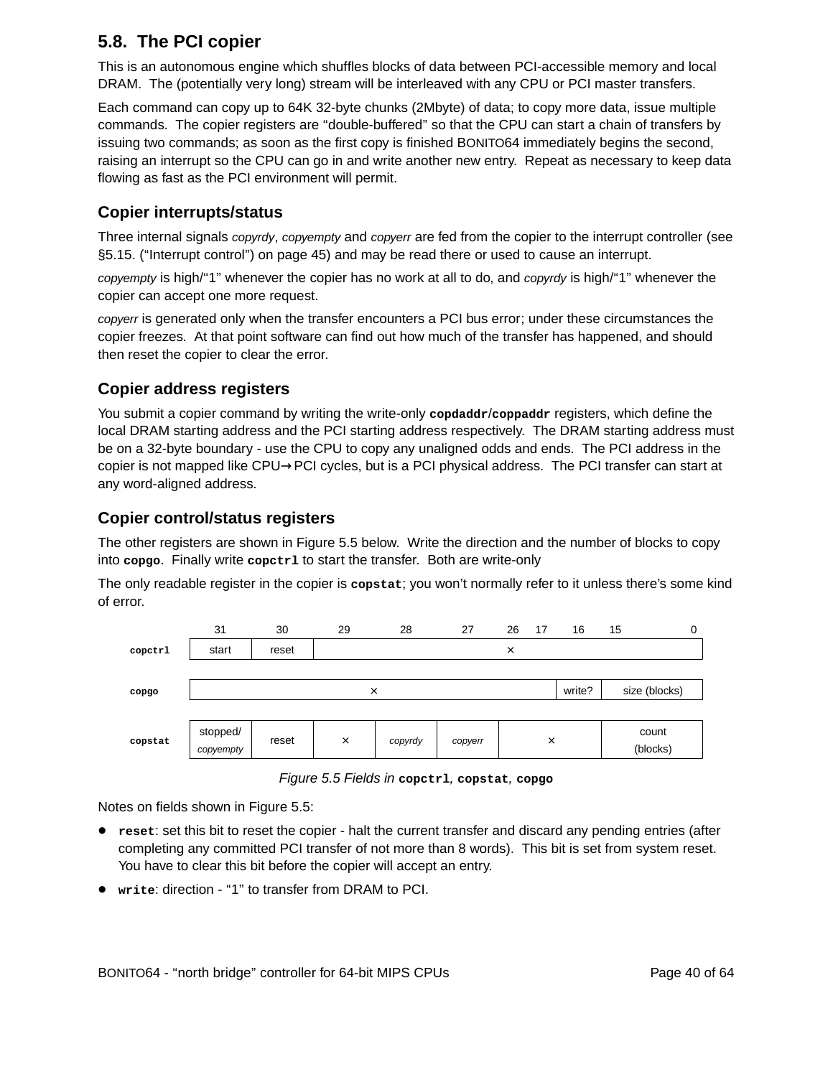### **5.8. The PCI copier**

This is an autonomous engine which shuffles blocks of data between PCI-accessible memory and local DRAM. The (potentially very long) stream will be interleaved with any CPU or PCI master transfers.

Each command can copy up to 64K 32-byte chunks (2Mbyte) of data; to copy more data, issue multiple commands. The copier registers are "double-buffered" so that the CPU can start a chain of transfers by issuing two commands; as soon as the first copy is finished BONITO64 immediately begins the second, raising an interrupt so the CPU can go in and write another new entry. Repeat as necessary to keep data flowing as fast as the PCI environment will permit.

#### **Copier interrupts/status**

Three internal signals *copyrdy, copyempty* and *copyerr* are fed from the copier to the interrupt controller (see §5.15. ("Interrupt control") on page 45) and may be read there or used to cause an interrupt.

copyempty is high/"1" whenever the copier has no work at all to do, and copyrdy is high/"1" whenever the copier can accept one more request.

copyerr is generated only when the transfer encounters a PCI bus error; under these circumstances the copier freezes. At that point software can find out how much of the transfer has happened, and should then reset the copier to clear the error.

#### **Copier address registers**

You submit a copier command by writing the write-only copdaddr/coppaddr registers, which define the local DRAM starting address and the PCI starting address respectively. The DRAM starting address must be on a 32-byte boundary - use the CPU to copy any unaligned odds and ends. The PCI address in the copier is not mapped like CPU→PCI cycles, but is a PCI physical address. The PCI transfer can start at any word-aligned address.

#### **Copier control/status registers**

The other registers are shown in Figure 5.5 below. Write the direction and the number of blocks to copy into **copgo**. Finally write **copctrl** to start the transfer. Both are write-only

The only readable register in the copier is **copstat**; you won't normally refer to it unless there's some kind of error.

|         | 31        | 30    | 29       | 28      | 27      | 26 | 17       | 16     | 15       | 0             |
|---------|-----------|-------|----------|---------|---------|----|----------|--------|----------|---------------|
| copctrl | start     | reset |          |         |         | ×  |          |        |          |               |
|         |           |       |          |         |         |    |          |        |          |               |
| copgo   |           |       | $\times$ |         |         |    |          | write? |          | size (blocks) |
|         |           |       |          |         |         |    |          |        |          |               |
| copstat | stopped/  | reset |          |         |         |    | $\times$ |        |          | count         |
|         | copyempty |       | $\times$ | copyrdy | copyerr |    |          |        | (blocks) |               |

Figure 5.5 Fields in **copctrl**, **copstat**, **copgo**

Notes on fields shown in Figure 5.5:

- **reset**: set this bit to reset the copier halt the current transfer and discard any pending entries (after completing any committed PCI transfer of not more than 8 words). This bit is set from system reset. You have to clear this bit before the copier will accept an entry.
- **write**: direction ''1'' to transfer from DRAM to PCI.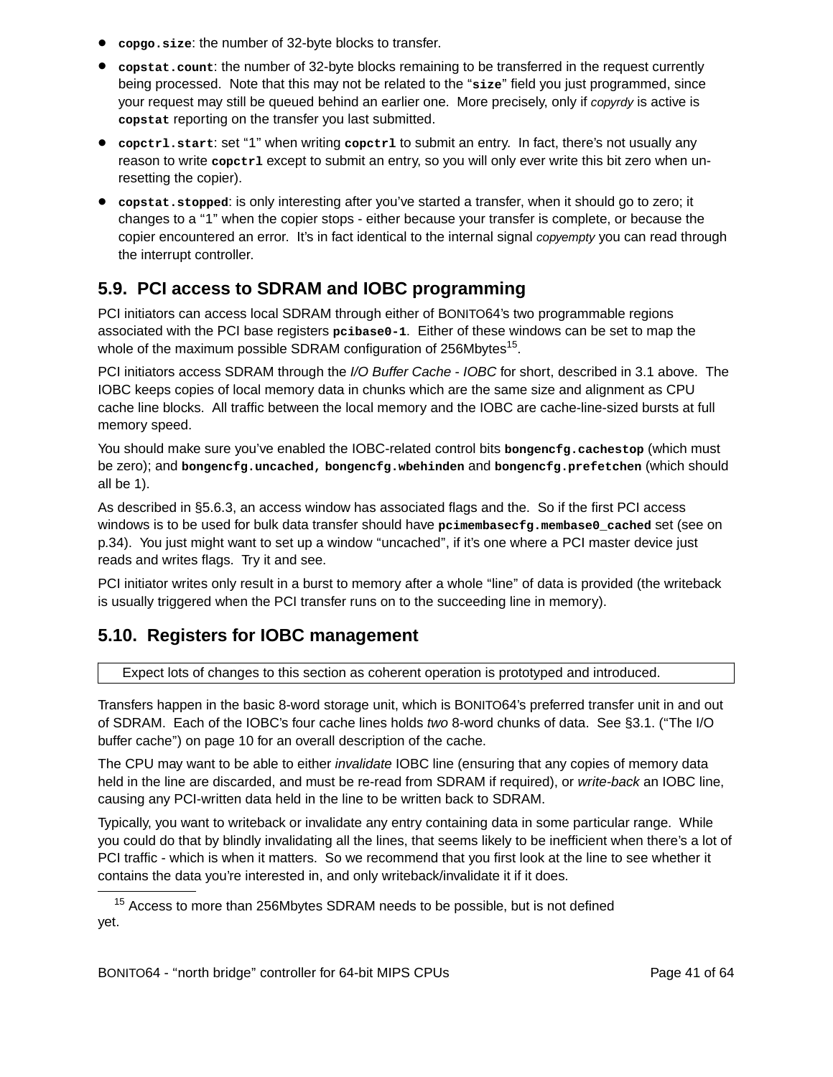- **copgo.size**: the number of 32-byte blocks to transfer.
- **copstat.count**: the number of 32-byte blocks remaining to be transferred in the request currently being processed. Note that this may not be related to the "size" field you just programmed, since your request may still be queued behind an earlier one. More precisely, only if *copyrdy* is active is copstat reporting on the transfer you last submitted.
- **copctrl.start**: set ''1'' when writing **copctrl** to submit an entry. In fact, there's not usually any reason to write **copctrl** except to submit an entry, so you will only ever write this bit zero when unresetting the copier).
- copstat.stopped: is only interesting after you've started a transfer, when it should go to zero; it changes to a ''1'' when the copier stops - either because your transfer is complete, or because the copier encountered an error. It's in fact identical to the internal signal *copyempty* you can read through the interrupt controller.

### **5.9. PCI access to SDRAM and IOBC programming**

PCI initiators can access local SDRAM through either of BONITO64's two programmable regions associated with the PCI base registers **pcibase0-1**. Either of these windows can be set to map the whole of the maximum possible SDRAM configuration of 256Mbytes<sup>15</sup>.

PCI initiators access SDRAM through the I/O Buffer Cache - IOBC for short, described in 3.1 above. The IOBC keeps copies of local memory data in chunks which are the same size and alignment as CPU cache line blocks. All traffic between the local memory and the IOBC are cache-line-sized bursts at full memory speed.

You should make sure you've enabled the IOBC-related control bits **bongencfg.cachestop** (which must be zero); and **bongencfg.uncached, bongencfg.wbehinden** and **bongencfg.prefetchen** (which should all be 1).

As described in §5.6.3, an access window has associated flags and the. So if the first PCI access windows is to be used for bulk data transfer should have **pcimembasecfg.membase0\_cached** set (see on p.34). You just might want to set up a window "uncached", if it's one where a PCI master device just reads and writes flags. Try it and see.

PCI initiator writes only result in a burst to memory after a whole "line" of data is provided (the writeback is usually triggered when the PCI transfer runs on to the succeeding line in memory).

### **5.10. Registers for IOBC management**

Expect lots of changes to this section as coherent operation is prototyped and introduced.

Transfers happen in the basic 8-word storage unit, which is BONITO64's preferred transfer unit in and out of SDRAM. Each of the IOBC's four cache lines holds two 8-word chunks of data. See §3.1. (''The I/O buffer cache'') on page 10 for an overall description of the cache.

The CPU may want to be able to either *invalidate* IOBC line (ensuring that any copies of memory data held in the line are discarded, and must be re-read from SDRAM if required), or write-back an IOBC line, causing any PCI-written data held in the line to be written back to SDRAM.

Typically, you want to writeback or invalidate any entry containing data in some particular range. While you could do that by blindly invalidating all the lines, that seems likely to be inefficient when there's a lot of PCI traffic - which is when it matters. So we recommend that you first look at the line to see whether it contains the data you're interested in, and only writeback/invalidate it if it does.

<sup>&</sup>lt;sup>15</sup> Access to more than 256Mbytes SDRAM needs to be possible, but is not defined yet.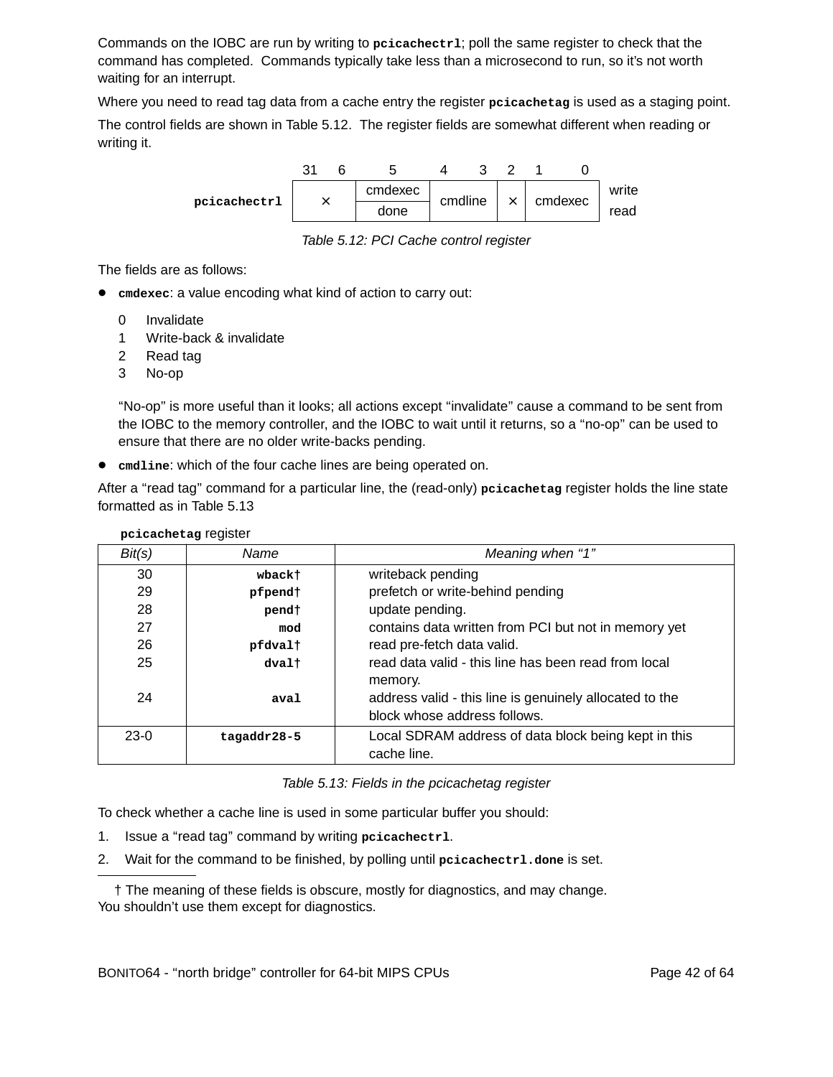Commands on the IOBC are run by writing to **pcicachectrl**; poll the same register to check that the command has completed. Commands typically take less than a microsecond to run, so it's not worth waiting for an interrupt.

Where you need to read tag data from a cache entry the register **pcicachetag** is used as a staging point.

The control fields are shown in Table 5.12. The register fields are somewhat different when reading or writing it.



Table 5.12: PCI Cache control register

The fields are as follows:

- emdexec: a value encoding what kind of action to carry out:
	- 0 Invalidate
	- 1 Write-back & invalidate
	- 2 Read tag
	- 3 No-op

''No-op'' is more useful than it looks; all actions except ''invalidate'' cause a command to be sent from the IOBC to the memory controller, and the IOBC to wait until it returns, soa''no-op'' can be used to ensure that there are no older write-backs pending.

• **cmdline**: which of the four cache lines are being operated on.

After a ''read tag'' command for a particular line, the (read-only) **pcicachetag** register holds the line state formatted as in Table 5.13

| Local SDRAM address of data block being kept in this |
|------------------------------------------------------|
|                                                      |
| contains data written from PCI but not in memory yet |

**pcicachetag** register

Table 5.13: Fields in the pcicachetag register

To check whether a cache line is used in some particular buffer you should:

- 1. Issue a ''read tag'' command by writing **pcicachectrl**.
- 2. Wait for the command to be finished, by polling until **pcicachectrl.done** is set.

† The meaning of these fields is obscure, mostly for diagnostics, and may change. You shouldn't use them except for diagnostics.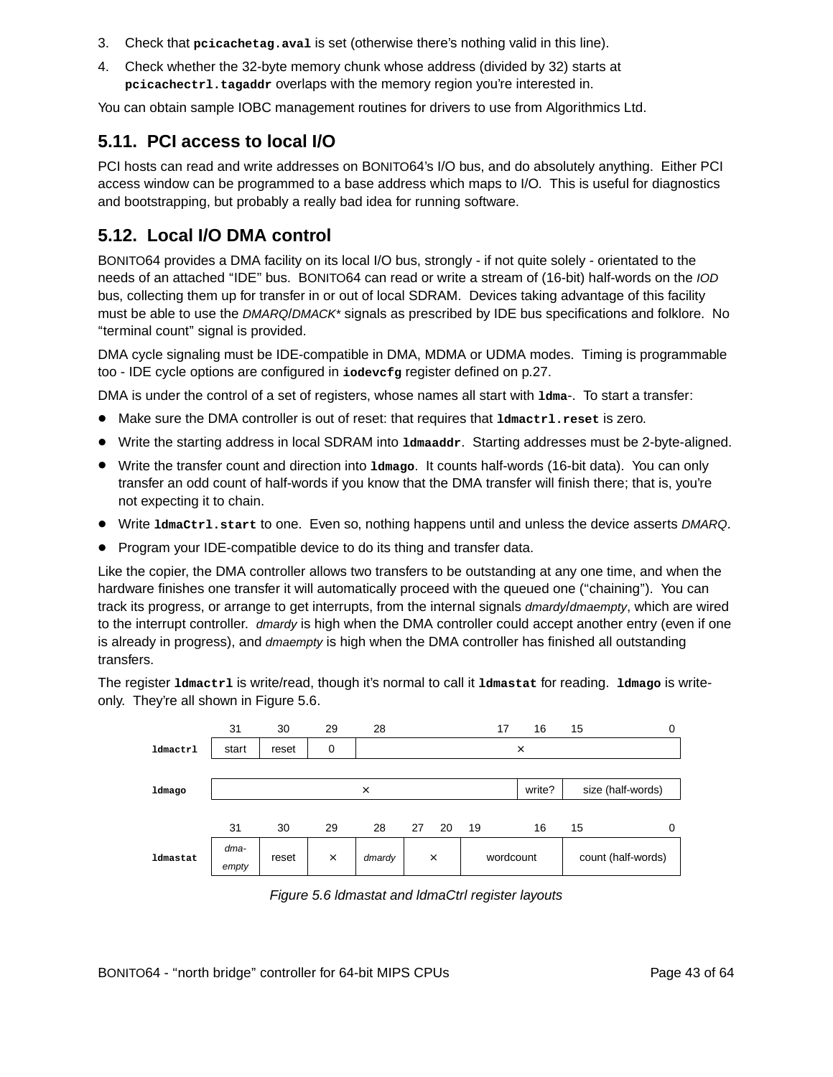- 3. Check that **pcicachetag.aval** is set (otherwise there's nothing valid in this line).
- 4. Check whether the 32-byte memory chunk whose address (divided by 32) starts at pcicachectrl.tagaddr overlaps with the memory region you're interested in.

You can obtain sample IOBC management routines for drivers to use from Algorithmics Ltd.

### **5.11. PCI access to local I/O**

PCI hosts can read and write addresses on BONITO64's I/O bus, and do absolutely anything. Either PCI access window can be programmed to a base address which maps to I/O. This is useful for diagnostics and bootstrapping, but probably a really bad idea for running software.

### **5.12. Local I/O DMA control**

BONITO64 provides a DMA facility on its local I/O bus, strongly - if not quite solely - orientated to the needs of an attached ''IDE'' bus. BONITO64 can read or write a stream of (16-bit) half-words on the IOD bus, collecting them up for transfer in or out of local SDRAM. Devices taking advantage of this facility must be able to use the DMARQ/DMACK\* signals as prescribed by IDE bus specifications and folklore. No ''ter minal count'' signal is provided.

DMA cycle signaling must be IDE-compatible in DMA, MDMA or UDMA modes. Timing is programmable too - IDE cycle options are configured in **iodevcfg** register defined on p.27.

DMA is under the control of a set of registers, whose names all start with  $1dma-$ . To start a transfer:

- Make sure the DMA controller is out of reset: that requires that **ldmactrl.reset** is zero.
- Write the starting address in local SDRAM into **ldmaaddr.** Starting addresses must be 2-byte-aligned.
- Wr ite the transfer count and direction into **ldmago**. It counts half-words (16-bit data). You can only transfer an odd count of half-words if you know that the DMA transfer will finish there; that is, you're not expecting it to chain.
- Write **IdmaCtr1.start** to one. Even so, nothing happens until and unless the device asserts DMARQ.
- Program your IDE-compatible device to do its thing and transfer data.

Like the copier, the DMA controller allows two transfers to be outstanding at any one time, and when the hardware finishes one transfer it will automatically proceed with the queued one ("chaining"). You can track its progress, or arrange to get interrupts, from the internal signals dmardy/dmaempty, which are wired to the interrupt controller. dmardy is high when the DMA controller could accept another entry (even if one is already in progress), and dmaempty is high when the DMA controller has finished all outstanding transfers.

The register **ldmactrl** is write/read, though it's nor mal to call it **ldmastat** for reading. **ldmago** is writeonly. They're all shown in Figure 5.6.



Figure 5.6 ldmastat and ldmaCtrl register layouts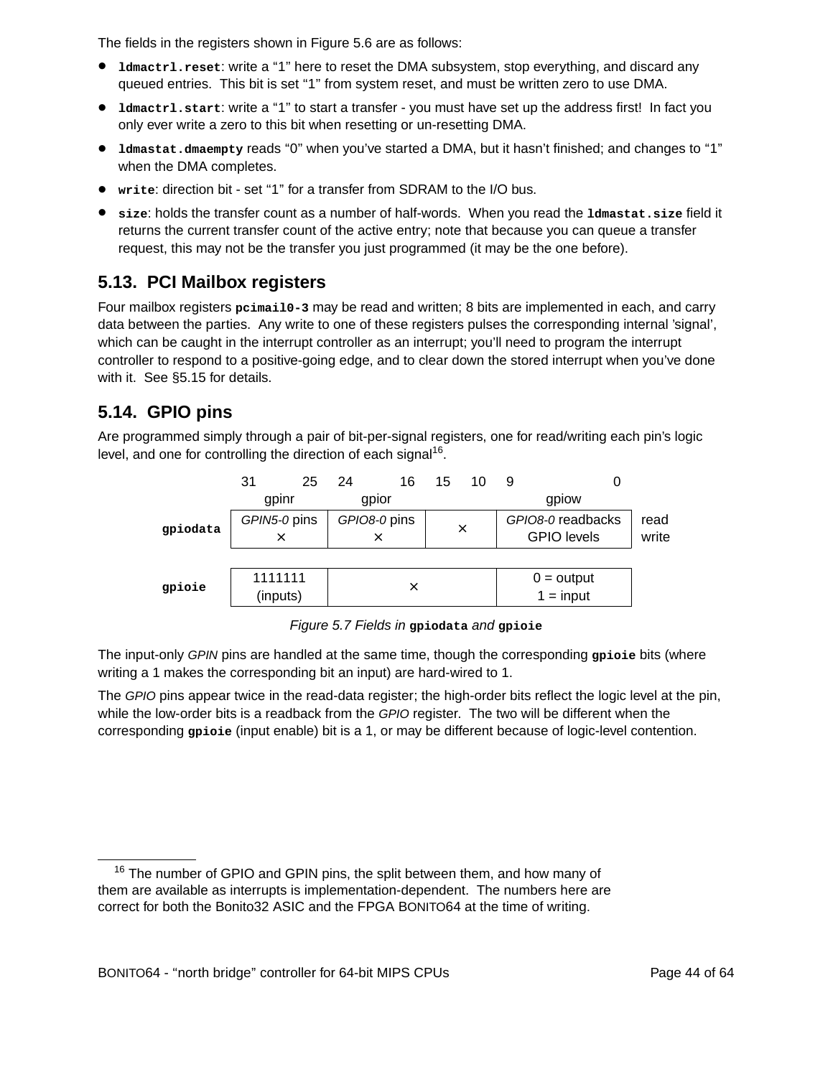The fields in the registers shown in Figure 5.6 are as follows:

- **Ldmactrl.reset:** write a "1" here to reset the DMA subsystem, stop everything, and discard any queued entries. This bit is set "1" from system reset, and must be written zero to use DMA.
- **ldmactrl.start:** write a "1" to start a transfer you must have set up the address first! In fact you only ever write a zero to this bit when resetting or un-resetting DMA.
- **ldmastat.dmaempty** reads "0" when you've started a DMA, but it hasn't finished; and changes to "1" when the DMA completes.
- **write**: direction bit set ''1'' for a transfer from SDRAM to the I/O bus.
- **size**: holds the transfer count as a number of half-words. When you read the **ldmastat.size** field it returns the current transfer count of the active entry; note that because you can queue a transfer request, this may not be the transfer you just programmed (it may be the one before).

### **5.13. PCI Mailbox registers**

Four mailbox registers **pcimail0-3** may be read and written; 8 bits are implemented in each, and carry data between the parties. Any write to one of these registers pulses the corresponding internal 'signal', which can be caught in the interrupt controller as an interrupt; you'll need to program the interrupt controller to respond to a positive-going edge, and to clear down the stored interrupt when you've done with it. See §5.15 for details.

### **5.14. GPIO pins**

Are programmed simply through a pair of bit-per-signal registers, one for read/writing each pin's logic level, and one for controlling the direction of each signal<sup>16</sup>.



Figure 5.7 Fields in **gpiodata** and **gpioie**

The input-only GPIN pins are handled at the same time, though the corresponding **gpioie** bits (where writing a 1 makes the corresponding bit an input) are hard-wired to 1.

The GPIO pins appear twice in the read-data register; the high-order bits reflect the logic level at the pin, while the low-order bits is a readback from the GPIO register. The two will be different when the corresponding **gpioie** (input enable) bit is a 1, or may be different because of logic-level contention.

<sup>&</sup>lt;sup>16</sup> The number of GPIO and GPIN pins, the split between them, and how many of them are available as interrupts is implementation-dependent. The numbers here are correct for both the Bonito32 ASIC and the FPGA BONITO64 at the time of writing.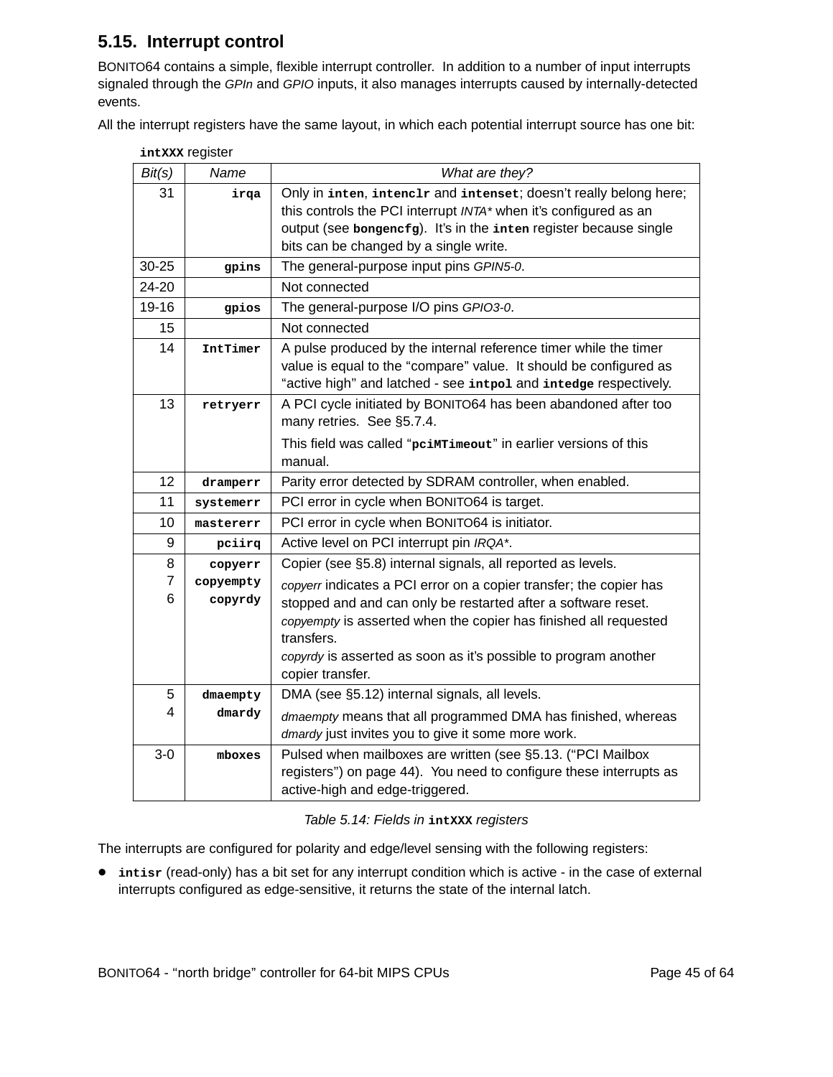### **5.15. Interrupt control**

BONITO64 contains a simple, flexible interrupt controller. In addition to a number of input interrupts signaled through the GPIn and GPIO inputs, it also manages interrupts caused by internally-detected events.

All the interrupt registers have the same layout, in which each potential interrupt source has one bit:

| Bit(s)              | Name                 | What are they?                                                                                                                                                                                                                                       |
|---------------------|----------------------|------------------------------------------------------------------------------------------------------------------------------------------------------------------------------------------------------------------------------------------------------|
| 31                  | irqa                 | Only in inten, intenc1r and intenset; doesn't really belong here;<br>this controls the PCI interrupt INTA* when it's configured as an<br>output (see bongencfg). It's in the inten register because single<br>bits can be changed by a single write. |
| 30-25               | gpins                | The general-purpose input pins GPIN5-0.                                                                                                                                                                                                              |
| 24-20               |                      | Not connected                                                                                                                                                                                                                                        |
| 19-16               | gpios                | The general-purpose I/O pins GPIO3-0.                                                                                                                                                                                                                |
| 15                  |                      | Not connected                                                                                                                                                                                                                                        |
| 14                  | IntTimer             | A pulse produced by the internal reference timer while the timer<br>value is equal to the "compare" value. It should be configured as<br>"active high" and latched - see intpol and intedge respectively.                                            |
| 13                  | retryerr             | A PCI cycle initiated by BONITO64 has been abandoned after too<br>many retries. See §5.7.4.                                                                                                                                                          |
|                     |                      | This field was called "pcimrimeout" in earlier versions of this<br>manual.                                                                                                                                                                           |
| 12                  | dramperr             | Parity error detected by SDRAM controller, when enabled.                                                                                                                                                                                             |
| 11                  | systemerr            | PCI error in cycle when BONITO64 is target.                                                                                                                                                                                                          |
| 10                  | mastererr            | PCI error in cycle when BONITO64 is initiator.                                                                                                                                                                                                       |
| 9                   | pciirq               | Active level on PCI interrupt pin IRQA*.                                                                                                                                                                                                             |
| 8                   | copyerr              | Copier (see §5.8) internal signals, all reported as levels.                                                                                                                                                                                          |
| $\overline{7}$<br>6 | copyempty<br>copyrdy | copyerr indicates a PCI error on a copier transfer; the copier has<br>stopped and and can only be restarted after a software reset.<br>copyempty is asserted when the copier has finished all requested<br>transfers.                                |
|                     |                      | copyrdy is asserted as soon as it's possible to program another<br>copier transfer.                                                                                                                                                                  |
| 5                   | $d$ maempty          | DMA (see §5.12) internal signals, all levels.                                                                                                                                                                                                        |
| 4                   | dmardy               | dmaempty means that all programmed DMA has finished, whereas<br>dmardy just invites you to give it some more work.                                                                                                                                   |
| $3-0$               | mboxes               | Pulsed when mailboxes are written (see §5.13. ("PCI Mailbox<br>registers") on page 44). You need to configure these interrupts as<br>active-high and edge-triggered.                                                                                 |

#### Table 5.14: Fields in **intXXX** registers

The interrupts are configured for polarity and edge/level sensing with the following registers:

• *intisr* (read-only) has a bit set for any interrupt condition which is active - in the case of external interrupts configured as edge-sensitive, it returns the state of the internal latch.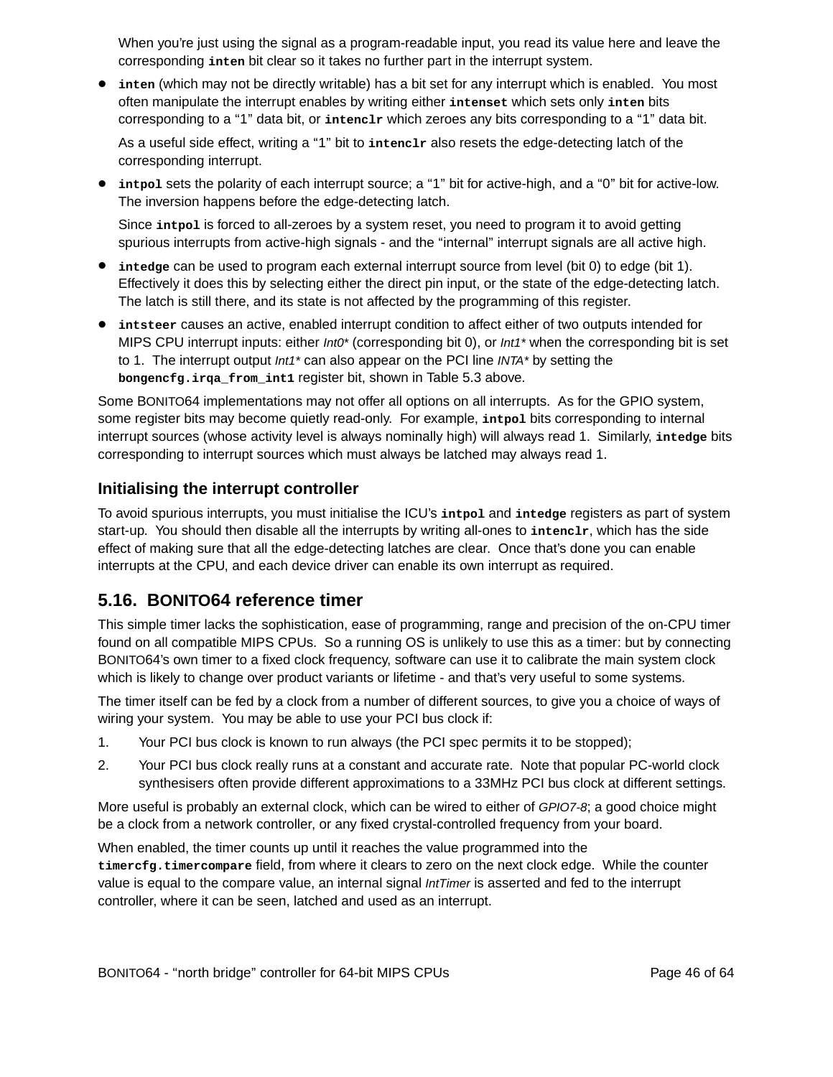When you're just using the signal as a program-readable input, you read its value here and leave the corresponding **inten** bit clear so it takes no further part in the interrupt system.

• inten (which may not be directly writable) has a bit set for any interrupt which is enabled. You most often manipulate the interrupt enables by writing either **intenset** which sets only **inten** bits corresponding to a ''1'' data bit, or **intenclr** which zeroes any bits corresponding to a ''1'' data bit.

As a useful side effect, writing a "1" bit to *intenclr* also resets the edge-detecting latch of the corresponding interrupt.

**•** intpol sets the polarity of each interrupt source; a "1" bit for active-high, and a "0" bit for active-low. The inversion happens before the edge-detecting latch.

Since *introl* is forced to all-zeroes by a system reset, you need to program it to avoid getting spurious interrupts from active-high signals - and the "internal" interrupt signals are all active high.

- intedge can be used to program each external interrupt source from level (bit 0) to edge (bit 1). Effectively it does this by selecting either the direct pin input, or the state of the edge-detecting latch. The latch is still there, and its state is not affected by the programming of this register.
- **intsteer** causes an active, enabled interrupt condition to affect either of two outputs intended for MIPS CPU interrupt inputs: either *Int0\** (corresponding bit 0), or *Int1\** when the corresponding bit is set to 1. The interrupt output *Int1*<sup>\*</sup> can also appear on the PCI line *INTA*<sup>\*</sup> by setting the **bongencfg.irqa\_from\_int1** register bit, shown in Table 5.3 above .

Some BONITO64 implementations may not offer all options on all interrupts. As for the GPIO system, some register bits may become quietly read-only. For example, **intpol** bits corresponding to internal interrupt sources (whose activity level is always nominally high) will always read 1. Similarly, intedge bits corresponding to interrupt sources which must always be latched may always read 1.

#### **Initialising the interrupt controller**

To avoid spurious interrupts, you must initialise the ICU's **intpol** and **intedge** registers as part of system start-up. You should then disable all the interrupts by writing all-ones to *intenclr*, which has the side effect of making sure that all the edge-detecting latches are clear. Once that's done you can enable interrupts at the CPU, and each device driver can enable its own interrupt as required.

#### **5.16. BONITO64 reference timer**

This simple timer lacks the sophistication, ease of programming, range and precision of the on-CPU timer found on all compatible MIPS CPUs. So a running OS is unlikely to use this as a timer: but by connecting BONITO64's own timer to a fixed clock frequency, software can use it to calibrate the main system clock which is likely to change over product variants or lifetime - and that's very useful to some systems.

The timer itself can be fed by a clock from a number of different sources, to give you a choice of ways of wiring your system. You may be able to use your PCI bus clock if:

- 1. Your PCI bus clock is known to run always (the PCI spec permits it to be stopped);
- 2. Your PCI bus clock really runs at a constant and accurate rate. Note that popular PC-world clock synthesisers often provide different approximations to a 33MHz PCI bus clock at different settings.

More useful is probably an external clock, which can be wired to either of GPIO7-8; a good choice might be a clock from a network controller, or any fixed crystal-controlled frequency from your board.

When enabled, the timer counts up until it reaches the value programmed into the **timercfg.timercompare** field, from where it clears to zero on the next clock edge. While the counter value is equal to the compare value, an internal signal *IntTimer* is asserted and fed to the interrupt controller, where it can be seen, latched and used as an interrupt.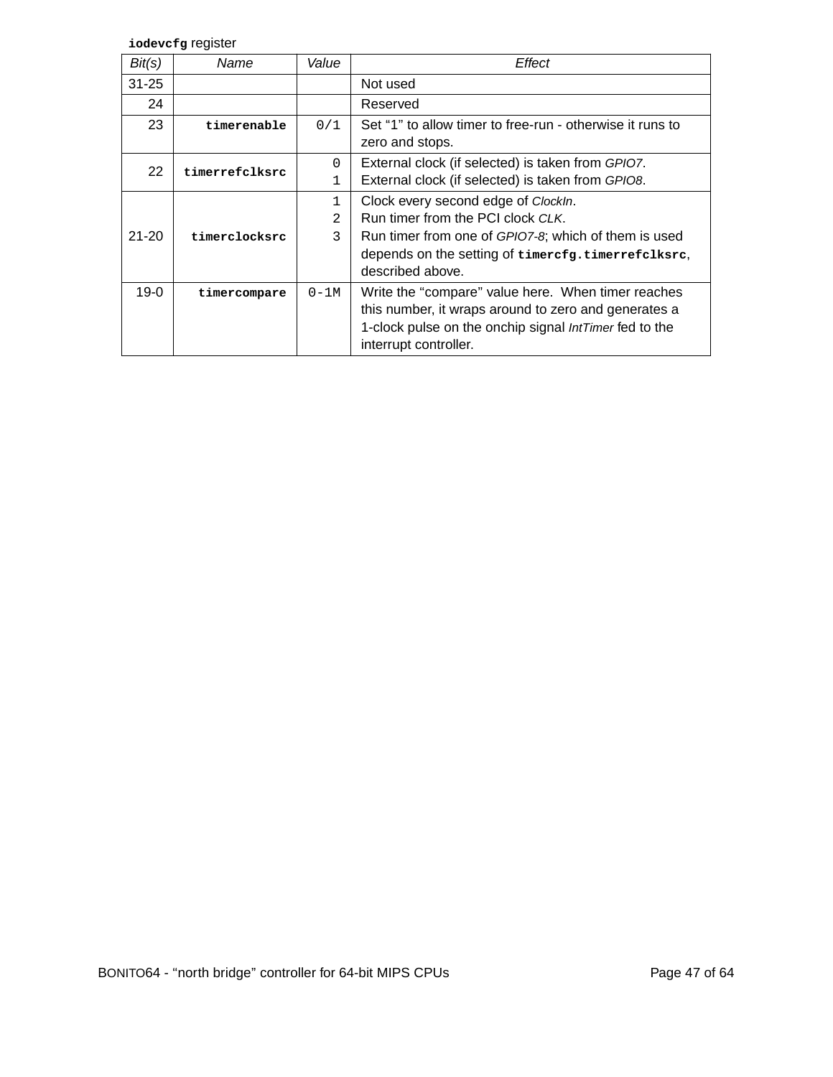**iodevcfg** register

| Bit(s)    | Name           | Value          | Effect                                                    |
|-----------|----------------|----------------|-----------------------------------------------------------|
| $31 - 25$ |                |                | Not used                                                  |
| 24        |                |                | Reserved                                                  |
| 23        | timerenable    | 0/1            | Set "1" to allow timer to free-run - otherwise it runs to |
|           |                |                | zero and stops.                                           |
| 22        | timerrefclksrc | $\Omega$       | External clock (if selected) is taken from GPIO7.         |
|           |                | 1              | External clock (if selected) is taken from GPIO8.         |
|           |                | 1              | Clock every second edge of ClockIn.                       |
|           |                | $\mathfrak{D}$ | Run timer from the PCI clock CLK.                         |
| $21 - 20$ | timerclocksrc  | 3              | Run timer from one of GPIO7-8; which of them is used      |
|           |                |                | depends on the setting of timercfg.timerrefclksrc,        |
|           |                |                | described above.                                          |
| 19-0      | timercompare   | $0-1M$         | Write the "compare" value here. When timer reaches        |
|           |                |                | this number, it wraps around to zero and generates a      |
|           |                |                | 1-clock pulse on the onchip signal IntTimer fed to the    |
|           |                |                | interrupt controller.                                     |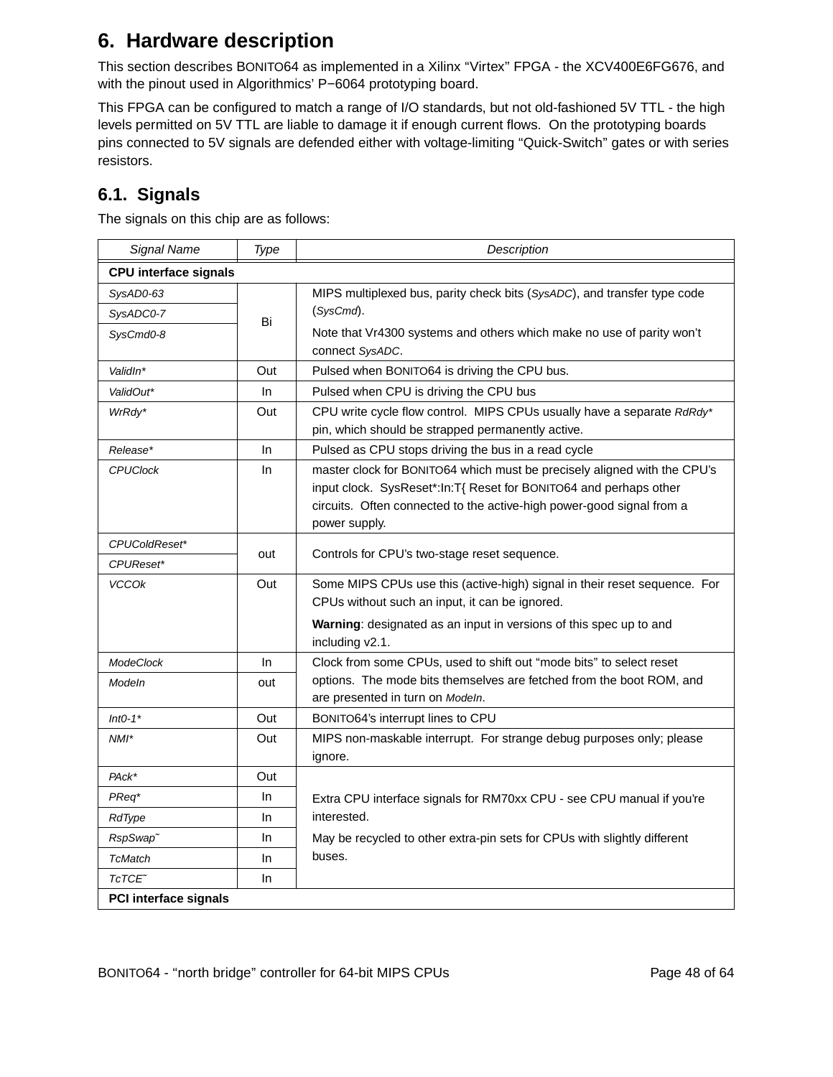## **6. Hardware description**

This section describes BONITO64 as implemented in a Xilinx "Virtex" FPGA - the XCV400E6FG676, and with the pinout used in Algorithmics' P-6064 prototyping board.

This FPGA can be configured to match a range of I/O standards, but not old-fashioned 5V TTL - the high levels permitted on 5V TTL are liable to damage it if enough current flows. On the prototyping boards pins connected to 5V signals are defended either with voltage-limiting ''Quick-Switch'' gates or with series resistors.

## **6.1. Signals**

The signals on this chip are as follows:

| Signal Name                  | Type | Description                                                                                                                                                                                                                             |
|------------------------------|------|-----------------------------------------------------------------------------------------------------------------------------------------------------------------------------------------------------------------------------------------|
| <b>CPU</b> interface signals |      |                                                                                                                                                                                                                                         |
| SysAD0-63                    |      | MIPS multiplexed bus, parity check bits (SysADC), and transfer type code                                                                                                                                                                |
| SysADC0-7                    | Bi   | (SysCmd).                                                                                                                                                                                                                               |
| SysCmd0-8                    |      | Note that Vr4300 systems and others which make no use of parity won't                                                                                                                                                                   |
|                              |      | connect SysADC.                                                                                                                                                                                                                         |
| ValidIn*                     | Out  | Pulsed when BONITO64 is driving the CPU bus.                                                                                                                                                                                            |
| ValidOut*                    | In.  | Pulsed when CPU is driving the CPU bus                                                                                                                                                                                                  |
| WrRdy*                       | Out  | CPU write cycle flow control. MIPS CPUs usually have a separate RdRdy*<br>pin, which should be strapped permanently active.                                                                                                             |
| Release*                     | In.  | Pulsed as CPU stops driving the bus in a read cycle                                                                                                                                                                                     |
| <b>CPUClock</b>              | In.  | master clock for BONITO64 which must be precisely aligned with the CPU's<br>input clock. SysReset*:In:T{ Reset for BONITO64 and perhaps other<br>circuits. Often connected to the active-high power-good signal from a<br>power supply. |
| CPUColdReset*                |      |                                                                                                                                                                                                                                         |
| CPUReset*                    | out  | Controls for CPU's two-stage reset sequence.                                                                                                                                                                                            |
| <b>VCCOk</b>                 | Out  | Some MIPS CPUs use this (active-high) signal in their reset sequence. For<br>CPUs without such an input, it can be ignored.                                                                                                             |
|                              |      | Warning: designated as an input in versions of this spec up to and<br>including v2.1.                                                                                                                                                   |
| <b>ModeClock</b>             | In.  | Clock from some CPUs, used to shift out "mode bits" to select reset                                                                                                                                                                     |
| Modeln                       | out  | options. The mode bits themselves are fetched from the boot ROM, and<br>are presented in turn on Modeln.                                                                                                                                |
| $Int0-1*$                    | Out  | BONITO64's interrupt lines to CPU                                                                                                                                                                                                       |
| $NMI^*$                      | Out  | MIPS non-maskable interrupt. For strange debug purposes only; please<br>ignore.                                                                                                                                                         |
| PAck*                        | Out  |                                                                                                                                                                                                                                         |
| PReq*                        | In.  | Extra CPU interface signals for RM70xx CPU - see CPU manual if you're                                                                                                                                                                   |
| RdType                       | In   | interested.                                                                                                                                                                                                                             |
| RspSwap <sup>~</sup>         | In.  | May be recycled to other extra-pin sets for CPUs with slightly different                                                                                                                                                                |
| <b>TcMatch</b>               | In   | buses.                                                                                                                                                                                                                                  |
| TcTCE <sup>~</sup>           | In   |                                                                                                                                                                                                                                         |
| PCI interface signals        |      |                                                                                                                                                                                                                                         |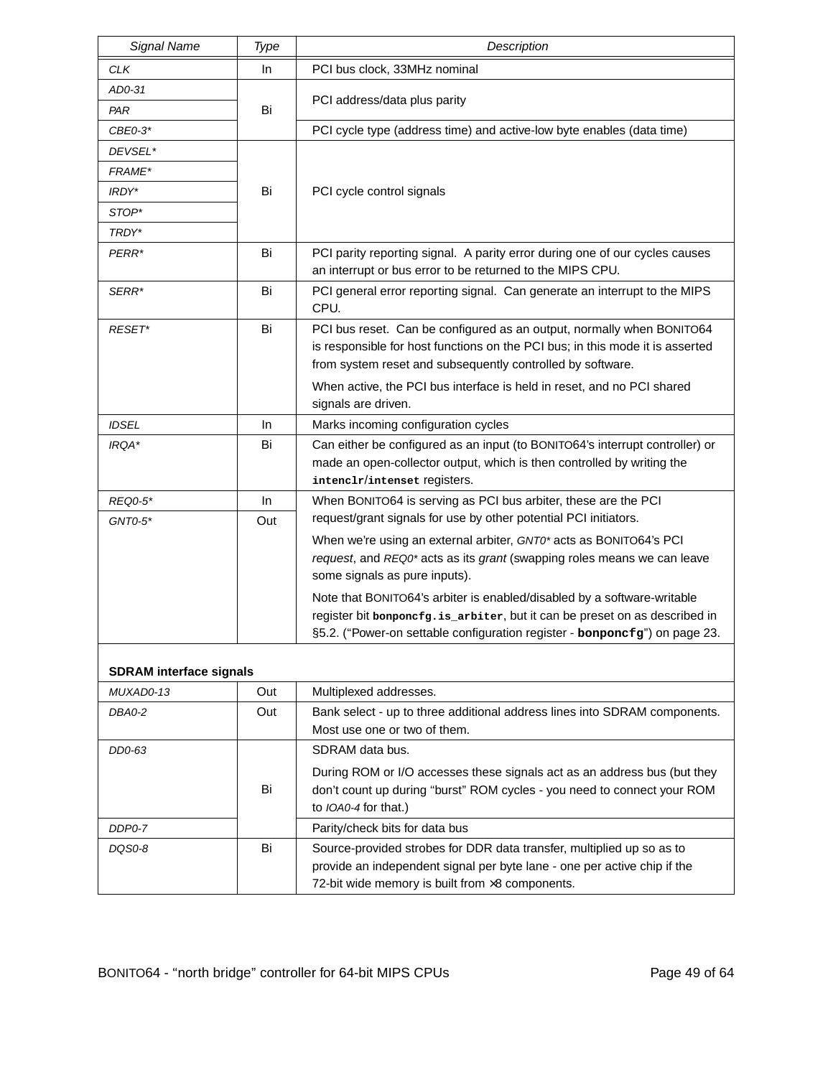| Signal Name                    | Type      | Description                                                                                                                                                                                                                         |
|--------------------------------|-----------|-------------------------------------------------------------------------------------------------------------------------------------------------------------------------------------------------------------------------------------|
| <b>CLK</b>                     | In.       | PCI bus clock, 33MHz nominal                                                                                                                                                                                                        |
| AD0-31                         |           |                                                                                                                                                                                                                                     |
| PAR                            | Bi        | PCI address/data plus parity                                                                                                                                                                                                        |
| $CBE0-3*$                      |           | PCI cycle type (address time) and active-low byte enables (data time)                                                                                                                                                               |
| DEVSEL*                        |           |                                                                                                                                                                                                                                     |
| FRAME*                         |           |                                                                                                                                                                                                                                     |
| IRDY*                          | Bi        | PCI cycle control signals                                                                                                                                                                                                           |
| STOP*                          |           |                                                                                                                                                                                                                                     |
| TRDY*                          |           |                                                                                                                                                                                                                                     |
| PERR*                          | Bi        | PCI parity reporting signal. A parity error during one of our cycles causes<br>an interrupt or bus error to be returned to the MIPS CPU.                                                                                            |
| SERR*                          | Bi        | PCI general error reporting signal. Can generate an interrupt to the MIPS<br>CPU.                                                                                                                                                   |
| RESET*                         | Bi        | PCI bus reset. Can be configured as an output, normally when BONITO64<br>is responsible for host functions on the PCI bus; in this mode it is asserted<br>from system reset and subsequently controlled by software.                |
|                                |           | When active, the PCI bus interface is held in reset, and no PCI shared<br>signals are driven.                                                                                                                                       |
| <b>IDSEL</b>                   | In        | Marks incoming configuration cycles                                                                                                                                                                                                 |
| IRQA*                          | Bi        | Can either be configured as an input (to BONITO64's interrupt controller) or<br>made an open-collector output, which is then controlled by writing the<br>intenclr/intenset registers.                                              |
| <b>REQ0-5*</b><br>$GNTO-5*$    | In<br>Out | When BONITO64 is serving as PCI bus arbiter, these are the PCI<br>request/grant signals for use by other potential PCI initiators.                                                                                                  |
|                                |           | When we're using an external arbiter, GNT0* acts as BONITO64's PCI<br>request, and REQ0* acts as its grant (swapping roles means we can leave<br>some signals as pure inputs).                                                      |
|                                |           | Note that BONITO64's arbiter is enabled/disabled by a software-writable<br>register bit bonponcfg.is_arbiter, but it can be preset on as described in<br>§5.2. ("Power-on settable configuration register - bonponcfg") on page 23. |
| <b>SDRAM</b> interface signals |           |                                                                                                                                                                                                                                     |
| MUXAD0-13                      | Out       | Multiplexed addresses.                                                                                                                                                                                                              |
| DBA0-2                         | Out       | Bank select - up to three additional address lines into SDRAM components.                                                                                                                                                           |
|                                |           | Most use one or two of them.                                                                                                                                                                                                        |
| DD0-63                         |           | SDRAM data bus.                                                                                                                                                                                                                     |
|                                | Bi        | During ROM or I/O accesses these signals act as an address bus (but they<br>don't count up during "burst" ROM cycles - you need to connect your ROM<br>to IOA0-4 for that.)                                                         |
| DDP0-7                         |           | Parity/check bits for data bus                                                                                                                                                                                                      |
| DQS0-8                         | Bi        | Source-provided strobes for DDR data transfer, multiplied up so as to<br>provide an independent signal per byte lane - one per active chip if the<br>72-bit wide memory is built from $\times 8$ components.                        |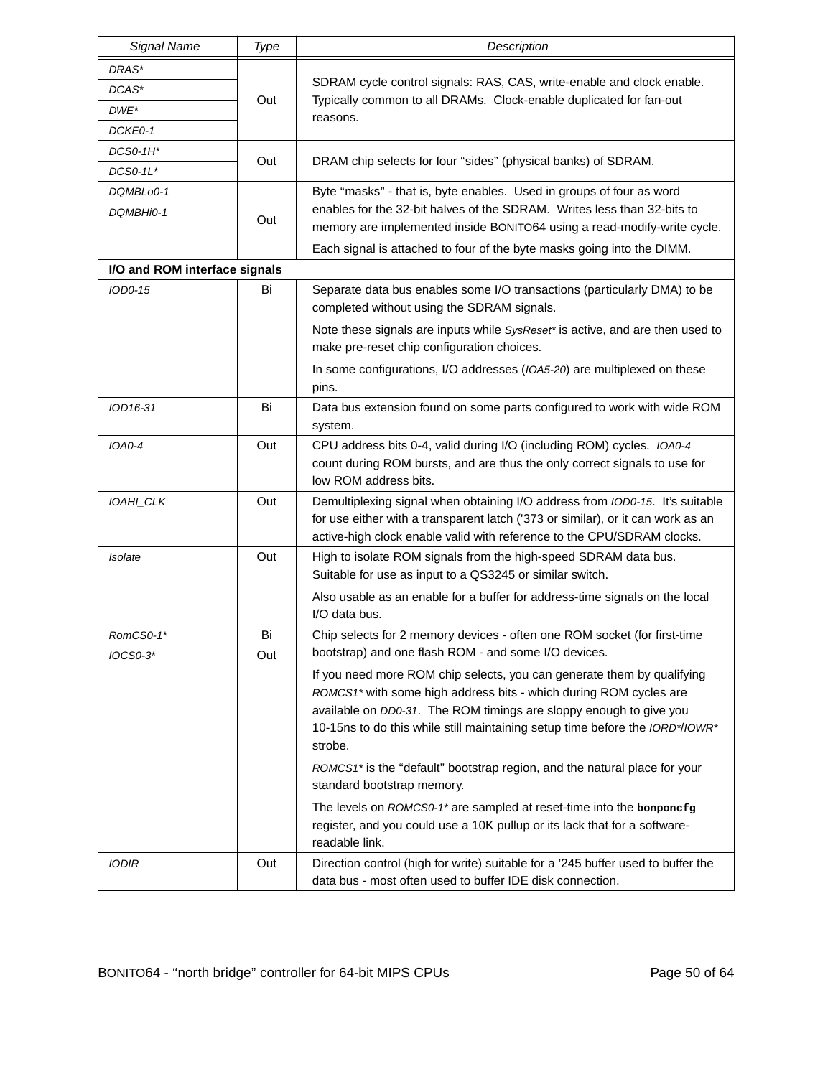| <b>Signal Name</b>            | Type | Description                                                                                                                                                                                                                                                                                                  |
|-------------------------------|------|--------------------------------------------------------------------------------------------------------------------------------------------------------------------------------------------------------------------------------------------------------------------------------------------------------------|
| DRAS*                         |      |                                                                                                                                                                                                                                                                                                              |
| DCAS*                         |      | SDRAM cycle control signals: RAS, CAS, write-enable and clock enable.                                                                                                                                                                                                                                        |
| $DWE^*$                       | Out  | Typically common to all DRAMs. Clock-enable duplicated for fan-out<br>reasons.                                                                                                                                                                                                                               |
| DCKE0-1                       |      |                                                                                                                                                                                                                                                                                                              |
| DCS0-1H*                      | Out  |                                                                                                                                                                                                                                                                                                              |
| DCS0-1L*                      |      | DRAM chip selects for four "sides" (physical banks) of SDRAM.                                                                                                                                                                                                                                                |
| DQMBLo0-1                     |      | Byte "masks" - that is, byte enables. Used in groups of four as word                                                                                                                                                                                                                                         |
| DQMBHi0-1                     | Out  | enables for the 32-bit halves of the SDRAM. Writes less than 32-bits to                                                                                                                                                                                                                                      |
|                               |      | memory are implemented inside BONITO64 using a read-modify-write cycle.                                                                                                                                                                                                                                      |
|                               |      | Each signal is attached to four of the byte masks going into the DIMM.                                                                                                                                                                                                                                       |
| I/O and ROM interface signals |      |                                                                                                                                                                                                                                                                                                              |
| IOD0-15                       | Bi   | Separate data bus enables some I/O transactions (particularly DMA) to be<br>completed without using the SDRAM signals.                                                                                                                                                                                       |
|                               |      | Note these signals are inputs while SysReset* is active, and are then used to<br>make pre-reset chip configuration choices.                                                                                                                                                                                  |
|                               |      | In some configurations, I/O addresses (IOA5-20) are multiplexed on these<br>pins.                                                                                                                                                                                                                            |
| IOD16-31                      | Bi   | Data bus extension found on some parts configured to work with wide ROM<br>system.                                                                                                                                                                                                                           |
| $IOAO-4$                      | Out  | CPU address bits 0-4, valid during I/O (including ROM) cycles. IOA0-4<br>count during ROM bursts, and are thus the only correct signals to use for<br>low ROM address bits.                                                                                                                                  |
| IOAHI_CLK                     | Out  | Demultiplexing signal when obtaining I/O address from IOD0-15. It's suitable<br>for use either with a transparent latch ('373 or similar), or it can work as an<br>active-high clock enable valid with reference to the CPU/SDRAM clocks.                                                                    |
| Isolate                       | Out  | High to isolate ROM signals from the high-speed SDRAM data bus.<br>Suitable for use as input to a QS3245 or similar switch.                                                                                                                                                                                  |
|                               |      | Also usable as an enable for a buffer for address-time signals on the local<br>I/O data bus.                                                                                                                                                                                                                 |
| RomCS0-1*                     | Bi   | Chip selects for 2 memory devices - often one ROM socket (for first-time                                                                                                                                                                                                                                     |
| IOCS0-3*                      | Out  | bootstrap) and one flash ROM - and some I/O devices.                                                                                                                                                                                                                                                         |
|                               |      | If you need more ROM chip selects, you can generate them by qualifying<br>ROMCS1* with some high address bits - which during ROM cycles are<br>available on DD0-31. The ROM timings are sloppy enough to give you<br>10-15ns to do this while still maintaining setup time before the IORD*/IOWR*<br>strobe. |
|                               |      | ROMCS1* is the "default" bootstrap region, and the natural place for your<br>standard bootstrap memory.                                                                                                                                                                                                      |
|                               |      | The levels on ROMCS0-1* are sampled at reset-time into the bonponcfg<br>register, and you could use a 10K pullup or its lack that for a software-<br>readable link.                                                                                                                                          |
| <b>IODIR</b>                  | Out  | Direction control (high for write) suitable for a '245 buffer used to buffer the<br>data bus - most often used to buffer IDE disk connection.                                                                                                                                                                |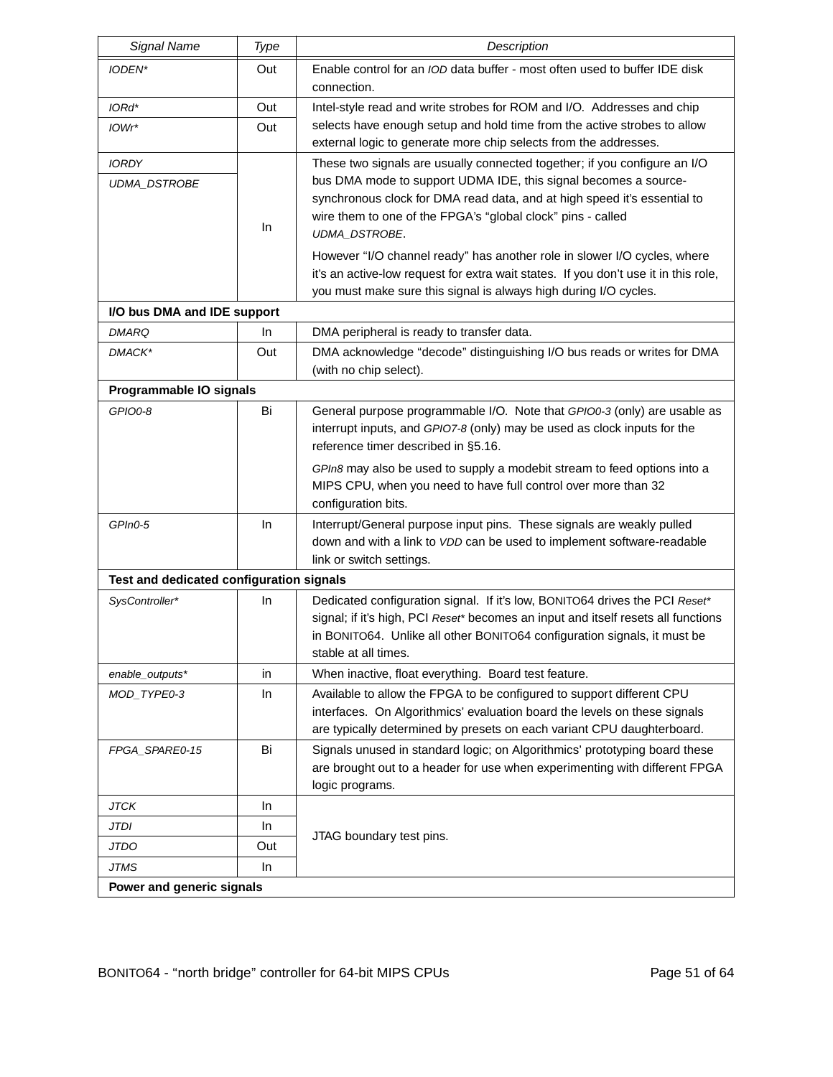| Signal Name                              | Type | Description                                                                                                                                                                                                                                                             |
|------------------------------------------|------|-------------------------------------------------------------------------------------------------------------------------------------------------------------------------------------------------------------------------------------------------------------------------|
| IODEN*                                   | Out  | Enable control for an <i>IOD</i> data buffer - most often used to buffer IDE disk<br>connection.                                                                                                                                                                        |
| IORd*                                    | Out  | Intel-style read and write strobes for ROM and I/O. Addresses and chip                                                                                                                                                                                                  |
| IOWr*                                    | Out  | selects have enough setup and hold time from the active strobes to allow<br>external logic to generate more chip selects from the addresses.                                                                                                                            |
| <b>IORDY</b>                             |      | These two signals are usually connected together; if you configure an I/O                                                                                                                                                                                               |
| UDMA_DSTROBE                             | In   | bus DMA mode to support UDMA IDE, this signal becomes a source-<br>synchronous clock for DMA read data, and at high speed it's essential to<br>wire them to one of the FPGA's "global clock" pins - called<br>UDMA_DSTROBE.                                             |
|                                          |      | However "I/O channel ready" has another role in slower I/O cycles, where<br>it's an active-low request for extra wait states. If you don't use it in this role,<br>you must make sure this signal is always high during I/O cycles.                                     |
| I/O bus DMA and IDE support              |      |                                                                                                                                                                                                                                                                         |
| <b>DMARQ</b>                             | In.  | DMA peripheral is ready to transfer data.                                                                                                                                                                                                                               |
| DMACK*                                   | Out  | DMA acknowledge "decode" distinguishing I/O bus reads or writes for DMA<br>(with no chip select).                                                                                                                                                                       |
| Programmable IO signals                  |      |                                                                                                                                                                                                                                                                         |
| GPIO0-8                                  | Bi   | General purpose programmable I/O. Note that GPI00-3 (only) are usable as<br>interrupt inputs, and GPIO7-8 (only) may be used as clock inputs for the<br>reference timer described in §5.16.<br>GPIn8 may also be used to supply a modebit stream to feed options into a |
|                                          |      | MIPS CPU, when you need to have full control over more than 32<br>configuration bits.                                                                                                                                                                                   |
| GPIn0-5                                  | In   | Interrupt/General purpose input pins. These signals are weakly pulled<br>down and with a link to VDD can be used to implement software-readable<br>link or switch settings.                                                                                             |
| Test and dedicated configuration signals |      |                                                                                                                                                                                                                                                                         |
| SysController*                           | In   | Dedicated configuration signal. If it's low, BONITO64 drives the PCI Reset*<br>signal; if it's high, PCI Reset* becomes an input and itself resets all functions<br>in BONITO64. Unlike all other BONITO64 configuration signals, it must be<br>stable at all times.    |
| enable_outputs*                          | in   | When inactive, float everything. Board test feature.                                                                                                                                                                                                                    |
| MOD_TYPE0-3                              | In   | Available to allow the FPGA to be configured to support different CPU<br>interfaces. On Algorithmics' evaluation board the levels on these signals<br>are typically determined by presets on each variant CPU daughterboard.                                            |
| FPGA_SPARE0-15                           | Bi   | Signals unused in standard logic; on Algorithmics' prototyping board these<br>are brought out to a header for use when experimenting with different FPGA<br>logic programs.                                                                                             |
| <b>JTCK</b>                              | In.  |                                                                                                                                                                                                                                                                         |
| <b>JTDI</b>                              | In   | JTAG boundary test pins.                                                                                                                                                                                                                                                |
| <b>JTDO</b>                              | Out  |                                                                                                                                                                                                                                                                         |
| JTMS                                     | In.  |                                                                                                                                                                                                                                                                         |
| Power and generic signals                |      |                                                                                                                                                                                                                                                                         |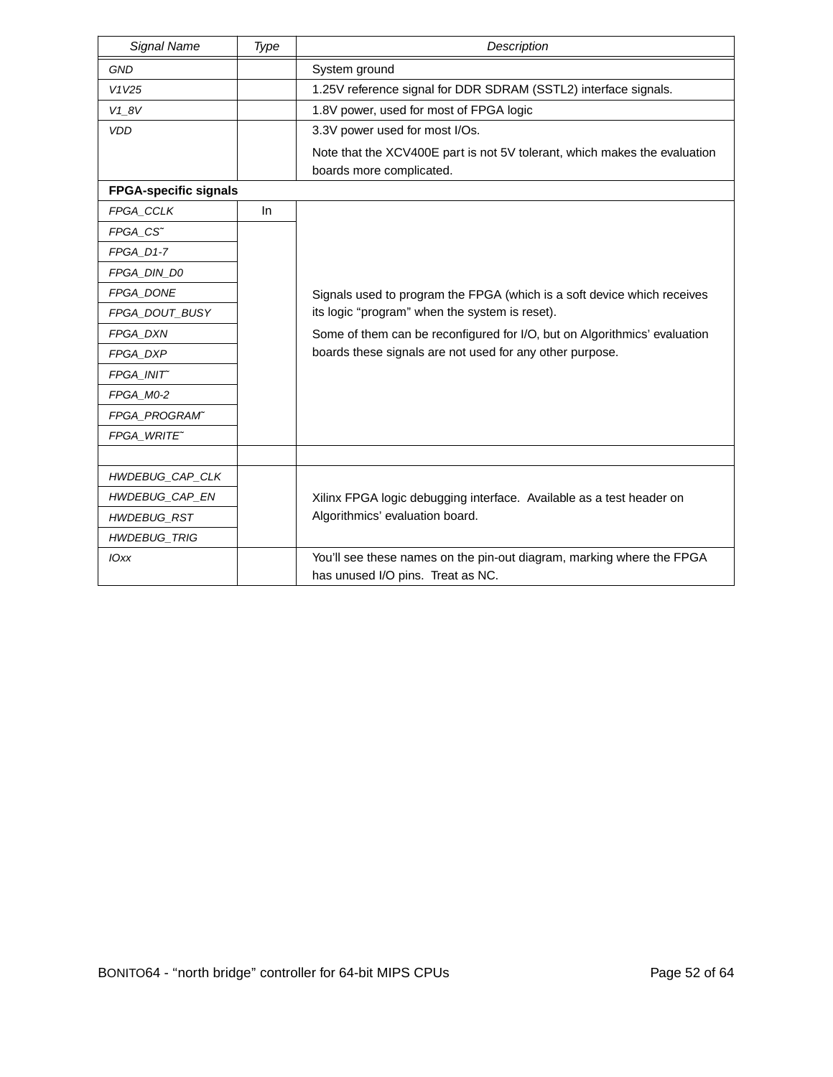| Signal Name                  | Type | Description                                                                                                |
|------------------------------|------|------------------------------------------------------------------------------------------------------------|
| <b>GND</b>                   |      | System ground                                                                                              |
| V1V25                        |      | 1.25V reference signal for DDR SDRAM (SSTL2) interface signals.                                            |
| $V1_8V$                      |      | 1.8V power, used for most of FPGA logic                                                                    |
| <b>VDD</b>                   |      | 3.3V power used for most I/Os.                                                                             |
|                              |      | Note that the XCV400E part is not 5V tolerant, which makes the evaluation<br>boards more complicated.      |
| <b>FPGA-specific signals</b> |      |                                                                                                            |
| FPGA_CCLK                    | In.  |                                                                                                            |
| FPGA_CS~                     |      |                                                                                                            |
| FPGA_D1-7                    |      |                                                                                                            |
| FPGA DIN D0                  |      |                                                                                                            |
| FPGA_DONE                    |      | Signals used to program the FPGA (which is a soft device which receives                                    |
| FPGA_DOUT_BUSY               |      | its logic "program" when the system is reset).                                                             |
| FPGA_DXN                     |      | Some of them can be reconfigured for I/O, but on Algorithmics' evaluation                                  |
| FPGA_DXP                     |      | boards these signals are not used for any other purpose.                                                   |
| FPGA_INIT~                   |      |                                                                                                            |
| FPGA_M0-2                    |      |                                                                                                            |
| FPGA_PROGRAM"                |      |                                                                                                            |
| FPGA WRITE~                  |      |                                                                                                            |
|                              |      |                                                                                                            |
| HWDEBUG_CAP_CLK              |      |                                                                                                            |
| HWDEBUG_CAP_EN               |      | Xilinx FPGA logic debugging interface. Available as a test header on                                       |
| <b>HWDEBUG_RST</b>           |      | Algorithmics' evaluation board.                                                                            |
| <b>HWDEBUG_TRIG</b>          |      |                                                                                                            |
| <b>IOxx</b>                  |      | You'll see these names on the pin-out diagram, marking where the FPGA<br>has unused I/O pins. Treat as NC. |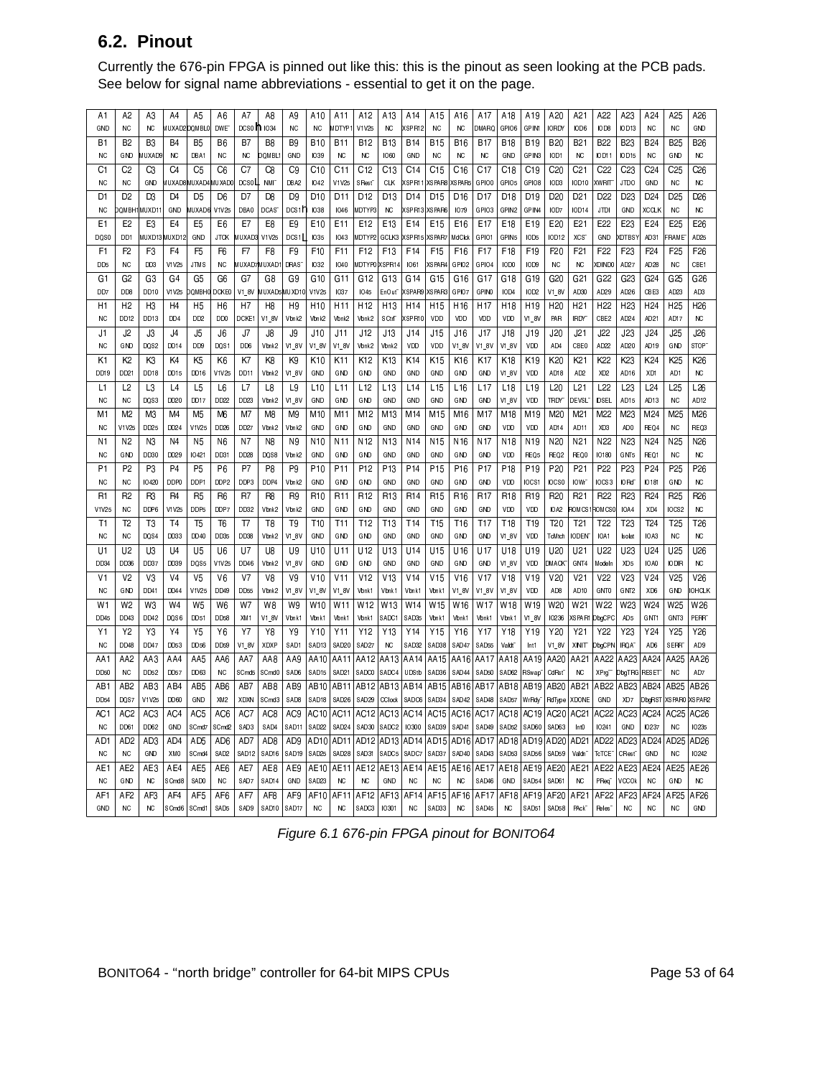### **6.2. Pinout**

Currently the 676-pin FPGA is pinned out like this: this is the pinout as seen looking at the PCB pads. See below for signal name abbreviations - essential to get it on the page.

| A1               | A2              | A3             | A4             | A5                 | A6               | A7                 | A8                       | A9                | A <sub>10</sub>   | A11                      | A12                | A13                | A14                | A15             | A16             | A17             | A18                | A19                | A20                 | A21                | A22                           | A23                | A24              | A <sub>25</sub>    | A26               |
|------------------|-----------------|----------------|----------------|--------------------|------------------|--------------------|--------------------------|-------------------|-------------------|--------------------------|--------------------|--------------------|--------------------|-----------------|-----------------|-----------------|--------------------|--------------------|---------------------|--------------------|-------------------------------|--------------------|------------------|--------------------|-------------------|
| GND              | <b>NC</b>       | <b>NC</b>      |                | MUXAD2DQMBL0       | DWE <sup>-</sup> | DCS0 1 1034        |                          | NC                | NC.               | MDTYP1                   | V1V25              | NC                 | XSPR12             | <b>NC</b>       | NC              | DMARQ           | GPIO6              | GPIN1              | <b>IORDY</b>        | IOD6               | IOD8                          | IOD13              | NC               | <b>NC</b>          | GND               |
| B1               | B <sub>2</sub>  | B <sub>3</sub> | <b>B4</b>      | B <sub>5</sub>     | B <sub>6</sub>   | B7                 | B <sub>8</sub>           | B <sub>9</sub>    | <b>B10</b>        | <b>B11</b>               | <b>B12</b>         | <b>B13</b>         | <b>B14</b>         | <b>B15</b>      | <b>B16</b>      | <b>B17</b>      | <b>B18</b>         | <b>B19</b>         | <b>B20</b>          | <b>B21</b>         | <b>B22</b>                    | <b>B23</b>         | <b>B24</b>       | <b>B25</b>         | <b>B26</b>        |
| NC.              | <b>GND</b>      | <b>MUXAD9</b>  | <b>NC</b>      | DBA1               | NC.              | NC.                | DOMBL                    | GND               | 1039              | <b>NC</b>                | <b>NC</b>          | 1060               | GND                | <b>NC</b>       | NC.             | <b>NC</b>       | GND                | GPIN3              | IOD1                | <b>NC</b>          | IOD11                         | IOD15              | NC.              | GND                | <b>NC</b>         |
| C1               | C2              | C3             | C4             | C5                 | C6               | C7                 | C8                       | C9                | C10               | C11                      | C <sub>12</sub>    | C13                | C <sub>14</sub>    | C <sub>15</sub> | C <sub>16</sub> | C 17            | C <sub>18</sub>    | C <sub>19</sub>    | C20                 | C21                | C <sub>22</sub>               | C <sub>23</sub>    | C24              | C 25               | C26               |
| <b>NC</b>        | <b>NC</b>       | GND            |                | MUXAD8MUXAD4MUXAD0 |                  | $_{\text{DCSOIL}}$ | <b>NMI</b>               | DBA2              | <b>IO42</b>       | V1V25                    | SRest <sup>-</sup> | <b>CLK</b>         | XSPR11             |                 | XSPAR8 XSPAR5   | GPIO0           | GPIO5              | GPIO8              | IOD3                | IOD10              | <b>XWRIT</b>                  | <b>JTDO</b>        | GND              | <b>NC</b>          | <b>NC</b>         |
| D1               | D <sub>2</sub>  | D <sub>3</sub> | D <sub>4</sub> | D <sub>5</sub>     | D <sub>6</sub>   | D7                 | D8                       | D <sub>9</sub>    | D <sub>10</sub>   | D <sub>11</sub>          | D <sub>12</sub>    | D <sub>13</sub>    | D <sub>14</sub>    | D <sub>15</sub> | D <sub>16</sub> | D <sub>17</sub> | D <sub>18</sub>    | D <sub>19</sub>    | D <sub>20</sub>     | D21                | D <sub>22</sub>               | D <sub>23</sub>    | D <sub>24</sub>  | D <sub>25</sub>    | D <sub>26</sub>   |
| ΝC               | DOMBH           | AUXD11         | GND            | MUXAD6             | V1 V25           | DBA0               | DCAS <sup>®</sup>        | DCS1H             | <b>IO38</b>       | 1046                     | MDTYP3             | NC                 | XSPR13             | XSPAR6          | 1079            | GPIO3           | GPIN2              | GPIN4              | IOD7                | IOD14              | JTDI                          | GND                | XCCLK            | <b>NC</b>          | <b>NC</b>         |
| E1               | E2              | E <sub>3</sub> | E4             | E5                 | E6               | E7                 | E8                       | E9                | E <sub>10</sub>   | E11                      | E <sub>12</sub>    | E13                | E14                | E <sub>15</sub> | E16             | E17             | E <sub>18</sub>    | E <sub>19</sub>    | E20                 | E21                | E <sub>22</sub>               | E <sub>23</sub>    | E24              | E25                | E26               |
| DQS0             | DD1             |                | MUXD13 MUXD12  | GND                |                  | JTCK MUXAD3        | V1V25                    | DCS1              | <b>IO35</b>       | 1043                     | MDTYP2 GCLK3       |                    | XSPR <sub>15</sub> | XSPAR7          | MdClck          | GPIO1           | GPIN <sub>5</sub>  | IOD5               | IOD12               | <b>XCS</b>         | GND                           | <b>(DTBS)</b>      | AD31             | FRAME <sup>-</sup> | AD25              |
| F1               | F <sub>2</sub>  | F <sub>3</sub> | F <sub>4</sub> | F <sub>5</sub>     | F <sub>6</sub>   | F7                 | F8                       | F <sub>9</sub>    | F <sub>10</sub>   | F11                      | F <sub>12</sub>    | F <sub>13</sub>    | F14                | F <sub>15</sub> | F16             | F17             | F18                | F <sub>19</sub>    | F <sub>20</sub>     | F <sub>21</sub>    | F <sub>22</sub>               | F <sub>23</sub>    | F <sub>24</sub>  | F <sub>25</sub>    | F <sub>26</sub>   |
| DD5              | <b>NC</b>       | DD3            | V1V25          | <b>JTMS</b>        | ΝC               | MUXAD7 MUXAD       |                          | DRAS <sup>®</sup> | <b>IO32</b>       | 1040                     |                    | MDTYPO XSPR14      | <b>IO61</b>        | XSPAR4          | GPIO2           | GPIO4           | IOD <sub>0</sub>   | IOD <sub>9</sub>   | ΝC                  | <b>NC</b>          | XDINDO                        | AD27               | AD28             | <b>NC</b>          | CBE1              |
| G1               | G <sub>2</sub>  | G3             | G4             | G <sub>5</sub>     | G <sub>6</sub>   | G7                 | G8                       | G9                | G10               | G11                      | G12                | G13                | G <sub>14</sub>    | G <sub>15</sub> | G16             | G17             | G18                | G19                | G20                 | G21                | G22                           | G23                | G <sub>24</sub>  | G25                | G <sub>26</sub>   |
| DD7              | DD <sub>8</sub> | DD10           | V1V25          | <b>DOMBHO</b>      | DCKE0            | $V1_8V$            | MUXAD <sub>5</sub>       | (UXD10            | V1 V25            | <b>IO37</b>              | 1045               | EnOut"             | XSPAR9             | XSPAR3          | GPIO7           | <b>GPINO</b>    | IOD4               | IOD <sub>2</sub>   | V1_8V               | AD30               | AD 29                         | AD26               | CBE3             | AD23               | AD3               |
|                  |                 | H <sub>3</sub> | H4             |                    |                  | H7                 | H <sub>8</sub>           | H <sub>9</sub>    |                   |                          |                    |                    |                    |                 |                 |                 |                    |                    | H <sub>20</sub>     |                    |                               |                    |                  | H <sub>25</sub>    |                   |
| H1               | H <sub>2</sub>  |                |                | H <sub>5</sub>     | H <sub>6</sub>   |                    |                          |                   | H <sub>10</sub>   | H11                      | H <sub>12</sub>    | H <sub>13</sub>    | H <sub>14</sub>    | H <sub>15</sub> | H <sub>16</sub> | H <sub>17</sub> | H18                | H <sub>19</sub>    |                     | H <sub>21</sub>    | H <sub>22</sub>               | H <sub>2</sub> 3   | H <sub>24</sub>  |                    | H26               |
| NC.              | DD12            | DD13           | DD4            | DD <sub>2</sub>    | DD <sub>0</sub>  | DCKE1              | $V1_8V$                  | Vbn k2            | Vbnk2             | Vbnk2                    | Vbn k2             | SCtrT              | XSPR10             | VDD             | VDD             | VDD             | VDD                | V1_8V              | PAR                 | IRDY <sup>-</sup>  | CBE2                          | AD24               | AD <sub>21</sub> | AD17               | NC                |
| J1               | J2              | J3             | J4             | J5                 | J6               | J7                 | J8                       | J9                | J10               | J11                      | J12                | J13                | J14                | J15             | J16             | J17             | J18                | J19                | J20                 | J21                | J22                           | J23                | J24              | J25                | J26               |
| <b>NC</b>        | GND             | DQS2           | DD14           | DD <sub>9</sub>    | DQS1             | DD6                | Vbn k2                   | V1_8V             | V1_8V             | V1 8V                    | Vbnk2              | Vbn k2             | VDD                | VDD.            | V1 8V           | V1 8V           | V1_8V              | VDD                | AD4                 | CBEO               | AD22                          | AD20               | AD19             | GND                | STOP <sup>®</sup> |
| K1               | K <sub>2</sub>  | K3             | K4             | K <sub>5</sub>     | K6               | K7                 | K8                       | K9                | K <sub>10</sub>   | K11                      | K <sub>12</sub>    | K <sub>13</sub>    | K14                | K15             | K16             | K17             | K18                | K <sub>19</sub>    | K20                 | K21                | K22                           | K23                | K24              | K25                | K26               |
| DD19             | DD21            | DD18           | DD15           | DD16               | V1 V25           | DD11               | Vbn k2                   | V1_8V             | GND               | GND                      | GND                | GND                | GND                | GND             | GND             | GND             | V1_8V              | VDD                | AD <sub>18</sub>    | AD <sub>2</sub>    | XD <sub>2</sub>               | AD16               | XD1              | AD1                | <b>NC</b>         |
| L1               | L2              | L3             | L4             | L5                 | L <sub>6</sub>   | L7                 | L8                       | L9                | L <sub>10</sub>   | L11                      | L12                | L <sub>13</sub>    | L <sub>14</sub>    | L15             | L <sub>16</sub> | L17             | L18                | L19                | L <sub>20</sub>     | L21                | L22                           | L <sub>23</sub>    | L24              | L25                | L <sub>26</sub>   |
| <b>NC</b>        | <b>NC</b>       | DQS3           | DD20           | DD17               | DD22             | DD23               | Vbn k2                   | V1 8V             | GND               | GND                      | GND                | GND                | GND                | GND             | GND             | GND             | V1 8V              | VDD                | TRDY                | DEVSL <sup>-</sup> | <b>IDSEL</b>                  | AD <sub>15</sub>   | AD <sub>13</sub> | <b>NC</b>          | AD <sub>12</sub>  |
| M1               | M <sub>2</sub>  | M <sub>3</sub> | M4             | M <sub>5</sub>     | M <sub>6</sub>   | M7                 | M <sub>8</sub>           | M <sub>9</sub>    | M10               | M11                      | M12                | M13                | M14                | M15             | M16             | M17             | M18                | M19                | M20                 | M <sub>21</sub>    | M22                           | M23                | M24              | M <sub>25</sub>    | M26               |
| NC.              | V1V25           | DD25           | DD24           | V1V25              | DD26             | DD27               | Vbn k2                   | Vbn k2            | GND               | GND                      | GND                | GND                | GND                | GND             | GND             | GND             | VDD                | VDD                | AD <sub>14</sub>    | AD11               | XD3                           | AD <sub>0</sub>    | REQ4             | <b>NC</b>          | REQ3              |
| N1               | N <sub>2</sub>  | N3             | N4             | N5                 | N <sub>6</sub>   | N7                 | N8                       | N9                | N10               | N11                      | N12                | N13                | N14                | N15             | N <sub>16</sub> | N17             | N18                | N19                | N <sub>20</sub>     | N21                | N <sub>22</sub>               | N <sub>2</sub> 3   | N24              | N <sub>25</sub>    | N26               |
| <b>NC</b>        | GND             | DD30           | DD29           | IO421              | DD31             | DD28               | DQS8                     | Vbn k2            | GND               | GND                      | GND                | GND                | GND                | GND             | GND             | GND             | VDD                | REQ5               | REQ2                | REQ0               | IO180                         | GNT5               | REQ1             | <b>NC</b>          | <b>NC</b>         |
| P1               | P <sub>2</sub>  | P <sub>3</sub> | P <sub>4</sub> | P <sub>5</sub>     | P <sub>6</sub>   | P7                 | P <sub>8</sub>           | P <sub>9</sub>    | P <sub>10</sub>   | P <sub>11</sub>          | P <sub>12</sub>    | P <sub>13</sub>    | P <sub>14</sub>    | P <sub>15</sub> | P <sub>16</sub> | P <sub>17</sub> | P <sub>18</sub>    | P <sub>19</sub>    | P <sub>20</sub>     | P <sub>21</sub>    | P <sub>22</sub>               | P <sub>23</sub>    | P <sub>24</sub>  | P <sub>25</sub>    | P <sub>26</sub>   |
| NC               | <b>NC</b>       | 10420          | DDP0           | DDP1               | DD <sub>P2</sub> | DDP3               | DDP4                     | Vbn k2            | GND               | GND                      | GND                | GND                | GND                | GND             | GND             | GND             | VDD                | IOCS1              | IOCS0               | IOW <sub>C</sub>   | IOCS3                         | <b>IORd</b>        | IO181            | GND                | <b>NC</b>         |
| R1               | R <sub>2</sub>  | R3             | R4             | R <sub>5</sub>     | R <sub>6</sub>   | R7                 | R8                       | R9                | R10               | R <sub>11</sub>          | R12                | R13                | R <sub>14</sub>    | R <sub>15</sub> | R <sub>16</sub> | R <sub>17</sub> | R <sub>18</sub>    | R <sub>19</sub>    | R <sub>20</sub>     | R <sub>21</sub>    | R <sub>22</sub>               | R <sub>23</sub>    | R <sub>24</sub>  | R <sub>25</sub>    | R <sub>26</sub>   |
| V1 V25           | <b>NC</b>       | DDP6           | V1V25          | DDP5               | DD P7            | DD32               | Vbn k2                   | Vbn k2            | GND               | GND                      | GND                | GND                | GND                | GND             | GND             | GND             | VDD                | VDD                | IOA2                |                    | ROMCSIROMCS0                  | IOA4               | XD4              | IOCS2              | <b>NC</b>         |
| T1               | T <sub>2</sub>  | T3             | T <sub>4</sub> | T <sub>5</sub>     | T <sub>6</sub>   | T7                 | T <sub>8</sub>           | T <sub>9</sub>    | T10               | T11                      | T12                | T <sub>13</sub>    | T <sub>14</sub>    | T <sub>15</sub> | T16             | T <sub>17</sub> | T18                | T <sub>19</sub>    | T <sub>20</sub>     | T <sub>21</sub>    | T <sub>22</sub>               | T <sub>23</sub>    | T <sub>24</sub>  | T <sub>25</sub>    | T <sub>26</sub>   |
| <b>NC</b>        | ΝC              | DQS4           | DD33           | DD40               | DD35             | <b>DD38</b>        | Vbn k2                   | V1 8V             | GND               | GND                      | GND                | GND                | GND                | GND             | GND             | GND             | V1 8V              | VDD                | TcMtch              | IODEN <sup>-</sup> | IOA1                          | Isolat             | IOA3             | <b>NC</b>          | NC.               |
| U1               | U <sub>2</sub>  | U <sub>3</sub> | U4             | U <sub>5</sub>     | U6               | U7                 | U8                       | U <sub>9</sub>    | U10               | U11                      | U <sub>12</sub>    | U13                | U <sub>14</sub>    | U15             | U16             | U <sub>17</sub> | U18                | U <sub>19</sub>    | U <sub>20</sub>     | U21                | U22                           | U23                | U24              | U <sub>25</sub>    | U26               |
| DD34             | DD36            | DD37           | DD39           | DQS5               | V1 V25           | DD46               | Vbn k2                   | V1 8V             | GND               | GND                      | GND                | GND                | GND                | GND             | GND             | GND             | V1 8V              | VDD                | DM ACK <sup>®</sup> | GNT4               | Modeln                        | XD5                | IOA0             | <b>IODIR</b>       | <b>NC</b>         |
| V1               | V <sub>2</sub>  | V <sub>3</sub> | V <sub>4</sub> | V <sub>5</sub>     | V <sub>6</sub>   | V <sub>7</sub>     | V <sub>8</sub>           | V <sub>9</sub>    | V10               | V11                      | V12                | V13                | V14                | V15             | V16             | V17             | V18                | V19                | V <sub>20</sub>     | V <sub>21</sub>    | V <sub>22</sub>               | V <sub>23</sub>    | V <sub>24</sub>  | V <sub>25</sub>    | V <sub>26</sub>   |
| NC               | GND             | DD41           | DD44           | V1V25              | DD49             | <b>DD55</b>        | Vbn k2                   | $V1_8V$           | $V1_8V$           | $VI_8V$                  | Vbn k1             | Vbn k1             | V <sub>bnk1</sub>  | Vbnk1           | $V1_8V$         | V1_8V           | $VI_8V$            | VDD                | AD <sub>8</sub>     | AD10               | GNTO                          | GNT <sub>2</sub>   | XD6              | GND                | <b>IOHCLK</b>     |
| W <sub>1</sub>   | W <sub>2</sub>  | W <sub>3</sub> | W4             | W <sub>5</sub>     | W <sub>6</sub>   | W7                 | W <sub>8</sub>           | W <sub>9</sub>    | W <sub>10</sub>   | W11                      | W12                | W <sub>13</sub>    | W14                | W15             | W16             | W17             | W18                | W19                | W20                 | W <sub>21</sub>    | W22                           | W <sub>23</sub>    | W24              | W <sub>25</sub>    | W26               |
| DD45             | DD43            | DD42           | DQS6           | DD51               | DD58             | XM1                | V1_8V                    | Vbn kt            | Vbnk1             | Vbnk1                    | Vbn k1             | SADC1              | SAD35              | Vbnk1           | Vbnk1           | Vbn k1          | Vbnk1              | V1_8V              | 10236               | XSPAR1             | DbgCPC                        | AD <sub>5</sub>    | GNT <sub>1</sub> | GNT3               | PERR <sup>-</sup> |
| Y1               | Y2              | Y3             | Y4             | Y5                 | Y6               | Y7                 | Y8                       | Y9                | Y10               | Y11                      | Y12                | Y13                | Y14                | Y15             | Y16             | Y17             | Y18                | Y19                | Y20                 | Y21                | Y22                           | Y23                | Y24              | Y25                | Y26               |
| <b>NC</b>        | DD48            | DD47           | DD53           | <b>DD56</b>        | DD59             | V1_8V              | XDXP                     | SAD1              | SAD <sub>13</sub> | SAD <sub>20</sub>        | SAD <sub>27</sub>  | NC                 | SAD32              | SAD38           | SAD47           | SAD55           | Valdt <sup>-</sup> | Int1               | V1_8V               | XINIT"             | DbgCPN                        | IRQA <sup>-</sup>  | AD6              | <b>SERR</b>        | AD9               |
| AA1              | AA2             | AA3            | AA4            | AA5                | AA6              | AA7                | AA8                      | AA9               | AA10              | AA11                     | AA12               | AA13               | AA14               |                 | AA15 AA16       | AA17            | AA18               | AA19 AA20          |                     | AA21               | AA22                          | AA23               | AA24             | AA25               | AA26              |
| DD50             | NC.             | DD52           | DD57           | DD63               | NC.              | SC <sub>md5</sub>  | SC <sub>md0</sub>        | SAD6              | SAD <sub>15</sub> | SAD <sub>21</sub>        | SADCO              | SADC4              | UDStb              | SAD36           | SAD44           | SAD50           | SAD62              | RSwap <sup>-</sup> | CdRst <sup>-</sup>  | <b>NC</b>          | XPrg <sup>--</sup>            | DbgTRG RESET       |                  | <b>NC</b>          | AD7               |
| AB1              | AB <sub>2</sub> | AB3            | AB4            | AB <sub>5</sub>    | AB6              | AB7                | AB <sub>8</sub>          | AB9               | AB10              | AB11                     |                    | AB12   AB13   AB14 |                    |                 | AB15   AB16     | AB17            |                    | AB18   AB19   AB20 |                     | AB21               |                               | AB22   AB23        | AB24             | AB25               | AB26              |
| DD 54            | DQS7            | V1V25          | DD60           | GND                | XM <sub>2</sub>  | XDXN               | SC <sub>md3</sub>        | SAD <sub>8</sub>  | SAD <sub>18</sub> | SAD <sub>26</sub>        | SAD29              | CClock             | SADC6              | SAD34           | SAD42           | SAD48           | SAD57              | WrRdy <sup>-</sup> | RdType              | XDONE              | GND                           | XD7                | DbgRST           | XSPAR0             | XSPAR2            |
| AC1              | AC <sub>2</sub> | AC3            | AC4            | AC <sub>5</sub>    | AC <sub>6</sub>  | AC7                | AC <sub>8</sub>          | AC9               | AC10              | AC11                     | AC12               |                    | AC13 AC14          |                 | AC15 AC16       | AC17            | AC18               | AC19 AC20          |                     | AC21               | AC22                          | AC <sub>23</sub>   | AC <sub>24</sub> | AC <sub>25</sub>   | AC <sub>26</sub>  |
| <b>NC</b>        | DD61            | DD62           | GND            | SC <sub>md7</sub>  | SCmd2            | SAD3               | SAD4                     | <b>SAD11</b>      | SAD <sub>22</sub> | SAD <sub>24</sub>        | SAD30              | SADC <sub>2</sub>  | <b>IO300</b>       | SAD39           | SAD41           | SAD49           | SAD52              | SAD60              | SAD63               | Int <sub>0</sub>   | IO241                         | GND                | <b>IO237</b>     | <b>NC</b>          | 10235             |
| AD <sub>1</sub>  | AD <sub>2</sub> | AD3            | AD4            | AD <sub>5</sub>    | AD <sub>6</sub>  | AD7                | AD <sub>8</sub>          | AD <sub>9</sub>   | AD10              | AD11                     | AD 12              | AD <sub>13</sub>   | AD14               |                 | AD15 AD16       | AD17            | AD18               | AD19 AD20          |                     | AD21               | AD22                          | AD23               | AD24             | AD <sub>25</sub>   | AD <sub>26</sub>  |
| <b>NC</b>        | <b>NC</b>       | GND            | XMO            | SCmd4              | SAD <sub>2</sub> | SAD <sub>12</sub>  | SAD <sub>16</sub>        | SAD <sub>19</sub> | SAD25             | SAD <sub>28</sub>        | SAD31              | SADC5              | SADC7              | SAD37           | SAD40           | SAD43           | SAD53              | SAD <sub>56</sub>  | SAD59               | Valdn <sup>-</sup> | TcTCE <sup>-</sup>            | CRest <sup>-</sup> | GND              | <b>NC</b>          | IO242             |
|                  | AE2             | AE3            | AE4            |                    | AE6              |                    |                          | AE9               |                   |                          | AE12               |                    |                    |                 | AE15 AE16       | AE17            |                    | AE18   AE19   AE20 |                     | AE21               | AE22                          | AE 23              | AE24             | AE25               | AE26              |
| AE1<br><b>NC</b> | GND             | <b>NC</b>      | SCmd8          | AE5<br>SADO        | <b>NC</b>        | AE7<br>SAD7        | AE8<br>SAD <sub>14</sub> | GND               | SAD <sub>23</sub> | AE10   AE11<br><b>NC</b> | <b>NC</b>          | GND                | AE13   AE14<br>NC  | <b>NC</b>       | <b>NC</b>       | SAD46           | GND                | SAD54              | SAD61               | <b>NC</b>          | P <sub>Req</sub> <sup>-</sup> | VCCOK              | <b>NC</b>        | GND                | <b>NC</b>         |
|                  |                 |                |                |                    |                  |                    |                          |                   |                   |                          |                    |                    |                    |                 |                 |                 |                    |                    |                     |                    |                               |                    |                  |                    |                   |
| AF1              | AF <sub>2</sub> | AF3            | AF4            | AF <sub>5</sub>    | AF6              | AF7                | AF8                      | AF9               |                   | AF10   AF11              | AF12               |                    | AF13   AF14        | AF15 AF16       |                 | AF17            | AF18               | AF19 AF20          |                     | AF21               | AF <sub>22</sub>              | AF <sub>23</sub>   | AF24             | AF25               | AF26              |
| GND              | <b>NC</b>       | NC             | SCmd6 SCmd1    |                    | SAD5             | SAD9               | SAD10                    | SAD17             | NC                | $_{\rm NC}$              | SADC3   10301      |                    | <b>NC</b>          | SAD33           | $N$ C           | SAD45           | <b>NC</b>          |                    | SAD51 SAD58         | PAck <sup>-</sup>  | Reles <sup>-</sup>            | <b>NC</b>          | <b>NC</b>        | <b>NC</b>          | GND               |

Figure 6.1 676-pin FPGA pinout for BONITO64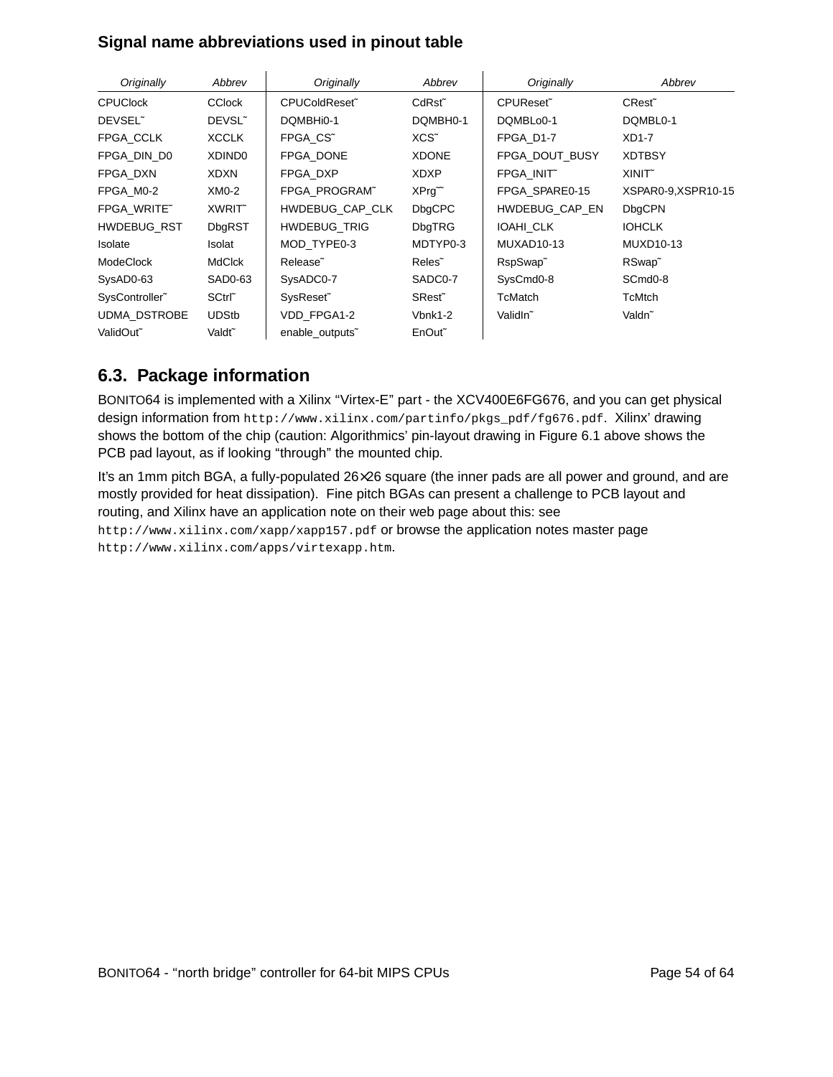#### **Signal name abbreviations used in pinout table**

| Originally            | Abbrev             | Originally           | Abbrev             | Originally             | Abbrev               |
|-----------------------|--------------------|----------------------|--------------------|------------------------|----------------------|
| <b>CPUClock</b>       | <b>CClock</b>      | CPUColdReset~        | CdRst~             | CPUReset~              | CRest <sup>~</sup>   |
| DEVSEL <sup>~</sup>   | DEVSL <sup>~</sup> | DQMBHi0-1            | DQMBH0-1           | DQMBLo0-1              | DQMBL0-1             |
| FPGA CCLK             | <b>XCCLK</b>       | FPGA CS <sup>~</sup> | XCS <sup>~</sup>   | FPGA D1-7              | $XD1-7$              |
| FPGA DIN D0           | XDIND <sub>0</sub> | FPGA DONE            | <b>XDONE</b>       | FPGA DOUT BUSY         | <b>XDTBSY</b>        |
| FPGA DXN              | <b>XDXN</b>        | FPGA DXP             | <b>XDXP</b>        | FPGA INIT~             | XINIT <sup>~</sup>   |
| FPGA M0-2             | $XMO-2$            | FPGA PROGRAM"        | $XPrg^{\sim}$      | FPGA SPARE0-15         | XSPAR0-9,XSPR10-15   |
| FPGA WRITE"           | XWRIT <sup>®</sup> | HWDEBUG CAP CLK      | <b>DbgCPC</b>      | HWDEBUG CAP EN         | <b>DbgCPN</b>        |
| <b>HWDEBUG RST</b>    | <b>DbgRST</b>      | <b>HWDEBUG_TRIG</b>  | <b>DbgTRG</b>      | <b>IOAHI CLK</b>       | <b>IOHCLK</b>        |
| <b>Isolate</b>        | Isolat             | MOD TYPE0-3          | MDTYP0-3           | MUXAD <sub>10-13</sub> | <b>MUXD10-13</b>     |
| <b>ModeClock</b>      | <b>MdClck</b>      | Release <sup>~</sup> | Reles <sup>~</sup> | RspSwap <sup>~</sup>   | RSwap <sup>~</sup>   |
| SysAD0-63             | SAD0-63            | SysADC0-7            | SADC0-7            | SysCmd <sub>0</sub> -8 | SCmd <sub>0</sub> -8 |
| SysController~        | SCtrl~             | SysReset~            | SRest <sup>~</sup> | TcMatch                | TcMtch               |
| <b>UDMA DSTROBE</b>   | <b>UDStb</b>       | VDD FPGA1-2          | Vbnk1-2            | ValidIn <sup>~</sup>   | Valdn <sup>~</sup>   |
| ValidOut <sup>~</sup> | Valdt <sup>~</sup> | enable_outputs"      | EnOut <sup>~</sup> |                        |                      |

### **6.3. Package information**

BONITO64 is implemented with a Xilinx "Virtex-E" part - the XCV400E6FG676, and you can get physical design information from http://www.xilinx.com/partinfo/pkgs\_pdf/fg676.pdf. Xilinx' drawing shows the bottom of the chip (caution: Algorithmics' pin-layout drawing in Figure 6.1 above shows the PCB pad layout, as if looking "through" the mounted chip.

It's an 1mm pitch BGA, a fully-populated 26×26 square (the inner pads are all power and ground, and are mostly provided for heat dissipation). Fine pitch BGAs can present a challenge to PCB layout and routing, and Xilinx have an application note on their web page about this: see http://www.xilinx.com/xapp/xapp157.pdf or browse the application notes master page http://www.xilinx.com/apps/virtexapp.htm.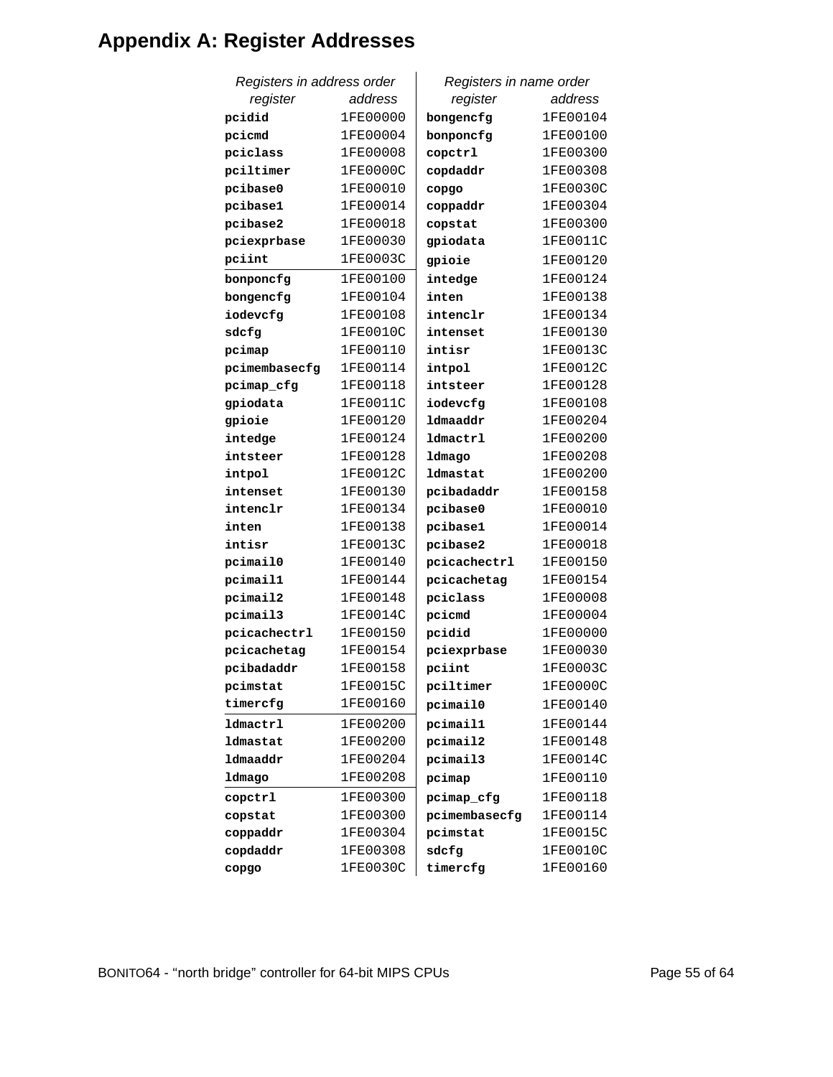# **Appendix A: Register Addresses**

| Registers in address order |          | Registers in name order |          |
|----------------------------|----------|-------------------------|----------|
| register                   | address  | register                | address  |
| pcidid                     | 1FE00000 | bongencfg               | 1FE00104 |
| pcicmd                     | 1FE00004 | bonponcfg               | 1FE00100 |
| pciclass                   | 1FE00008 | copctrl                 | 1FE00300 |
| pciltimer                  | 1FE0000C | copdaddr                | 1FE00308 |
| pcibase0                   | 1FE00010 | copgo                   | 1FE0030C |
| pcibase1                   | 1FE00014 | coppaddr                | 1FE00304 |
| pcibase2                   | 1FE00018 | copstat                 | 1FE00300 |
| pciexprbase                | 1FE00030 | gpiodata                | 1FE0011C |
| pciint                     | 1FE0003C | gpioie                  | 1FE00120 |
| bonponcfg                  | 1FE00100 | intedge                 | 1FE00124 |
| bongencfg                  | 1FE00104 | inten                   | 1FE00138 |
| iodevcfg                   | 1FE00108 | intenclr                | 1FE00134 |
| sdcfg                      | 1FE0010C | intenset                | 1FE00130 |
| pcimap                     | 1FE00110 | intisr                  | 1FE0013C |
| pcimembasecfg              | 1FE00114 | intpol                  | 1FE0012C |
| pcimap_cfg                 | 1FE00118 | intsteer                | 1FE00128 |
| gpiodata                   | 1FE0011C | iodevcfg                | 1FE00108 |
| gpioie                     | 1FE00120 | ldmaaddr                | 1FE00204 |
| intedge                    | 1FE00124 | <b>ldmactrl</b>         | 1FE00200 |
| intsteer                   | 1FE00128 | ldmago                  | 1FE00208 |
| intpol                     | 1FE0012C | ldmastat                | 1FE00200 |
| intenset                   | 1FE00130 | pcibadaddr              | 1FE00158 |
| intenclr                   | 1FE00134 | pcibase0                | 1FE00010 |
| inten                      | 1FE00138 | pcibase1                | 1FE00014 |
| intisr                     | 1FE0013C | pcibase2                | 1FE00018 |
| pcimail0                   | 1FE00140 | pcicachectrl            | 1FE00150 |
| pcimail1                   | 1FE00144 | pcicachetag             | 1FE00154 |
| pcimail2                   | 1FE00148 | pciclass                | 1FE00008 |
| pcimail3                   | 1FE0014C | pcicmd                  | 1FE00004 |
| pcicachectrl               | 1FE00150 | pcidid                  | 1FE00000 |
| pcicachetag                | 1FE00154 | pciexprbase             | 1FE00030 |
| pcibadaddr                 | 1FE00158 | pciint                  | 1FE0003C |
| pcimstat                   | 1FE0015C | pciltimer               | 1FE0000C |
| timercfg                   | 1FE00160 | pcimail0                | 1FE00140 |
| ldmactrl                   | 1FE00200 | pcimail1                | 1FE00144 |
| ldmastat                   | 1FE00200 | pcimail2                | 1FE00148 |
| ldmaaddr                   | 1FE00204 | pcimail3                | 1FE0014C |
| ldmago                     | 1FE00208 | pcimap                  | 1FE00110 |
| copctrl                    | 1FE00300 | pcimap_cfg              | 1FE00118 |
| copstat                    | 1FE00300 | pcimembasecfg           | 1FE00114 |
| coppaddr                   | 1FE00304 | pcimstat                | 1FE0015C |
| copdaddr                   | 1FE00308 | sdcfg                   | 1FE0010C |
| copgo                      | 1FE0030C | timercfg                | 1FE00160 |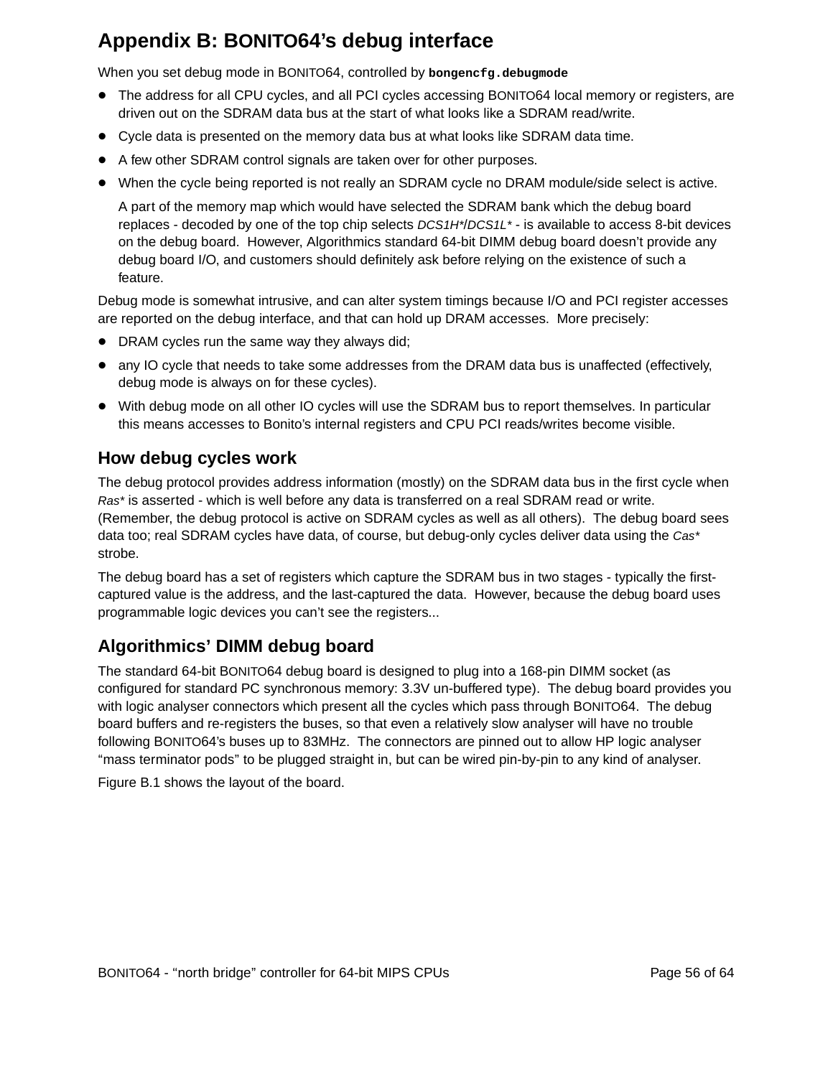# **Appendix B: BONITO64's debug interface**

When you set debug mode in BONITO64, controlled by **bongencfg.debugmode**

- The address for all CPU cycles, and all PCI cycles accessing BONITO64 local memory or registers, are driven out on the SDRAM data bus at the start of what looks like a SDRAM read/write.
- Cycle data is presented on the memory data bus at what looks like SDRAM data time.
- A few other SDRAM control signals are taken over for other purposes.
- When the cycle being reported is not really an SDRAM cycle no DRAM module/side select is active.

A part of the memory map which would have selected the SDRAM bank which the debug board replaces - decoded by one of the top chip selects DCS1H\*/DCS1L\* - is available to access 8-bit devices on the debug board. However, Algorithmics standard 64-bit DIMM debug board doesn't provide any debug board I/O, and customers should definitely ask before relying on the existence of such a feature.

Debug mode is somewhat intrusive, and can alter system timings because I/O and PCI register accesses are reported on the debug interface, and that can hold up DRAM accesses. More precisely:

- DRAM cycles run the same way they always did;
- any IO cycle that needs to take some addresses from the DRAM data bus is unaffected (effectively, debug mode is always on for these cycles).
- With debug mode on all other IO cycles will use the SDRAM bus to report themselves. In particular this means accesses to Bonito's internal registers and CPU PCI reads/writes become visible.

### **How debug cycles work**

The debug protocol provides address information (mostly) on the SDRAM data bus in the first cycle when Ras\* is asserted - which is well before any data is transferred on a real SDRAM read or write. (Remember, the debug protocol is active on SDRAM cycles as well as all others). The debug board sees data too; real SDRAM cycles have data, of course, but debug-only cycles deliver data using the Cas\* strobe.

The debug board has a set of registers which capture the SDRAM bus in two stages - typically the firstcaptured value is the address, and the last-captured the data. However, because the debug board uses programmable logic devices you can't see the registers...

## **Algorithmics' DIMM debug board**

The standard 64-bit BONITO64 debug board is designed to plug into a 168-pin DIMM socket (as configured for standard PC synchronous memory: 3.3V un-buffered type). The debug board provides you with logic analyser connectors which present all the cycles which pass through BONITO64. The debug board buffers and re-registers the buses, so that even a relatively slow analyser will have no trouble following BONITO64's buses up to 83MHz. The connectors are pinned out to allow HP logic analyser ''mass terminator pods'' to be plugged straight in, but can be wired pin-by-pin to any kind of analyser.

Figure B.1 shows the layout of the board.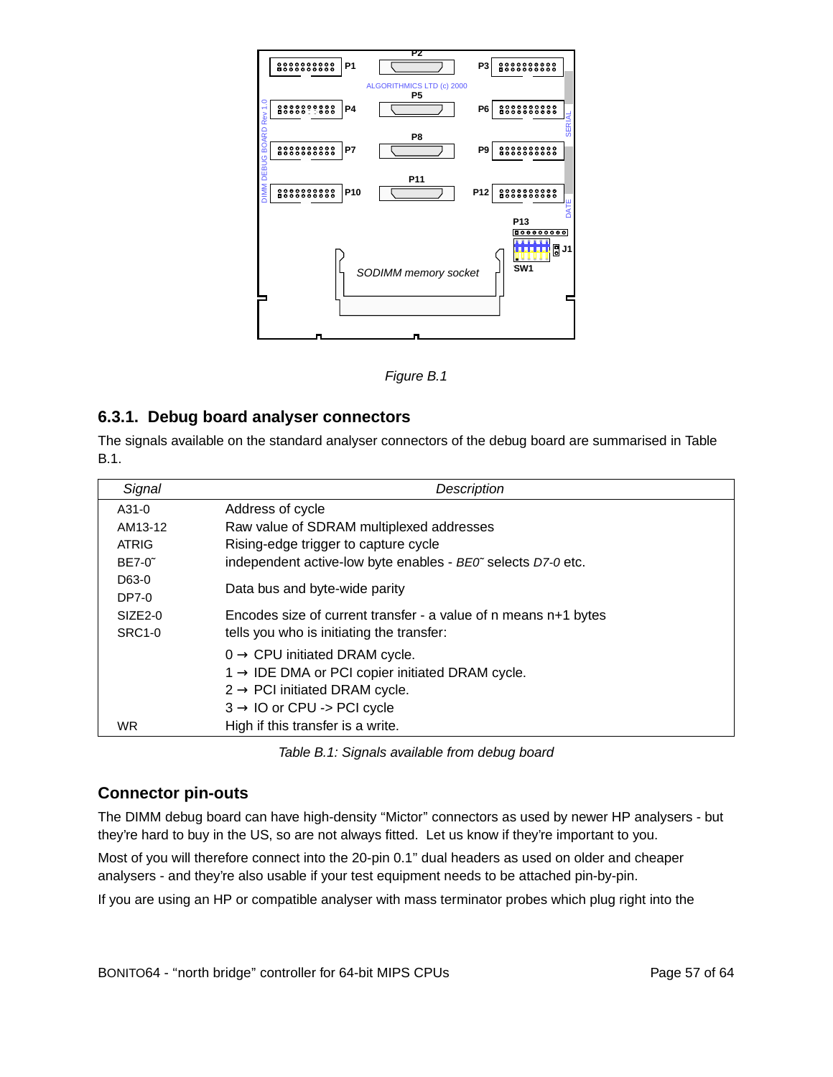

Figure B.1

#### **6.3.1. Debug board analyser connectors**

The signals available on the standard analyser connectors of the debug board are summarised in Table B.1.

| Signal        | Description                                                     |
|---------------|-----------------------------------------------------------------|
| A31-0         | Address of cycle                                                |
| AM13-12       | Raw value of SDRAM multiplexed addresses                        |
| <b>ATRIG</b>  | Rising-edge trigger to capture cycle                            |
| $BE7-0$       | independent active-low byte enables - BE0" selects D7-0 etc.    |
| D63-0         | Data bus and byte-wide parity                                   |
| DP7-0         |                                                                 |
| $SIZE2-0$     | Encodes size of current transfer - a value of n means n+1 bytes |
| <b>SRC1-0</b> | tells you who is initiating the transfer:                       |
|               | $0 \rightarrow$ CPU initiated DRAM cycle.                       |
|               | $1 \rightarrow$ IDE DMA or PCI copier initiated DRAM cycle.     |
|               | $2 \rightarrow$ PCI initiated DRAM cycle.                       |
|               | $3 \rightarrow$ IO or CPU -> PCI cycle                          |
| <b>WR</b>     | High if this transfer is a write.                               |

Table B.1: Signals available from debug board

#### **Connector pin-outs**

The DIMM debug board can have high-density "Mictor" connectors as used by newer HP analysers - but they're hard to buy in the US, so are not always fitted. Let us know if they're important to you.

Most of you will therefore connect into the 20-pin 0.1'' dual headers as used on older and cheaper analysers - and they're also usable if your test equipment needs to be attached pin-by-pin.

If you are using an HP or compatible analyser with mass terminator probes which plug right into the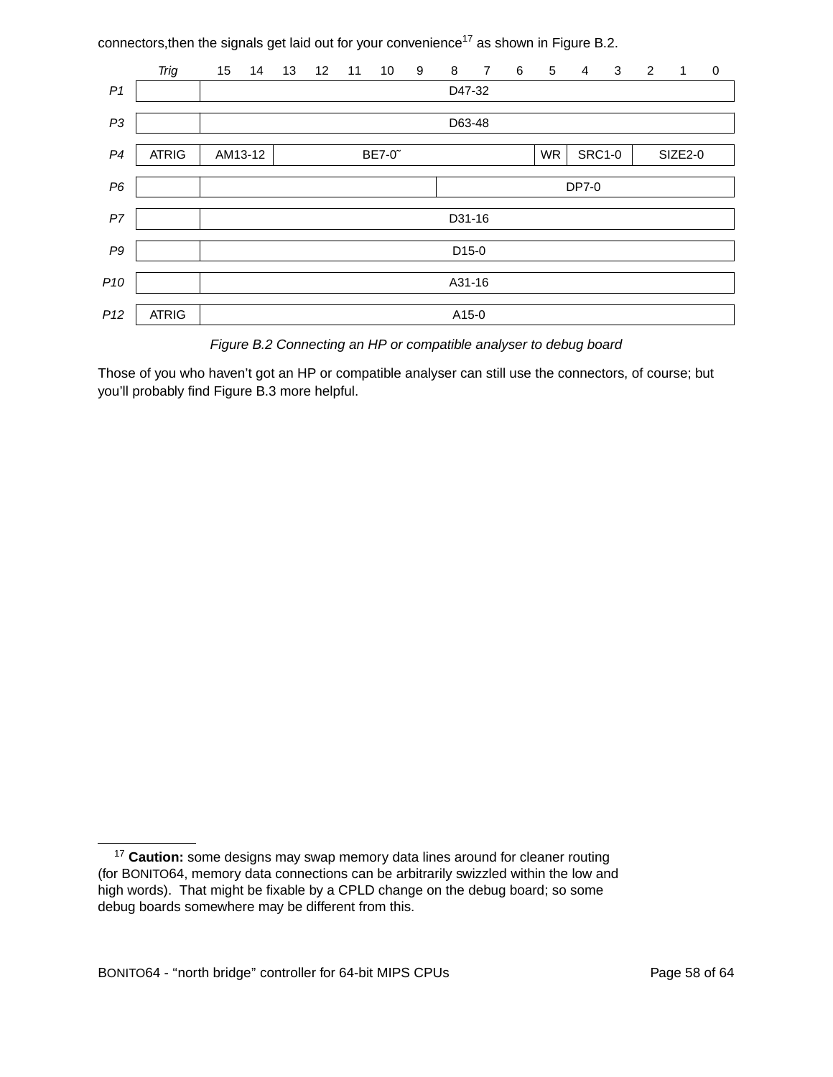connectors, then the signals get laid out for your convenience<sup>17</sup> as shown in Figure B.2.

|                 | <b>Trig</b>  | 15     | 14                                                                     | 13 | 12 | 11 | 10 | 9 | 8                 | $\overline{7}$ | 6 | 5 | $\overline{4}$ | 3 | 2 | $\mathbf{1}$ | $\pmb{0}$ |
|-----------------|--------------|--------|------------------------------------------------------------------------|----|----|----|----|---|-------------------|----------------|---|---|----------------|---|---|--------------|-----------|
| P <sub>1</sub>  |              |        | D47-32                                                                 |    |    |    |    |   |                   |                |   |   |                |   |   |              |           |
| P <sub>3</sub>  |              | D63-48 |                                                                        |    |    |    |    |   |                   |                |   |   |                |   |   |              |           |
| P4              | <b>ATRIG</b> |        | <b>SRC1-0</b><br>AM13-12<br>BE7-0 <sup>~</sup><br><b>WR</b><br>SIZE2-0 |    |    |    |    |   |                   |                |   |   |                |   |   |              |           |
| P6              |              |        |                                                                        |    |    |    |    |   |                   |                |   |   | DP7-0          |   |   |              |           |
| ${\cal P}7$     |              |        |                                                                        |    |    |    |    |   | D31-16            |                |   |   |                |   |   |              |           |
| P <sub>9</sub>  |              |        |                                                                        |    |    |    |    |   | D <sub>15-0</sub> |                |   |   |                |   |   |              |           |
| P <sub>10</sub> |              |        |                                                                        |    |    |    |    |   | A31-16            |                |   |   |                |   |   |              |           |
| P12             | <b>ATRIG</b> |        |                                                                        |    |    |    |    |   | A15-0             |                |   |   |                |   |   |              |           |

Figure B.2 Connecting an HP or compatible analyser to debug board

Those of you who haven't got an HP or compatible analyser can still use the connectors, of course; but you'll probably find Figure B.3 more helpful.

<sup>&</sup>lt;sup>17</sup> Caution: some designs may swap memory data lines around for cleaner routing (for BONITO64, memory data connections can be arbitrar ily swizzled within the low and high words). That might be fixable by a CPLD change on the debug board; so some debug boards somewhere may be different from this.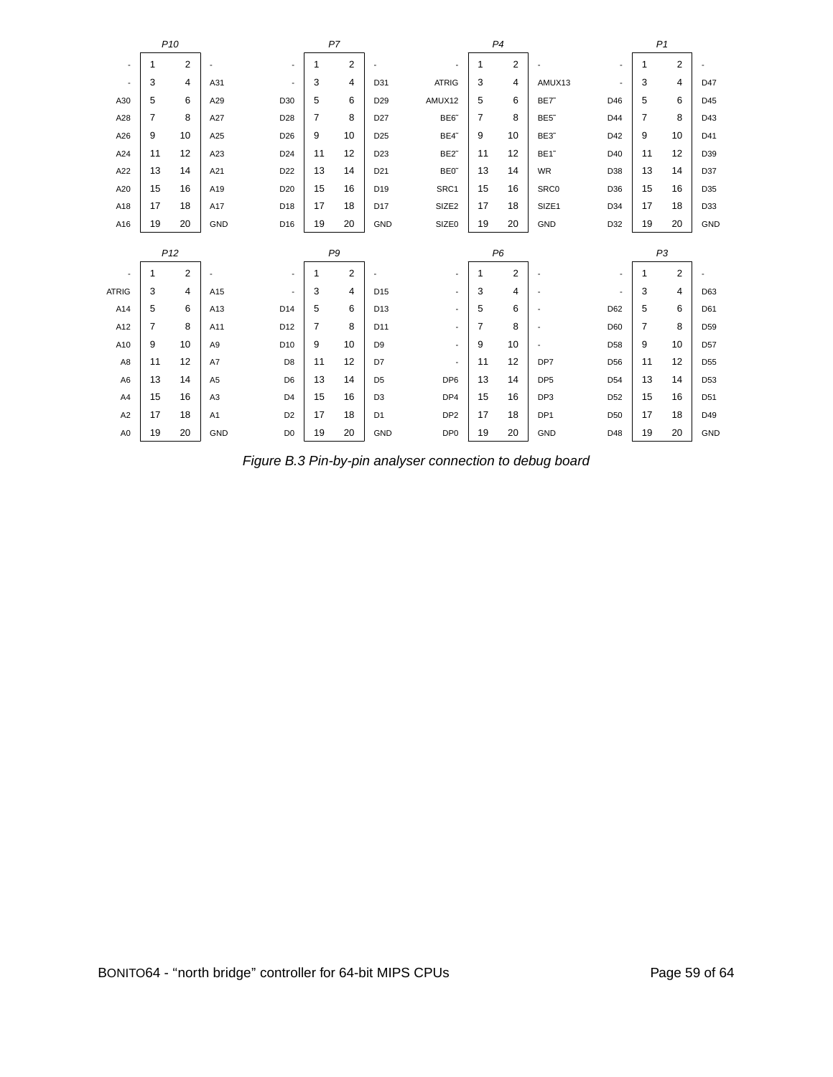|                          |                 | P <sub>10</sub> |                |                          | P7           |                |                 |                          |                | P4             |                          |                          | P <sub>1</sub> |                |                 |  |  |
|--------------------------|-----------------|-----------------|----------------|--------------------------|--------------|----------------|-----------------|--------------------------|----------------|----------------|--------------------------|--------------------------|----------------|----------------|-----------------|--|--|
| $\overline{\phantom{a}}$ | 1               | $\overline{2}$  |                | $\overline{\phantom{a}}$ | $\mathbf{1}$ | 2              |                 | $\blacksquare$           | 1              | $\overline{2}$ |                          | $\overline{\phantom{a}}$ | 1              | 2              |                 |  |  |
| $\overline{\phantom{a}}$ | 3               | 4               | A31            | $\overline{\phantom{a}}$ | 3            | 4              | D31             | <b>ATRIG</b>             | 3              | 4              | AMUX13                   | $\overline{\phantom{a}}$ | 3              | 4              | D47             |  |  |
| A30                      | 5               | 6               | A29            | D30                      | 5            | 6              | D <sub>29</sub> | AMUX12                   | 5              | 6              | BE7 <sup>~</sup>         | D46                      | 5              | 6              | D45             |  |  |
| A28                      | 7               | 8               | A27            | D28                      | 7            | 8              | D <sub>27</sub> | BE6                      | $\overline{7}$ | 8              | BE5 <sup>~</sup>         | D44                      | 7              | 8              | D43             |  |  |
| A26                      | 9               | 10              | A25            | D <sub>26</sub>          | 9            | 10             | D <sub>25</sub> | BE4 <sup>~</sup>         | 9              | 10             | BE3 <sup>~</sup>         | D42                      | 9              | 10             | D41             |  |  |
| A24                      | 11              | 12              | A23            | D <sub>24</sub>          | 11           | 12             | D <sub>23</sub> | BE2 <sup>-</sup>         | 11             | 12             | BE1 <sup>~</sup>         | D40                      | 11             | 12             | D39             |  |  |
| A22                      | 13              | 14              | A21            | D <sub>22</sub>          | 13           | 14             | D <sub>21</sub> | BE0 <sup>®</sup>         | 13             | 14             | WR                       | D38                      | 13             | 14             | D37             |  |  |
| A20                      | 15              | 16              | A19            | D <sub>20</sub>          | 15           | 16             | D <sub>19</sub> | SRC1                     | 15             | 16             | SRC0                     | D36                      | 15             | 16             | D35             |  |  |
| A18                      | 17              | 18              | A17            | D <sub>18</sub>          | 17           | 18             | D <sub>17</sub> | SIZE <sub>2</sub>        | 17             | 18             | SIZE1                    | D <sub>34</sub>          | 17             | 18             | D33             |  |  |
| A16                      | 19              | 20              | GND            | D <sub>16</sub>          | 19           | 20             | GND             | SIZE0                    | 19             | 20             | <b>GND</b>               | D32                      | 19             | 20             | GND             |  |  |
|                          | P <sub>12</sub> |                 |                |                          |              |                |                 |                          |                |                |                          |                          |                |                |                 |  |  |
|                          |                 |                 |                |                          |              | P9             |                 |                          |                | P <sub>6</sub> |                          |                          |                | P <sub>3</sub> |                 |  |  |
| $\overline{\phantom{a}}$ | $\mathbf{1}$    | $\overline{2}$  |                | $\overline{\phantom{a}}$ | $\mathbf{1}$ | $\overline{2}$ |                 | $\overline{\phantom{a}}$ | 1              | 2              |                          | $\overline{\phantom{a}}$ | $\mathbf{1}$   | 2              |                 |  |  |
| <b>ATRIG</b>             | 3               | 4               | A15            | $\overline{\phantom{a}}$ | 3            | 4              | D <sub>15</sub> | $\sim$                   | 3              | 4              | $\overline{\phantom{a}}$ | $\overline{\phantom{a}}$ | 3              | 4              | D63             |  |  |
| A14                      | 5               | 6               | A13            | D14                      | 5            | 6              | D13             | $\blacksquare$           | 5              | 6              | ÷,                       | D62                      | 5              | 6              | D61             |  |  |
| A12                      | 7               | 8               | A11            | D12                      | 7            | 8              | D11             | $\blacksquare$           | $\overline{7}$ | 8              |                          | D60                      | 7              | 8              | D <sub>59</sub> |  |  |
| A10                      | 9               | 10              | A <sub>9</sub> | D <sub>10</sub>          | 9            | 10             | D <sub>9</sub>  | $\blacksquare$           | 9              | 10             | $\overline{\phantom{a}}$ | D <sub>58</sub>          | 9              | 10             | D <sub>57</sub> |  |  |
| A8                       | 11              | 12              | A7             | D <sub>8</sub>           | 11           | 12             | D7              | $\overline{\phantom{a}}$ | 11             | 12             | DP7                      | D <sub>56</sub>          | 11             | 12             | D <sub>55</sub> |  |  |
| A <sub>6</sub>           | 13              | 14              | A <sub>5</sub> | D <sub>6</sub>           | 13           | 14             | D <sub>5</sub>  | DP <sub>6</sub>          | 13             | 14             | DP <sub>5</sub>          | D <sub>54</sub>          | 13             | 14             | D <sub>53</sub> |  |  |
| A4                       | 15              | 16              | A <sub>3</sub> | D <sub>4</sub>           | 15           | 16             | D <sub>3</sub>  | DP4                      | 15             | 16             | DP3                      | D <sub>52</sub>          | 15             | 16             | D <sub>51</sub> |  |  |
| A <sub>2</sub>           | 17              | 18              | A1             | D <sub>2</sub>           | 17           | 18             | D <sub>1</sub>  | DP <sub>2</sub>          | 17             | 18             | DP <sub>1</sub>          | D <sub>50</sub>          | 17             | 18             | D49             |  |  |

Figure B.3 Pin-by-pin analyser connection to debug board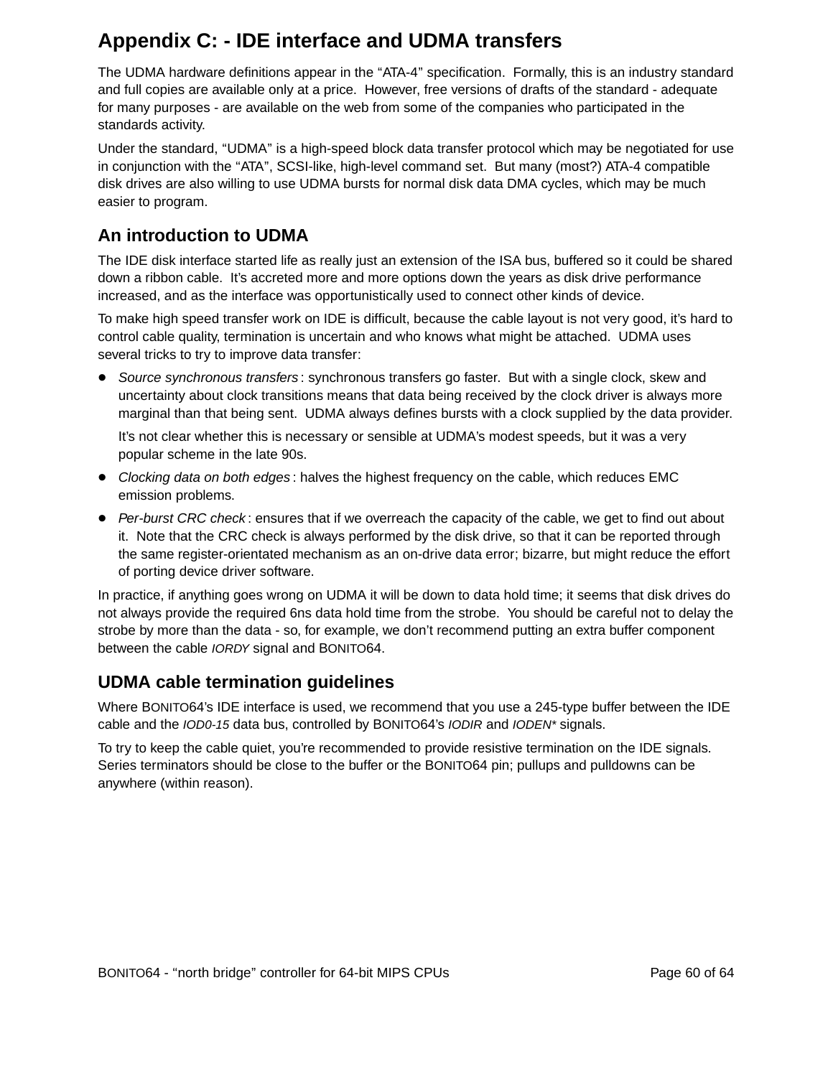## **Appendix C: - IDE interface and UDMA transfers**

The UDMA hardware definitions appear in the "ATA-4" specification. Formally, this is an industry standard and full copies are available only at a price. However, free versions of drafts of the standard - adequate for many purposes - are available on the web from some of the companies who participated in the standards activity.

Under the standard, "UDMA" is a high-speed block data transfer protocol which may be negotiated for use in conjunction with the "ATA", SCSI-like, high-level command set. But many (most?) ATA-4 compatible disk drives are also willing to use UDMA bursts for normal disk data DMA cycles, which may be much easier to program.

## **An introduction to UDMA**

The IDE disk interface started life as really just an extension of the ISA bus, buffered so it could be shared down a ribbon cable. It's accreted more and more options down the years as disk drive performance increased, and as the interface was opportunistically used to connect other kinds of device.

To make high speed transfer work on IDE is difficult, because the cable layout is not very good, it's hard to control cable quality, termination is uncertain and who knows what might be attached. UDMA uses several tricks to try to improve data transfer:

• Source synchronous transfers: synchronous transfers go faster. But with a single clock, skew and uncertainty about clock transitions means that data being received by the clock driver is always more marginal than that being sent. UDMA always defines bursts with a clock supplied by the data provider.

It's not clear whether this is necessary or sensible at UDMA's modest speeds, but it was a very popular scheme in the late 90s.

- Clocking data on both edges: halves the highest frequency on the cable, which reduces EMC emission problems.
- Per-burst CRC check: ensures that if we overreach the capacity of the cable, we get to find out about it. Note that the CRC check is always performed by the disk drive, so that it can be reported through the same register-orientated mechanism as an on-drive data error; bizarre, but might reduce the effort of porting device driver software.

In practice, if anything goes wrong on UDMA it will be down to data hold time; it seems that disk drives do not always provide the required 6ns data hold time from the strobe. You should be careful not to delay the strobe by more than the data - so, for example, we don't recommend putting an extra buffer component between the cable IORDY signal and BONITO64.

## **UDMA cable termination guidelines**

Where BONITO64's IDE interface is used, we recommend that you use a 245-type buffer between the IDE cable and the IOD0-15 data bus, controlled by BONITO64's IODIR and IODEN\* signals.

To try to keep the cable quiet, you're recommended to provide resistive termination on the IDE signals. Series terminators should be close to the buffer or the BONITO64 pin; pullups and pulldowns can be anywhere (within reason).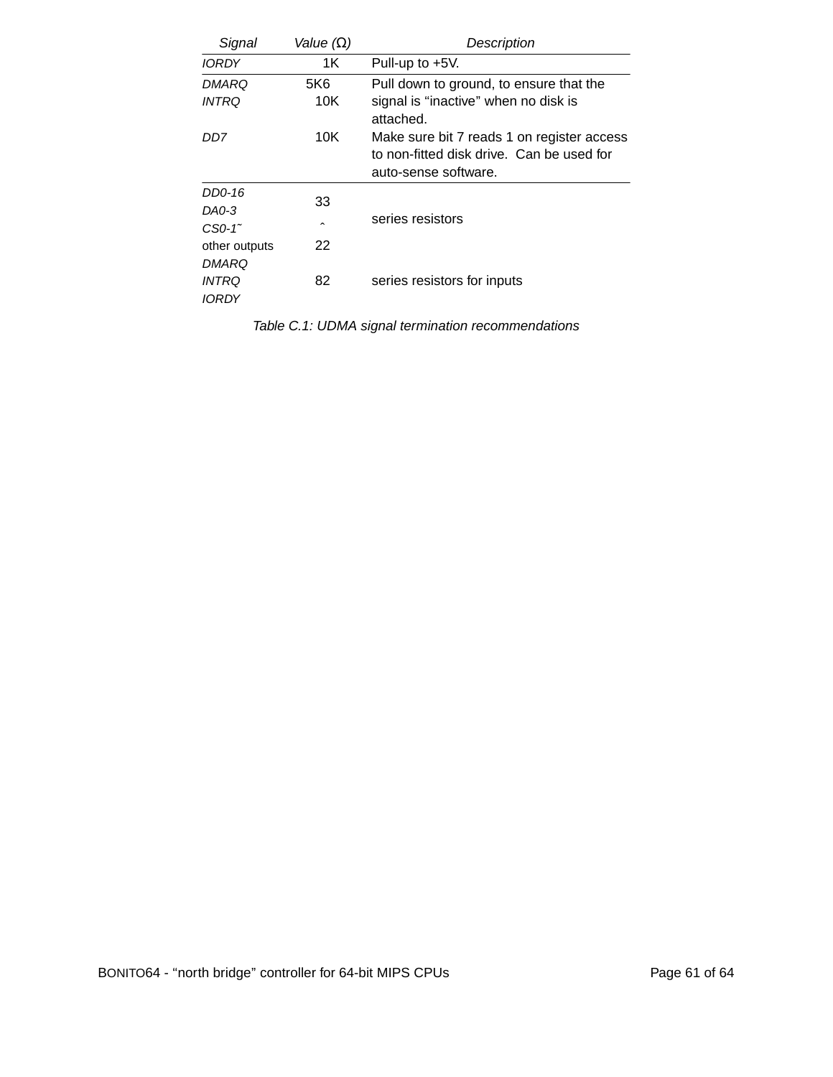| Signal               | Value $(\Omega)$    | Description                                                                                                     |
|----------------------|---------------------|-----------------------------------------------------------------------------------------------------------------|
| <i><b>IORDY</b></i>  | 1K                  | Pull-up to $+5V$ .                                                                                              |
| DMARQ                | 5K6                 | Pull down to ground, to ensure that the                                                                         |
| <i>INTRQ</i>         | 10K                 | signal is "inactive" when no disk is<br>attached.                                                               |
| DD7                  | 10K                 | Make sure bit 7 reads 1 on register access<br>to non-fitted disk drive. Can be used for<br>auto-sense software. |
| DD0-16               | 33                  | series resistors                                                                                                |
| DA0-3                |                     |                                                                                                                 |
| $CSO-1$ <sup>~</sup> | $\hat{\phantom{a}}$ |                                                                                                                 |
| other outputs        | 22                  |                                                                                                                 |
| DMARQ                |                     |                                                                                                                 |
| <i>INTRO</i>         | 82                  | series resistors for inputs                                                                                     |
| <i><b>IORDY</b></i>  |                     |                                                                                                                 |

Table C.1: UDMA signal termination recommendations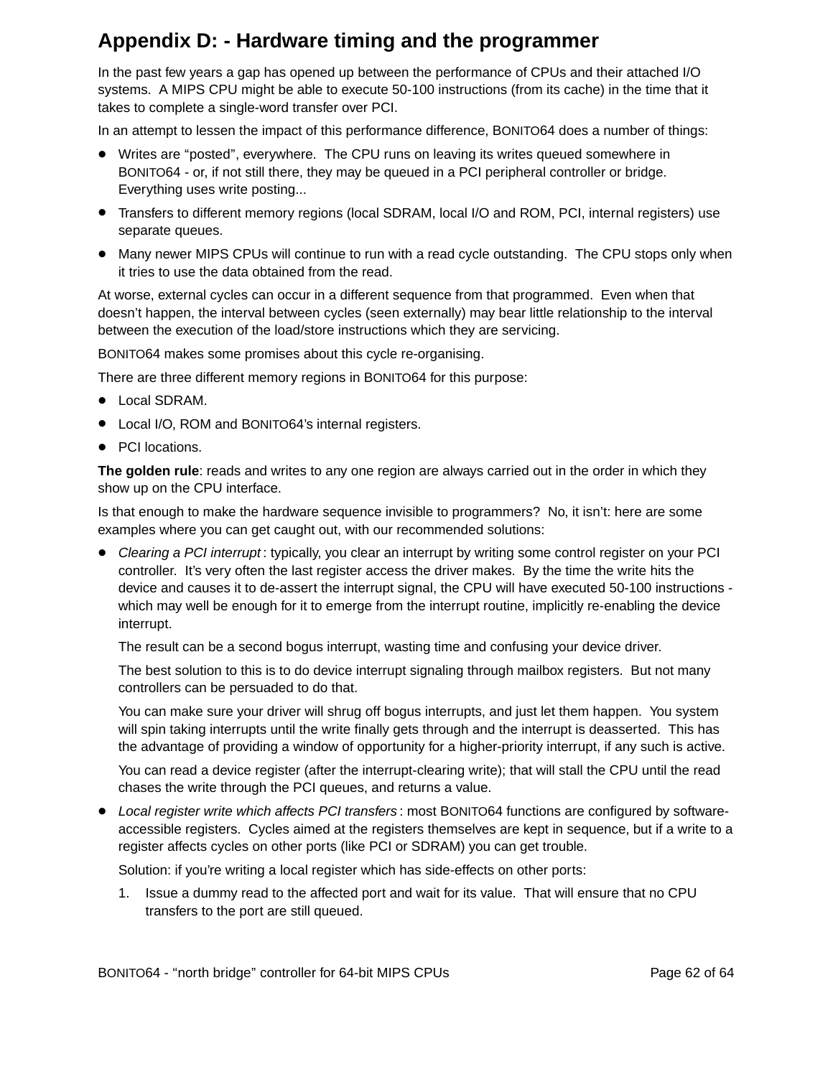## **Appendix D: - Hardware timing and the programmer**

In the past few years a gap has opened up between the performance of CPUs and their attached I/O systems. A MIPS CPU might be able to execute 50-100 instructions (from its cache) in the time that it takes to complete a single-word transfer over PCI.

In an attempt to lessen the impact of this performance difference, BONITO64 does a number of things:

- Writes are "posted", everywhere. The CPU runs on leaving its writes queued somewhere in BONITO64 - or, if not still there, they may be queued in a PCI peripheral controller or bridge. Everything uses write posting...
- Transfers to different memory regions (local SDRAM, local I/O and ROM, PCI, internal registers) use separate queues.
- Many newer MIPS CPUs will continue to run with a read cycle outstanding. The CPU stops only when it tries to use the data obtained from the read.

At worse, external cycles can occur in a different sequence from that programmed. Even when that doesn't happen, the interval between cycles (seen externally) may bear little relationship to the interval between the execution of the load/store instructions which they are servicing.

BONITO64 makes some promises about this cycle re-organising.

There are three different memory regions in BONITO64 for this purpose:

- Local SDRAM.
- Local I/O, ROM and BONITO64's internal registers.
- PCI locations.

The golden rule: reads and writes to any one region are always carried out in the order in which they show up on the CPU interface.

Is that enough to make the hardware sequence invisible to programmers? No, it isn't: here are some examples where you can get caught out, with our recommended solutions:

• Clearing a PCI interrupt: typically, you clear an interrupt by writing some control register on your PCI controller. It's very often the last register access the driver makes. By the time the write hits the device and causes it to de-assert the interrupt signal, the CPU will have executed 50-100 instructions which may well be enough for it to emerge from the interrupt routine, implicitly re-enabling the device interrupt.

The result can be a second bogus interrupt, wasting time and confusing your device driver.

The best solution to this is to do device interrupt signaling through mailbox registers. But not many controllers can be persuaded to do that.

You can make sure your driver will shrug off bogus interrupts, and just let them happen. You system will spin taking interrupts until the write finally gets through and the interrupt is deasserted. This has the advantage of providing a window of opportunity for a higher-priority interrupt, if any such is active.

You can read a device register (after the interrupt-clearing write); that will stall the CPU until the read chases the write through the PCI queues, and returns a value.

• Local register write which affects PCI transfers: most BONITO64 functions are configured by softwareaccessible registers. Cycles aimed at the registers themselves are kept in sequence, but if a write to a register affects cycles on other ports (like PCI or SDRAM) you can get trouble.

Solution: if you're writing a local register which has side-effects on other ports:

1. Issue a dummy read to the affected port and wait for its value. That will ensure that no CPU transfers to the port are still queued.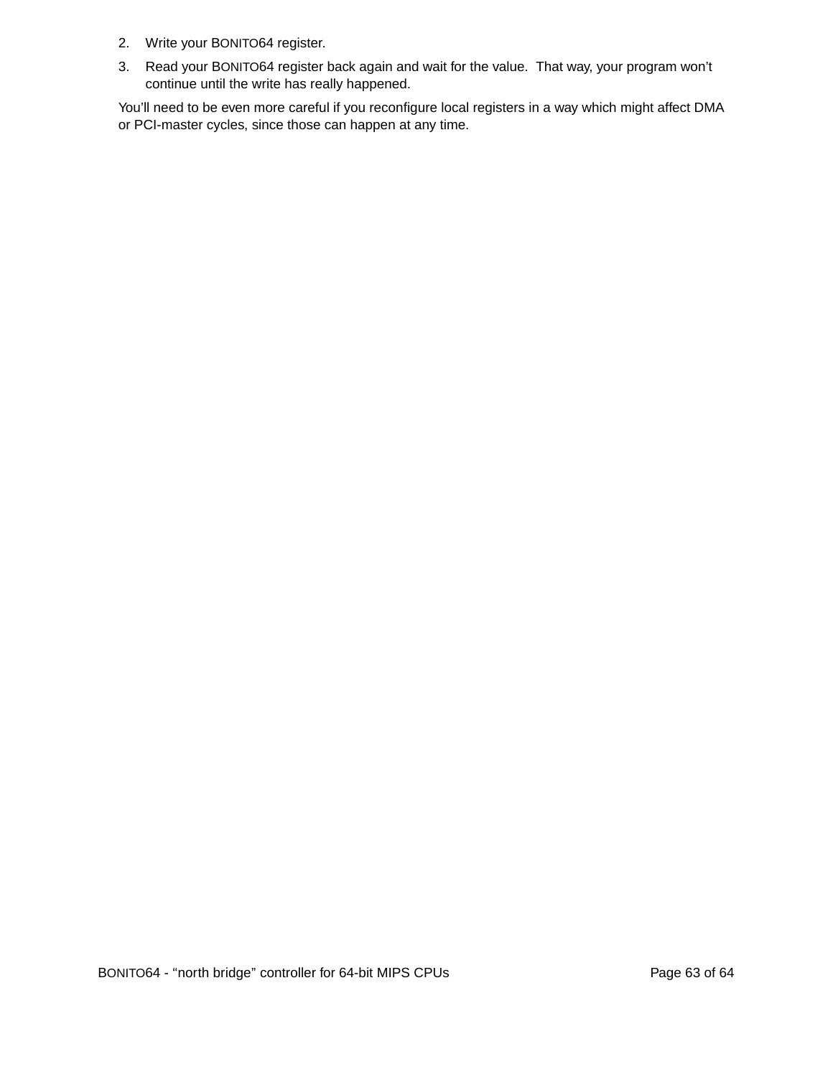- 2. Write your BONITO64 register.
- 3. Read your BONITO64 register back again and wait for the value. That way, your program won't continue until the write has really happened.

You'll need to be even more careful if you reconfigure local registers in a way which might affect DMA or PCI-master cycles, since those can happen at any time.